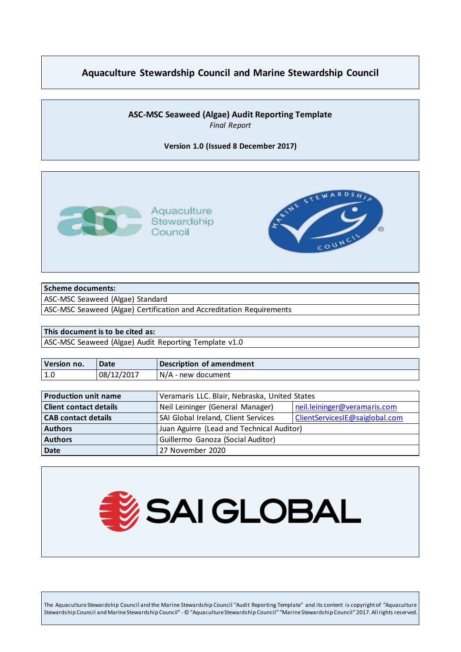## **Aquaculture Stewardship Council and Marine Stewardship Council**

#### **ASC-MSC Seaweed (Algae) Audit Reporting Template** *Final Report*

**Version 1.0 (Issued 8 December 2017)**



#### **Scheme documents:**

ASC-MSC Seaweed (Algae) Standard

ASC-MSC Seaweed (Algae) Certification and Accreditation Requirements

#### **This document is to be cited as:**

ASC-MSC Seaweed (Algae) Audit Reporting Template v1.0

| Version no. | Date       | Description of amendment |
|-------------|------------|--------------------------|
| 1.0         | 08/12/2017 | N/A - new document       |

| <b>Production unit name</b>   | Veramaris LLC. Blair, Nebraska, United States                    |                                |  |
|-------------------------------|------------------------------------------------------------------|--------------------------------|--|
| <b>Client contact details</b> | Neil Leininger (General Manager)<br>neil.leininger@veramaris.com |                                |  |
| <b>CAB contact details</b>    | SAI Global Ireland, Client Services                              | ClientServicesIE@saiglobal.com |  |
| <b>Authors</b>                | Juan Aguirre (Lead and Technical Auditor)                        |                                |  |
| <b>Authors</b>                | Guillermo Ganoza (Social Auditor)                                |                                |  |
| <b>Date</b>                   | 27 November 2020                                                 |                                |  |



The Aquaculture Stewardship Council and the Marine Stewardship Council "Audit Reporting Template" and its content is copyright of "Aquaculture Stewardship Council and Marine Stewardship Council" - © "Aquaculture Stewardship Council" "Marine Stewardship Council" 2017. All rights reserved.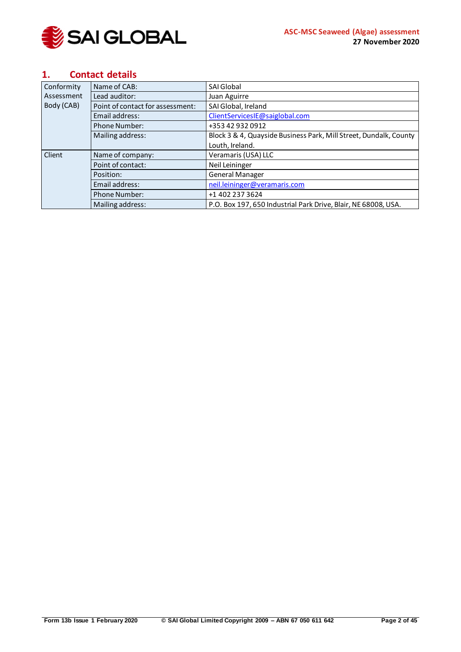

## <span id="page-1-0"></span>**1. Contact details**

| Conformity                                     | Name of CAB:         | <b>SAI Global</b>                                                 |  |
|------------------------------------------------|----------------------|-------------------------------------------------------------------|--|
| Assessment                                     | Lead auditor:        | Juan Aguirre                                                      |  |
| Body (CAB)<br>Point of contact for assessment: |                      | SAI Global, Ireland                                               |  |
|                                                | Email address:       | ClientServicesIE@saiglobal.com                                    |  |
|                                                | <b>Phone Number:</b> | +353 42 932 0912                                                  |  |
|                                                | Mailing address:     | Block 3 & 4, Quayside Business Park, Mill Street, Dundalk, County |  |
|                                                |                      | Louth, Ireland.                                                   |  |
| Client                                         | Name of company:     | Veramaris (USA) LLC                                               |  |
|                                                | Point of contact:    | Neil Leininger                                                    |  |
|                                                | Position:            | <b>General Manager</b>                                            |  |
|                                                | Email address:       | neil.leininger@veramaris.com                                      |  |
|                                                | <b>Phone Number:</b> | +1 402 237 3624                                                   |  |
|                                                | Mailing address:     | P.O. Box 197, 650 Industrial Park Drive, Blair, NE 68008, USA.    |  |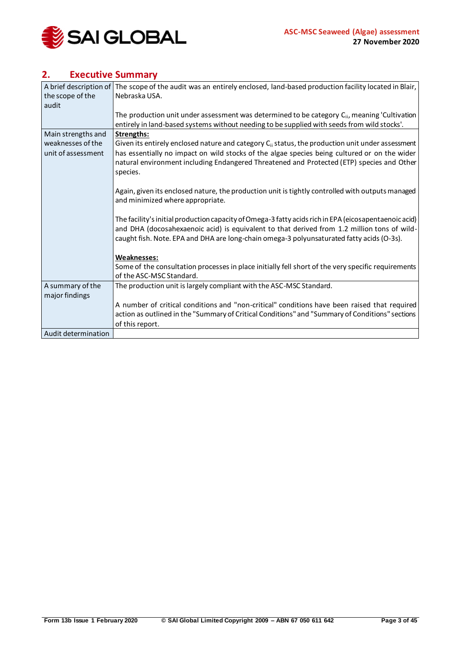

## <span id="page-2-0"></span>**2. Executive Summary**

|                     | A brief description of The scope of the audit was an entirely enclosed, land-based production facility located in Blair, |
|---------------------|--------------------------------------------------------------------------------------------------------------------------|
| the scope of the    | Nebraska USA.                                                                                                            |
| audit               |                                                                                                                          |
|                     | The production unit under assessment was determined to be category $C_{ii}$ , meaning 'Cultivation                       |
|                     | entirely in land-based systems without needing to be supplied with seeds from wild stocks'.                              |
| Main strengths and  | Strengths:                                                                                                               |
| weaknesses of the   | Given its entirely enclosed nature and category C <sub>ii</sub> status, the production unit under assessment             |
| unit of assessment  | has essentially no impact on wild stocks of the algae species being cultured or on the wider                             |
|                     | natural environment including Endangered Threatened and Protected (ETP) species and Other                                |
|                     | species.                                                                                                                 |
|                     |                                                                                                                          |
|                     | Again, given its enclosed nature, the production unit is tightly controlled with outputs managed                         |
|                     | and minimized where appropriate.                                                                                         |
|                     | The facility's initial production capacity of Omega-3 fatty acids rich in EPA (eicosapentaenoic acid)                    |
|                     | and DHA (docosahexaenoic acid) is equivalent to that derived from 1.2 million tons of wild-                              |
|                     | caught fish. Note. EPA and DHA are long-chain omega-3 polyunsaturated fatty acids (O-3s).                                |
|                     |                                                                                                                          |
|                     | <b>Weaknesses:</b>                                                                                                       |
|                     | Some of the consultation processes in place initially fell short of the very specific requirements                       |
|                     | of the ASC-MSC Standard.                                                                                                 |
| A summary of the    | The production unit is largely compliant with the ASC-MSC Standard.                                                      |
| major findings      |                                                                                                                          |
|                     | A number of critical conditions and "non-critical" conditions have been raised that required                             |
|                     | action as outlined in the "Summary of Critical Conditions" and "Summary of Conditions" sections                          |
|                     | of this report.                                                                                                          |
| Audit determination |                                                                                                                          |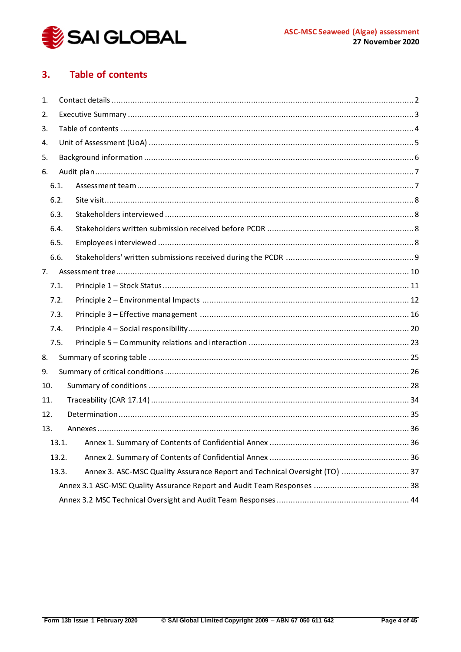

#### <span id="page-3-0"></span>**Table of contents**  $3.$

| 1.  |       |       |                                                                            |  |
|-----|-------|-------|----------------------------------------------------------------------------|--|
| 2.  |       |       |                                                                            |  |
| 3.  |       |       |                                                                            |  |
| 4.  |       |       |                                                                            |  |
| 5.  |       |       |                                                                            |  |
| 6.  |       |       |                                                                            |  |
|     | 6.1.  |       |                                                                            |  |
|     | 6.2.  |       |                                                                            |  |
|     | 6.3.  |       |                                                                            |  |
|     | 6.4.  |       |                                                                            |  |
|     | 6.5.  |       |                                                                            |  |
|     | 6.6.  |       |                                                                            |  |
| 7.  |       |       |                                                                            |  |
|     | 7.1.  |       |                                                                            |  |
|     | 7.2.  |       |                                                                            |  |
|     | 7.3.  |       |                                                                            |  |
|     | 7.4.  |       |                                                                            |  |
|     | 7.5.  |       |                                                                            |  |
| 8.  |       |       |                                                                            |  |
| 9.  |       |       |                                                                            |  |
| 10. |       |       |                                                                            |  |
| 11. |       |       |                                                                            |  |
| 12. |       |       |                                                                            |  |
|     | 13.   |       |                                                                            |  |
|     |       |       |                                                                            |  |
|     | 13.2. |       |                                                                            |  |
|     |       | 13.3. | Annex 3. ASC-MSC Quality Assurance Report and Technical Oversight (TO)  37 |  |
|     |       |       |                                                                            |  |
|     |       |       |                                                                            |  |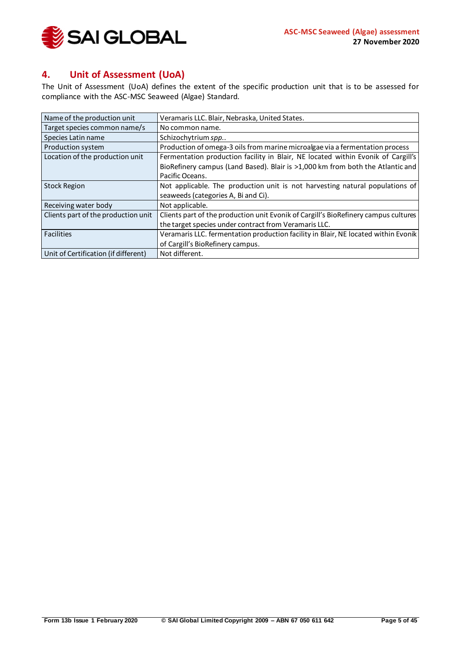

## <span id="page-4-0"></span>**4. Unit of Assessment (UoA)**

The Unit of Assessment (UoA) defines the extent of the specific production unit that is to be assessed for compliance with the ASC-MSC Seaweed (Algae) Standard.

| Name of the production unit          | Veramaris LLC. Blair, Nebraska, United States.                                      |  |
|--------------------------------------|-------------------------------------------------------------------------------------|--|
| Target species common name/s         | No common name.                                                                     |  |
| Species Latin name                   | Schizochytrium spp                                                                  |  |
| Production system                    | Production of omega-3 oils from marine microalgae via a fermentation process        |  |
| Location of the production unit      | Fermentation production facility in Blair, NE located within Evonik of Cargill's    |  |
|                                      | BioRefinery campus (Land Based). Blair is >1,000 km from both the Atlantic and      |  |
|                                      | Pacific Oceans.                                                                     |  |
| <b>Stock Region</b>                  | Not applicable. The production unit is not harvesting natural populations of        |  |
|                                      | seaweeds (categories A, Bi and Ci).                                                 |  |
| Receiving water body                 | Not applicable.                                                                     |  |
| Clients part of the production unit  | Clients part of the production unit Evonik of Cargill's BioRefinery campus cultures |  |
|                                      | the target species under contract from Veramaris LLC.                               |  |
| Facilities                           | Veramaris LLC. fermentation production facility in Blair, NE located within Evonik  |  |
|                                      | of Cargill's BioRefinery campus.                                                    |  |
| Unit of Certification (if different) | Not different.                                                                      |  |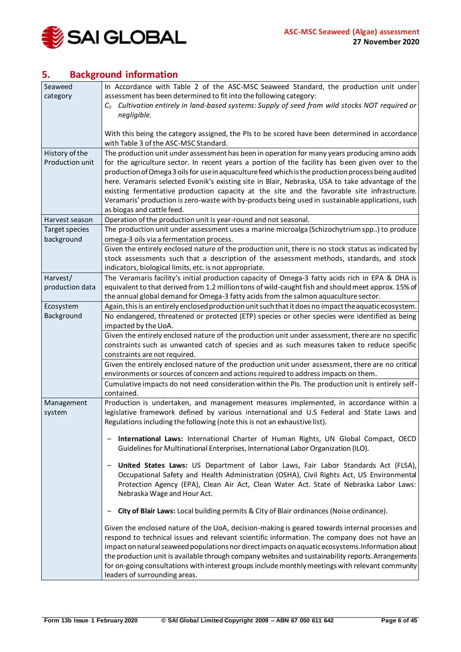

## <span id="page-5-0"></span>**5. Background information**

| Seaweed         | In Accordance with Table 2 of the ASC-MSC Seaweed Standard, the production unit under                                                                                      |  |  |
|-----------------|----------------------------------------------------------------------------------------------------------------------------------------------------------------------------|--|--|
| category        | assessment has been determined to fit into the following category:<br>$C_{ii}$ Cultivation entirely in land-based systems: Supply of seed from wild stocks NOT required or |  |  |
|                 |                                                                                                                                                                            |  |  |
|                 | negligible.                                                                                                                                                                |  |  |
|                 |                                                                                                                                                                            |  |  |
|                 | With this being the category assigned, the PIs to be scored have been determined in accordance                                                                             |  |  |
| History of the  | with Table 3 of the ASC-MSC Standard.<br>The production unit under assessment has been in operation for many years producing amino acids                                   |  |  |
| Production unit | for the agriculture sector. In recent years a portion of the facility has been given over to the                                                                           |  |  |
|                 | production of Omega 3 oils for use in aquaculture feed which is the production process being audited                                                                       |  |  |
|                 | here. Veramaris selected Evonik's existing site in Blair, Nebraska, USA to take advantage of the                                                                           |  |  |
|                 | existing fermentative production capacity at the site and the favorable site infrastructure.                                                                               |  |  |
|                 | Veramaris' production is zero-waste with by-products being used in sustainable applications, such                                                                          |  |  |
|                 | as biogas and cattle feed.                                                                                                                                                 |  |  |
| Harvest season  | Operation of the production unit is year-round and not seasonal.                                                                                                           |  |  |
| Target species  | The production unit under assessment uses a marine microalga (Schizochytrium spp) to produce                                                                               |  |  |
| background      | omega-3 oils via a fermentation process.                                                                                                                                   |  |  |
|                 | Given the entirely enclosed nature of the production unit, there is no stock status as indicated by                                                                        |  |  |
|                 | stock assessments such that a description of the assessment methods, standards, and stock                                                                                  |  |  |
|                 | indicators, biological limits, etc. is not appropriate.                                                                                                                    |  |  |
| Harvest/        | The Veramaris facility's initial production capacity of Omega-3 fatty acids rich in EPA & DHA is                                                                           |  |  |
| production data | equivalent to that derived from 1.2 million tons of wild-caught fish and should meet approx. 15% of                                                                        |  |  |
|                 | the annual global demand for Omega-3 fatty acids from the salmon aquaculture sector.                                                                                       |  |  |
| Ecosystem       | Again, this is an entirely enclosed production unit such that it does no impact the aquatic ecosystem.                                                                     |  |  |
| Background      | No endangered, threatened or protected (ETP) species or other species were identified as being                                                                             |  |  |
|                 | impacted by the UoA.                                                                                                                                                       |  |  |
|                 | Given the entirely enclosed nature of the production unit under assessment, there are no specific                                                                          |  |  |
|                 | constraints such as unwanted catch of species and as such measures taken to reduce specific                                                                                |  |  |
|                 | constraints are not required.                                                                                                                                              |  |  |
|                 | Given the entirely enclosed nature of the production unit under assessment, there are no critical                                                                          |  |  |
|                 | environments or sources of concern and actions required to address impacts on them.                                                                                        |  |  |
|                 | Cumulative impacts do not need consideration within the PIs. The production unit is entirely self-                                                                         |  |  |
| Management      | contained.<br>Production is undertaken, and management measures implemented, in accordance within a                                                                        |  |  |
| system          | legislative framework defined by various international and U.S Federal and State Laws and                                                                                  |  |  |
|                 | Regulations including the following (note this is not an exhaustive list).                                                                                                 |  |  |
|                 |                                                                                                                                                                            |  |  |
|                 | International Laws: International Charter of Human Rights, UN Global Compact, OECD                                                                                         |  |  |
|                 | Guidelines for Multinational Enterprises, International Labor Organization (ILO).                                                                                          |  |  |
|                 |                                                                                                                                                                            |  |  |
|                 | United States Laws: US Department of Labor Laws, Fair Labor Standards Act (FLSA),                                                                                          |  |  |
|                 | Occupational Safety and Health Administration (OSHA), Civil Rights Act, US Environmental                                                                                   |  |  |
|                 | Protection Agency (EPA), Clean Air Act, Clean Water Act. State of Nebraska Labor Laws:<br>Nebraska Wage and Hour Act.                                                      |  |  |
|                 |                                                                                                                                                                            |  |  |
|                 | City of Blair Laws: Local building permits & City of Blair ordinances (Noise ordinance).                                                                                   |  |  |
|                 | Given the enclosed nature of the UoA, decision-making is geared towards internal processes and                                                                             |  |  |
|                 | respond to technical issues and relevant scientific information. The company does not have an                                                                              |  |  |
|                 | impact on natural seaweed populations nor direct impacts on aquatic ecosystems. Information about                                                                          |  |  |
|                 | the production unit is available through company websites and sustainability reports. Arrangements                                                                         |  |  |
|                 | for on-going consultations with interest groups include monthly meetings with relevant community                                                                           |  |  |
|                 | leaders of surrounding areas.                                                                                                                                              |  |  |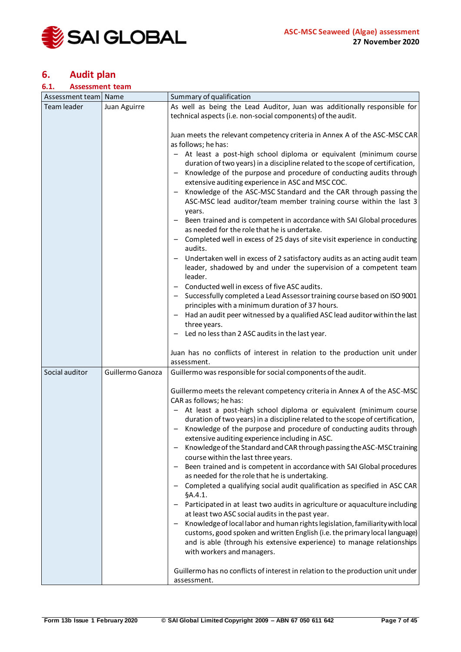

## <span id="page-6-0"></span>**6. Audit plan**

#### <span id="page-6-1"></span>**6.1. Assessment team**

| Assessment team   Name |                  | Summary of qualification                                                                                                                                                                                                                                                                                                                                                                                                                                                                                                                                                                                                                                                                                                                                                                                                                                                                                                                                                                                                                                                                                                                                                                                                                                                              |  |
|------------------------|------------------|---------------------------------------------------------------------------------------------------------------------------------------------------------------------------------------------------------------------------------------------------------------------------------------------------------------------------------------------------------------------------------------------------------------------------------------------------------------------------------------------------------------------------------------------------------------------------------------------------------------------------------------------------------------------------------------------------------------------------------------------------------------------------------------------------------------------------------------------------------------------------------------------------------------------------------------------------------------------------------------------------------------------------------------------------------------------------------------------------------------------------------------------------------------------------------------------------------------------------------------------------------------------------------------|--|
| Team leader            | Juan Aguirre     | As well as being the Lead Auditor, Juan was additionally responsible for<br>technical aspects (i.e. non-social components) of the audit.                                                                                                                                                                                                                                                                                                                                                                                                                                                                                                                                                                                                                                                                                                                                                                                                                                                                                                                                                                                                                                                                                                                                              |  |
|                        |                  | Juan meets the relevant competency criteria in Annex A of the ASC-MSC CAR<br>as follows; he has:<br>- At least a post-high school diploma or equivalent (minimum course<br>duration of two years) in a discipline related to the scope of certification,<br>Knowledge of the purpose and procedure of conducting audits through<br>-<br>extensive auditing experience in ASC and MSC COC.<br>Knowledge of the ASC-MSC Standard and the CAR through passing the<br>$\qquad \qquad -$<br>ASC-MSC lead auditor/team member training course within the last 3<br>years.<br>Been trained and is competent in accordance with SAI Global procedures<br>as needed for the role that he is undertake.<br>Completed well in excess of 25 days of site visit experience in conducting<br>audits.<br>Undertaken well in excess of 2 satisfactory audits as an acting audit team<br>leader, shadowed by and under the supervision of a competent team<br>leader.<br>Conducted well in excess of five ASC audits.<br>Successfully completed a Lead Assessor training course based on ISO 9001<br>principles with a minimum duration of 37 hours.<br>Had an audit peer witnessed by a qualified ASC lead auditor within the last<br>three years.<br>Led no less than 2 ASC audits in the last year. |  |
|                        |                  | Juan has no conflicts of interest in relation to the production unit under<br>assessment.                                                                                                                                                                                                                                                                                                                                                                                                                                                                                                                                                                                                                                                                                                                                                                                                                                                                                                                                                                                                                                                                                                                                                                                             |  |
| Social auditor         | Guillermo Ganoza | Guillermo was responsible for social components of the audit.                                                                                                                                                                                                                                                                                                                                                                                                                                                                                                                                                                                                                                                                                                                                                                                                                                                                                                                                                                                                                                                                                                                                                                                                                         |  |
|                        |                  | Guillermo meets the relevant competency criteria in Annex A of the ASC-MSC<br>CAR as follows; he has:<br>- At least a post-high school diploma or equivalent (minimum course<br>duration of two years) in a discipline related to the scope of certification,<br>Knowledge of the purpose and procedure of conducting audits through<br>$\qquad \qquad -$<br>extensive auditing experience including in ASC.<br>Knowledge of the Standard and CAR through passing the ASC-MSC training<br>course within the last three years.<br>Been trained and is competent in accordance with SAI Global procedures<br>as needed for the role that he is undertaking.<br>Completed a qualifying social audit qualification as specified in ASC CAR<br>§A.4.1.<br>Participated in at least two audits in agriculture or aquaculture including<br>at least two ASC social audits in the past year.<br>Knowledge of local labor and human rights legislation, familiarity with local<br>customs, good spoken and written English (i.e. the primary local language)<br>and is able (through his extensive experience) to manage relationships<br>with workers and managers.<br>Guillermo has no conflicts of interest in relation to the production unit under<br>assessment.                         |  |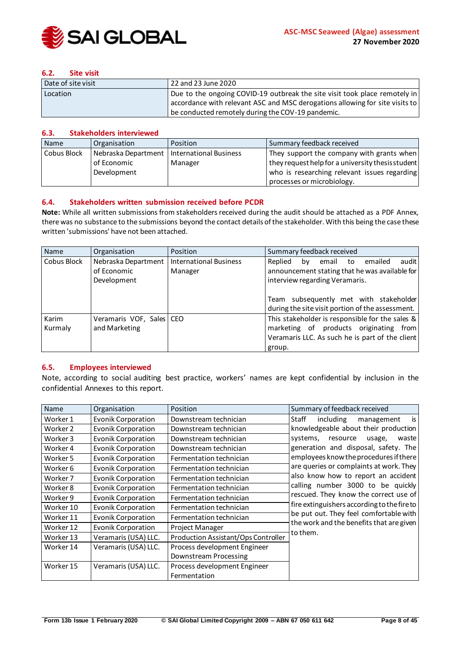

#### <span id="page-7-0"></span>**6.2. Site visit**

| Date of site visit | 22 and 23 June 2020                                                          |
|--------------------|------------------------------------------------------------------------------|
| Location           | Due to the ongoing COVID-19 outbreak the site visit took place remotely in   |
|                    | accordance with relevant ASC and MSC derogations allowing for site visits to |
|                    | be conducted remotely during the COV-19 pandemic.                            |

#### <span id="page-7-1"></span>**6.3. Stakeholders interviewed**

| <b>Name</b> | Organisation        | Position                      | Summary feedback received                         |
|-------------|---------------------|-------------------------------|---------------------------------------------------|
| Cobus Block | Nebraska Department | <b>International Business</b> | They support the company with grants when         |
|             | of Economic         | Manager                       | they request help for a university thesis student |
|             | Development         |                               | who is researching relevant issues regarding      |
|             |                     |                               | processes or microbiology.                        |

#### <span id="page-7-2"></span>**6.4. Stakeholders written submission received before PCDR**

**Note:** While all written submissions from stakeholders received during the audit should be attached as a PDF Annex, there was no substance to the submissions beyond the contact details of the stakeholder. With this being the case these written 'submissions' have not been attached.

| Name             | Organisation                                      | Position                                 | Summary feedback received                                                                                                                                                                                                       |
|------------------|---------------------------------------------------|------------------------------------------|---------------------------------------------------------------------------------------------------------------------------------------------------------------------------------------------------------------------------------|
| Cobus Block      | Nebraska Department<br>of Economic<br>Development | <b>International Business</b><br>Manager | emailed<br>audit<br>Replied<br>email to<br>by<br>announcement stating that he was available for<br>interview regarding Veramaris.<br>Team subsequently met with stakeholder<br>during the site visit portion of the assessment. |
| Karim<br>Kurmaly | Veramaris VOF, Sales   CEO<br>and Marketing       |                                          | This stakeholder is responsible for the sales &<br>marketing of products originating from<br>Veramaris LLC. As such he is part of the client<br>group.                                                                          |

#### <span id="page-7-3"></span>**6.5. Employees interviewed**

Note, according to social auditing best practice, workers' names are kept confidential by inclusion in the confidential Annexes to this report.

| Name      | Organisation              | Position                            | Summary of feedback received                                               |
|-----------|---------------------------|-------------------------------------|----------------------------------------------------------------------------|
| Worker 1  | <b>Evonik Corporation</b> | Downstream technician               | Staff<br>including<br>is<br>management                                     |
| Worker 2  | Evonik Corporation        | Downstream technician               | knowledgeable about their production                                       |
| Worker 3  | Evonik Corporation        | Downstream technician               | systems,<br>resource<br>usage,<br>waste                                    |
| Worker 4  | <b>Evonik Corporation</b> | Downstream technician               | generation and disposal, safety. The                                       |
| Worker 5  | <b>Evonik Corporation</b> | Fermentation technician             | employees know the procedures if there                                     |
| Worker 6  | Evonik Corporation        | Fermentation technician             | are queries or complaints at work. They                                    |
| Worker 7  | Evonik Corporation        | Fermentation technician             | also know how to report an accident                                        |
| Worker 8  | Evonik Corporation        | Fermentation technician             | calling number 3000 to be quickly<br>rescued. They know the correct use of |
| Worker 9  | <b>Evonik Corporation</b> | Fermentation technician             |                                                                            |
| Worker 10 | <b>Evonik Corporation</b> | Fermentation technician             | fire extinguishers according to the fire to                                |
| Worker 11 | <b>Evonik Corporation</b> | Fermentation technician             | be put out. They feel comfortable with                                     |
| Worker 12 | <b>Evonik Corporation</b> | Project Manager                     | the work and the benefits that are given                                   |
| Worker 13 | Veramaris (USA) LLC.      | Production Assistant/Ops Controller | to them.                                                                   |
| Worker 14 | Veramaris (USA) LLC.      | Process development Engineer        |                                                                            |
|           |                           | Downstream Processing               |                                                                            |
| Worker 15 | Veramaris (USA) LLC.      | Process development Engineer        |                                                                            |
|           |                           | Fermentation                        |                                                                            |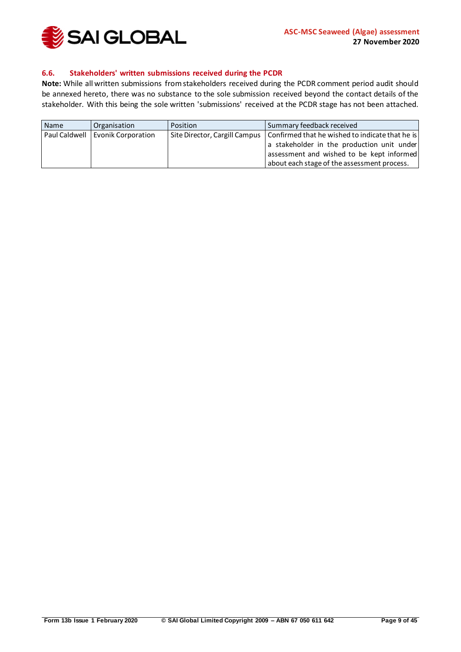

#### <span id="page-8-0"></span>**6.6. Stakeholders' written submissions received during the PCDR**

**Note:** While all written submissions from stakeholders received during the PCDR comment period audit should be annexed hereto, there was no substance to the sole submission received beyond the contact details of the stakeholder. With this being the sole written 'submissions' received at the PCDR stage has not been attached.

| Name | Organisation                       | Position | Summary feedback received                                                                                                                                                                                                 |
|------|------------------------------------|----------|---------------------------------------------------------------------------------------------------------------------------------------------------------------------------------------------------------------------------|
|      | Paul Caldwell   Evonik Corporation |          | Site Director, Cargill Campus   Confirmed that he wished to indicate that he is<br>a stakeholder in the production unit under<br>assessment and wished to be kept informed<br>about each stage of the assessment process. |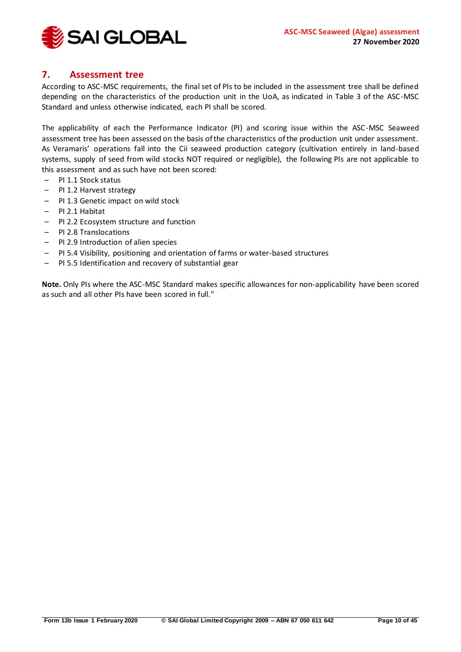## <span id="page-9-0"></span>**7. Assessment tree**

According to ASC-MSC requirements, the final set of PIs to be included in the assessment tree shall be defined depending on the characteristics of the production unit in the UoA, as indicated in Table 3 of the ASC-MSC Standard and unless otherwise indicated, each PI shall be scored.

The applicability of each the Performance Indicator (PI) and scoring issue within the ASC-MSC Seaweed assessment tree has been assessed on the basis of the characteristics of the production unit under assessment. As Veramaris' operations fall into the Cii seaweed production category (cultivation entirely in land-based systems, supply of seed from wild stocks NOT required or negligible), the following PIs are not applicable to this assessment and as such have not been scored:

- PI 1.1 Stock status
- PI 1.2 Harvest strategy
- PI 1.3 Genetic impact on wild stock
- PI 2.1 Habitat
- PI 2.2 Ecosystem structure and function
- PI 2.8 Translocations
- PI 2.9 Introduction of alien species
- PI 5.4 Visibility, positioning and orientation of farms or water-based structures
- PI 5.5 Identification and recovery of substantial gear

**Note.** Only PIs where the ASC-MSC Standard makes specific allowances for non-applicability have been scored as such and all other PIs have been scored in full."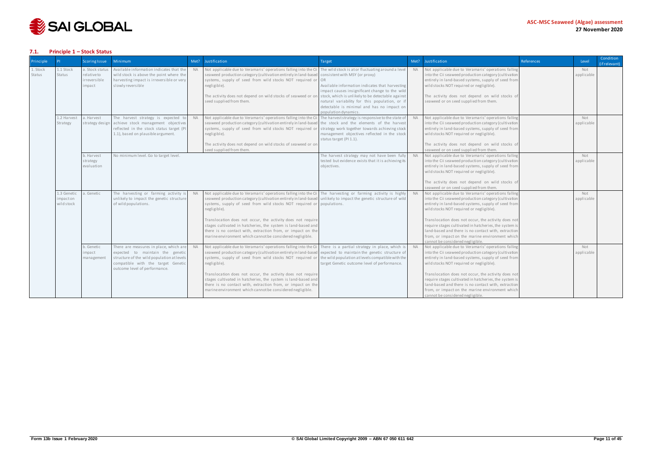

## <span id="page-10-0"></span>**7.1. Principle 1 – Stock Status**

| Principle          |                                      | <b>Scoring Issue</b>                                    | <b>Minimum</b>                                                                                                                                                                                  |           | Met? Justification                                                                                                                                                                                                                                                                                                                                                                                                                                                                                                                                                                     | Target                                                                                                                                                                                                                                                            | Met?      | Justification                                                                                                                                                                                                                                                                                                                                                                                                                                                                  | References | Level             | Condition<br>(if relevant) |
|--------------------|--------------------------------------|---------------------------------------------------------|-------------------------------------------------------------------------------------------------------------------------------------------------------------------------------------------------|-----------|----------------------------------------------------------------------------------------------------------------------------------------------------------------------------------------------------------------------------------------------------------------------------------------------------------------------------------------------------------------------------------------------------------------------------------------------------------------------------------------------------------------------------------------------------------------------------------------|-------------------------------------------------------------------------------------------------------------------------------------------------------------------------------------------------------------------------------------------------------------------|-----------|--------------------------------------------------------------------------------------------------------------------------------------------------------------------------------------------------------------------------------------------------------------------------------------------------------------------------------------------------------------------------------------------------------------------------------------------------------------------------------|------------|-------------------|----------------------------|
| 1. Stock<br>Status | 1.1 Stock<br>Status                  | a. Stock statu:<br>relativeto<br>irreversible<br>impact | Available information indicates that the<br>wild stock is above the point where the<br>harvesting impact is irreversible or very<br>slowly reversible                                           | <b>NA</b> | Not applicable due to Veramaris' operations falling into the Gi The wild stock is at or fluctuating around a leve<br>seaweed production category (cultivation entirely in land-based<br>systems, supply of seed from wild stocks NOT required or<br>negligible).<br>The activity does not depend on wild stocks of seaweed or on stock, which is unlikely to be detectable against<br>seed supplied from them.                                                                                                                                                                         | consistent with MSY (or proxy)<br>OR<br>Available information indicates that harvesting<br>impact causes insignificant change to the wild<br>natural variability for this population, or if<br>detectable is minimal and has no impact on<br>population dynamics. | <b>NA</b> | Not applicable due to Veramaris' operations falling<br>into the Cii seaweed production category (cultivation<br>entirely in land-based systems, supply of seed from<br>wild stocks NOT required or negligible).<br>The activity does not depend on wild stocks of<br>seaweed or on seed supplied from them.                                                                                                                                                                    |            | Not<br>applicable |                            |
|                    | 1.2 Harvest<br>Strategy              | a. Harvest<br>strategy design                           | The harvest strategy is expected to<br>achieve stock management objectives<br>reflected in the stock status target (PI<br>1.1), based on plausible argument.                                    | <b>NA</b> | Not applicable due to Veramaris' operations falling into the Cii<br>seaweed production category (cultivation entirely in land-based<br>systems, supply of seed from wild stocks NOT required or<br>negligible).<br>The activity does not depend on wild stocks of seaweed or on<br>seed supplied from them.                                                                                                                                                                                                                                                                            | The harvest strategy is responsive to the state of<br>the stock and the elements of the harvest<br>strategy work together towards achieving stock<br>management objectives reflected in the stock<br>status target (PI 1.1).                                      | <b>NA</b> | Not applicable due to Veramaris' operations falling<br>into the Cii seaweed production category (cultivation<br>entirely in land-based systems, supply of seed from<br>wild stocks NOT required or negligible).<br>The activity does not depend on wild stocks of<br>seaweed or on seed supplied from them.                                                                                                                                                                    |            | Not<br>applicable |                            |
|                    |                                      | b. Harvest<br>strategy<br>evaluation                    | No minimum level. Go to target level.                                                                                                                                                           |           |                                                                                                                                                                                                                                                                                                                                                                                                                                                                                                                                                                                        | The harvest strategy may not have been fully<br>tested but evidence exists that it is achieving its<br>objectives.                                                                                                                                                | <b>NA</b> | Not applicable due to Veramaris' operations falling<br>into the Cii seaweed production category (cultivation<br>entirely in land-based systems, supply of seed from<br>wild stocks NOT required or negligible).<br>The activity does not depend on wild stocks of<br>seaweed or on seed supplied from them.                                                                                                                                                                    |            | Not<br>applicable |                            |
|                    | 1.3 Genetic<br>mpacton<br>wild stock | a. Genetic                                              | The harvesting or farming activity is<br>unlikely to impact the genetic structure<br>of wild populations.                                                                                       | <b>NA</b> | Not applicable due to Veramaris' operations falling into the Cil The harvesting or farming activity is highly<br>seaweed production category (cultivation entirely in land-based unlikely to impact the genetic structure of wild<br>systems, supply of seed from wild stocks NOT required or populations.<br>negligible).<br>Translocation does not occur, the activity does not require<br>stages cultivated in hatcheries, the system is land-based and<br>there is no contact with, extraction from, or impact on the<br>marine environment which cannot be considered negligible. |                                                                                                                                                                                                                                                                   | <b>NA</b> | Not applicable due to Veramaris' operations falling<br>into the Cii seaweed production category (cultivation<br>entirely in land-based systems, supply of seed from<br>wild stocks NOT required or negligible).<br>Translocation does not occur, the activity does not<br>require stages cultivated in hatcheries, the system is<br>land-based and there is no contact with, extraction<br>from, or impact on the marine environment which<br>cannot be considered negligible. |            | Not<br>applicable |                            |
|                    |                                      | b. Genetic<br>mpact<br>management                       | There are measures in place, which are<br>expected to maintain the genetic<br>structure of the wild population at levels<br>compatible with the target Genetic<br>outcome level of performance. | <b>NA</b> | Not applicable due to Veramaris' operations falling into the Cii<br>seaweed production category (cultivation entirely in land-based<br>systems, supply of seed from wild stocks NOT required of<br>negligible).<br>Translocation does not occur, the activity does not require<br>stages cultivated in hatcheries, the system is land-based and<br>there is no contact with, extraction from, or impact on the<br>marine environment which cannot be considered negligible.                                                                                                            | There is a partial strategy in place, which is<br>expected to maintain the genetic structure of<br>the wild population at levels compatible with the<br>target Genetic outcome level of performance.                                                              | <b>NA</b> | Not applicable due to Veramaris' operations falling<br>into the Cii seaweed production category (cultivation<br>entirely in land-based systems, supply of seed from<br>wild stocks NOT required or negligible).<br>Translocation does not occur, the activity does not<br>require stages cultivated in hatcheries, the system is<br>land-based and there is no contact with, extraction<br>from, or impact on the marine environment which<br>cannot be considered negligible. |            | Not<br>applicable |                            |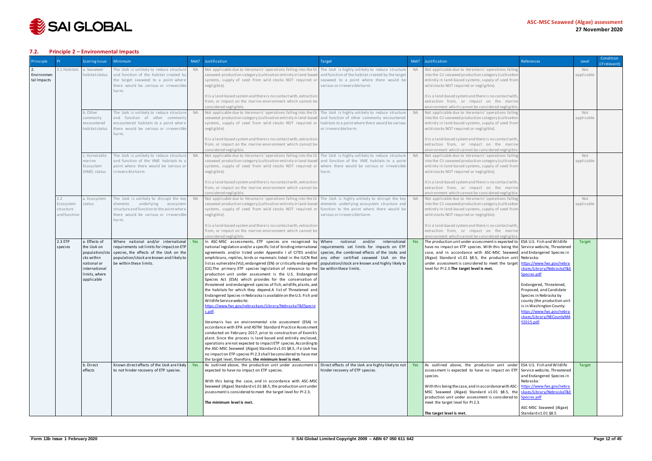

## <span id="page-11-0"></span>**7.2. Principle 2 – Environmental Impacts**

| Principle                 |                                        | <b>Scoring Issue</b>                                                                                                                    | <b>Minimum</b>                                                                                                                                                                                                                                  | Met?       | Justification                                                                                                                                                                                                                                                                                                                                                                                                                                                                                                                                                                                                                                                                                                                                                                                                                                                                                                                                                                                                                                                                                                                                                                                                                                                                                                                                                                                                                                                                                                                                                                                                                                               | Target                                                                                                                        | Met?       | Justification                                                                                                                                                                                                                                                                                                                                                                                                                                                                                                      | References                                                                                                                                                                                                                                                 | Level                   | Condition<br>(if relevant) |
|---------------------------|----------------------------------------|-----------------------------------------------------------------------------------------------------------------------------------------|-------------------------------------------------------------------------------------------------------------------------------------------------------------------------------------------------------------------------------------------------|------------|-------------------------------------------------------------------------------------------------------------------------------------------------------------------------------------------------------------------------------------------------------------------------------------------------------------------------------------------------------------------------------------------------------------------------------------------------------------------------------------------------------------------------------------------------------------------------------------------------------------------------------------------------------------------------------------------------------------------------------------------------------------------------------------------------------------------------------------------------------------------------------------------------------------------------------------------------------------------------------------------------------------------------------------------------------------------------------------------------------------------------------------------------------------------------------------------------------------------------------------------------------------------------------------------------------------------------------------------------------------------------------------------------------------------------------------------------------------------------------------------------------------------------------------------------------------------------------------------------------------------------------------------------------------|-------------------------------------------------------------------------------------------------------------------------------|------------|--------------------------------------------------------------------------------------------------------------------------------------------------------------------------------------------------------------------------------------------------------------------------------------------------------------------------------------------------------------------------------------------------------------------------------------------------------------------------------------------------------------------|------------------------------------------------------------------------------------------------------------------------------------------------------------------------------------------------------------------------------------------------------------|-------------------------|----------------------------|
| Environmen<br>tal Impacts | 2.1 Habitats                           | a. Seaweed-<br>habitat status                                                                                                           | The UoA is unlikely to reduce structure<br>and function of the habitat created by<br>the target seaweed to a point where<br>there would be serious or irreversible<br>harm.                                                                     | <b>NA</b>  | Not applicable due to Veramaris' operations falling into the Cii The UoA is highly unlikely to reduce structure<br>seaweed production category (cultivation entirely in land-based<br>systems, supply of seed from wild stocks NOT required or<br>negligible).<br>It is a land-based system and there is no contact with, extraction<br>from, or impact on the marine environment which cannot be                                                                                                                                                                                                                                                                                                                                                                                                                                                                                                                                                                                                                                                                                                                                                                                                                                                                                                                                                                                                                                                                                                                                                                                                                                                           | and function of the habitat created by the target<br>seaweed to a point where there would be<br>serious or irreversible harm. | <b>NA</b>  | Not applicable due to Veramaris' operations falling<br>into the Cii seaweed production category (cultivation<br>entirely in land-based systems, supply of seed from<br>wild stocks NOT required or negligible).<br>It is a land-based system and there is no contact with,<br>extraction from, or impact on the marine                                                                                                                                                                                             |                                                                                                                                                                                                                                                            | Not<br>applicable       |                            |
|                           |                                        | b. Other<br>commonly<br>encountered<br>ha bi ta t s ta tus                                                                              | The UoA is unlikely to reduce structure<br>and function of other commonly<br>encountered habitats to a point where<br>there would be serious or irreversible<br>harm.                                                                           | <b>NA</b>  | considered negligible.<br>Not applicable due to Veramaris' operations falling into the Cii The UoA is highly unlikely to reduce structure<br>seaweed production category (cultivation entirely in land-based<br>systems, supply of seed from wild stocks NOT required or<br>negligible).<br>It is a land-based system and there is no contact with, extraction                                                                                                                                                                                                                                                                                                                                                                                                                                                                                                                                                                                                                                                                                                                                                                                                                                                                                                                                                                                                                                                                                                                                                                                                                                                                                              | and function of other commonly encountered<br>habitats to a point where there would be serious<br>or irreversible harm.       | <b>NA</b>  | environment which cannot be considered negligible<br>Not applicable due to Veramaris' operations falling<br>into the Cii seaweed production category (cultivation<br>entirely in land-based systems, supply of seed from<br>wild stocks NOT required or negligible).<br>It is a land-based system and there is no contact with,                                                                                                                                                                                    |                                                                                                                                                                                                                                                            | Not<br>applicable       |                            |
|                           |                                        | c. Vulnerable<br>marine<br>Ecosystem<br>(VME) status                                                                                    | The UoA is unlikely to reduce structure<br>and function of the VME habitats to a<br>point where there would be serious or<br>irreversible harm                                                                                                  | <b>NA</b>  | from, or impact on the marine environment which cannot be<br>considered negligible.<br>Not applicable due to Veramaris' operations falling into the Cii The UoA is highly unlikely to reduce structure<br>seaweed production category (cultivation entirely in land-based and function of the VME habitats to a point<br>systems, supply of seed from wild stocks NOT required or<br>negligible).                                                                                                                                                                                                                                                                                                                                                                                                                                                                                                                                                                                                                                                                                                                                                                                                                                                                                                                                                                                                                                                                                                                                                                                                                                                           | where there would be serious or irreversible<br>harm.                                                                         | <b>NA</b>  | extraction from, or impact on the marine<br>environment which cannot be considered negligible<br>Not applicable due to Veramaris' operations falling<br>into the Cii seaweed production category (cultivation<br>entirely in land-based systems, supply of seed from<br>wild stocks NOT required or negligible).                                                                                                                                                                                                   |                                                                                                                                                                                                                                                            | Not<br>applicable       |                            |
|                           | 2.2                                    | a. Ecosystem                                                                                                                            | The UoA is unlikely to disrupt the key                                                                                                                                                                                                          | <b>NA</b>  | It is a land-based system and there is no contact with, extraction<br>from, or impact on the marine environment which cannot be<br>considered negligible.<br>Not applicable due to Veramaris' operations falling into the Cil The UoA is highly unlikely to disrupt the key                                                                                                                                                                                                                                                                                                                                                                                                                                                                                                                                                                                                                                                                                                                                                                                                                                                                                                                                                                                                                                                                                                                                                                                                                                                                                                                                                                                 |                                                                                                                               | <b>NA</b>  | It is a land-based system and there is no contact with,<br>extraction from, or impact on the marine<br>environment which cannot be considered negligible<br>Not applicable due to Veramaris' operations falling                                                                                                                                                                                                                                                                                                    |                                                                                                                                                                                                                                                            | Not                     |                            |
|                           | Ecosystem<br>structure<br>and functior | status                                                                                                                                  | elements<br>underlying ecosystem<br>structure and function to the point where<br>there would be serious or irreversible<br>harm.                                                                                                                |            | seaweed production category (cultivation entirely in land-based elements underlying ecosystem structure and<br>systems, supply of seed from wild stocks NOT required or<br>negligible).                                                                                                                                                                                                                                                                                                                                                                                                                                                                                                                                                                                                                                                                                                                                                                                                                                                                                                                                                                                                                                                                                                                                                                                                                                                                                                                                                                                                                                                                     | function to the point where there would be<br>serious or irreversible harm.                                                   |            | into the Cii seaweed production category (cultivation<br>entirely in land-based systems, supply of seed from<br>wild stocks NOT required or negligible).                                                                                                                                                                                                                                                                                                                                                           |                                                                                                                                                                                                                                                            | applicable              |                            |
|                           |                                        |                                                                                                                                         |                                                                                                                                                                                                                                                 |            | It is a land-based system and there is no contact with, extraction<br>from, or impact on the marine environment which cannot be<br>considered negligible.                                                                                                                                                                                                                                                                                                                                                                                                                                                                                                                                                                                                                                                                                                                                                                                                                                                                                                                                                                                                                                                                                                                                                                                                                                                                                                                                                                                                                                                                                                   |                                                                                                                               |            | It is a land-based system and there is no contact with,<br>extraction from, or impact on the marine<br>environment which cannot be considered negligible                                                                                                                                                                                                                                                                                                                                                           |                                                                                                                                                                                                                                                            |                         |                            |
|                           | 2.3 ETP<br>s peci es                   | a. Effects of<br>the UoA on<br>population/sto<br>cks within<br>national or<br>international<br>limits, where<br>applicable<br>b. Direct | Where national and/or international<br>requirements set limits for impact on ETP<br>species, the effects of the UoA on the<br>population/stock are known and likely to<br>be within these limits.<br>Known direct effects of the UoA are likely | Yes<br>Yes | In ASC-MSC assessments, ETP species are recognized by Where national<br>national legislation and/or a specific list of binding international requirements set limits for impacts on ETP<br>agreements and/or listed under Appendix I of CITES and/or species, the combined effects of the UoAs and<br>amphibians, reptiles, birds or mammals listed in the IUCN Red any other certified seaweed UoA on the<br>list as vulnerable (VU), endangered (EN) or critically endangered   population/stock are known and highly likely to<br>(CE). The primary ETP species legislation of relevance to the be within these limits.<br>production unit under assessment is the U.S. Endangered<br>Species Act (ESA) which provides for the conservation of<br>threatened and endangered species of fish, wildlife, plants, and<br>the habitats for which they depend.A list of Threatened and<br>Endangered Species in Nebraska is available on the U.S. Fish and<br>Wildlife Service website:<br>https://www.fws.gov/nebraskaes/Library/NebraskaT&ESpecie<br><u>s.pdf.</u><br>Veramaris has an environmental site assessment (ESA) in<br>accordance with EPA and ASTM Standard Practice Assessment<br>conducted on February 2017, prior to construction of Evonik's<br>plant. Since the process is land based and entirely enclosed,<br>operations are not expected to impact ETP species. According to<br>the ASC-MSC Seaweed (Algae) Standard v1.01 §8.5, if a UoA has<br>no impact on ETP species PI 2.3 shall be considered to have met<br>the target level; therefore, the minimum level is met.<br>As outlined above, the production unit under assessment is | and/or<br>international<br>Direct effects of the UoA are highly likely to not                                                 | Yes<br>Yes | The production unit under assessment is expected to ESA U.S. Fish and Wildlife<br>have no impact on ETP species. With this being the Service website, Threatened<br>case, and in accordance with ASC-MSC Seaweed and Endangered Species in<br>(Algae) Standard v1.01 §8.5, the production unit Nebraska:<br>under assessment is considered to meet the target   https://www.fws.gov/nebra<br>level for PI 2.3. The target level is met.<br>As outlined above, the production unit under ESA U.S. Fish and Wildlife | skaes/Library/NebraskaT&E<br>Species.pdf<br>Endangered, Threatened,<br>Proposed, and Candidate<br>Species in Nebraska by<br>county (the production unit<br>is in Washington County:<br>https://www.fws.gov/nebra<br>skaes/Library/NECountyMA<br>Y2015.pdf. | <b>Target</b><br>Target |                            |
|                           |                                        | effects                                                                                                                                 | to not hinder recovery of ETP species.                                                                                                                                                                                                          |            | expected to have no impact on ETP species.<br>With this being the case, and in accordance with ASC-MSC<br>Seaweed (Algae) Standard v1.01 §8.5, the production unit under<br>assessment is considered to meet the target level for PI 2.3.                                                                                                                                                                                                                                                                                                                                                                                                                                                                                                                                                                                                                                                                                                                                                                                                                                                                                                                                                                                                                                                                                                                                                                                                                                                                                                                                                                                                                   | hinder recovery of ETP species.                                                                                               |            | assessment is expected to have no impact on ETP Service website, Threatened<br>species.<br>With this being the case, and in accordance with ASC-   https://www.fws.gov/nebra<br>MSC Seaweed (Algae) Standard v1.01 §8.5, the skaes/Library/NebraskaT&E                                                                                                                                                                                                                                                             | and Endangered Species in<br>Nebraska:                                                                                                                                                                                                                     |                         |                            |
|                           |                                        |                                                                                                                                         |                                                                                                                                                                                                                                                 |            | The minimum level is met.                                                                                                                                                                                                                                                                                                                                                                                                                                                                                                                                                                                                                                                                                                                                                                                                                                                                                                                                                                                                                                                                                                                                                                                                                                                                                                                                                                                                                                                                                                                                                                                                                                   |                                                                                                                               |            | production unit under assessment is considered to Species.pdf<br>meet the target level for PI 2.3.<br>The target level is met.                                                                                                                                                                                                                                                                                                                                                                                     | ASC-MSC Seaweed (Algae)<br>Standard v1.01 §8.5                                                                                                                                                                                                             |                         |                            |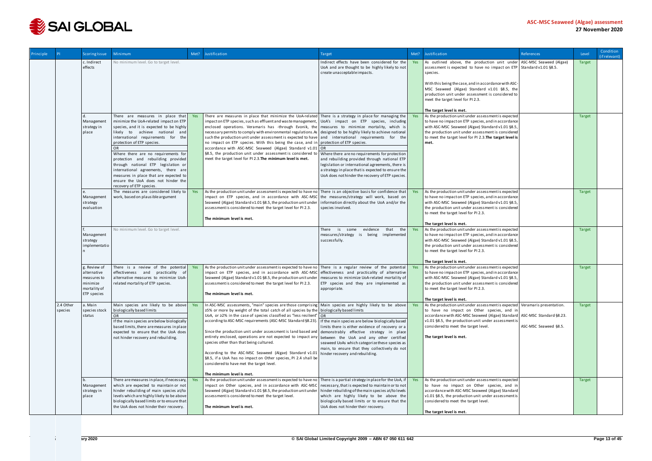

| Principle |           | <b>Scoring Issue</b>                    | Minimum                                                                                   | Met? | Justification                                                                                                                                                                                                       | <b>Target</b>                                                                                                                   | Met? | Justification                                                                                                                                                                                          | <b>References</b>     | Level         | Condition<br>(if relevant) |
|-----------|-----------|-----------------------------------------|-------------------------------------------------------------------------------------------|------|---------------------------------------------------------------------------------------------------------------------------------------------------------------------------------------------------------------------|---------------------------------------------------------------------------------------------------------------------------------|------|--------------------------------------------------------------------------------------------------------------------------------------------------------------------------------------------------------|-----------------------|---------------|----------------------------|
|           |           | c. Indirect<br>effects                  | No minimum level. Go to target level.                                                     |      |                                                                                                                                                                                                                     | Indirect effects have been considered for the<br>UoA and are thought to be highly likely to not<br>create unacceptable impacts. | Yes  | As outlined above, the production unit under ASC-MSC Seaweed (Algae)<br>assessment is expected to have no impact on ETP Standard v1.01 $\S$ 8.5.<br>species.                                           |                       | Target        |                            |
|           |           |                                         |                                                                                           |      |                                                                                                                                                                                                                     |                                                                                                                                 |      | With this being the case, and in accordance with ASC-<br>MSC Seaweed (Algae) Standard v1.01 §8.5, the<br>production unit under assessment is considered to<br>meet the target level for PI 2.3.        |                       |               |                            |
|           |           |                                         |                                                                                           |      |                                                                                                                                                                                                                     |                                                                                                                                 |      |                                                                                                                                                                                                        |                       |               |                            |
|           |           |                                         | There are measures in place that Yes                                                      |      | There are measures in place that minimize the UoA-related There is a strategy in place for managing the                                                                                                             |                                                                                                                                 | Yes  | The target level is met.<br>As the production unit under assessment is expected                                                                                                                        |                       | <b>Target</b> |                            |
|           |           | Management                              | minimize the UoA-related impact on ETP                                                    |      | impact on ETP species, such as effluent and waste management, UoA's impact on ETP species, including                                                                                                                |                                                                                                                                 |      | to have no impact on ETP species, and in accordance                                                                                                                                                    |                       |               |                            |
|           |           | strategy in<br>place                    | species, and it is expected to be highly<br>likely to achieve national and                |      | enclosed operations. Veramaris has -through Evonik, the measures to minimize mortality, which is<br>necessary permits to comply with environmental regulations. As designed to be highly likely to achieve national |                                                                                                                                 |      | with ASC-MSC Seaweed (Algae) Standard v1.01 §8.5,<br>the production unit under assessment is considered                                                                                                |                       |               |                            |
|           |           |                                         | international requirements for the                                                        |      | such the production unit under assessment is expected to have and international requirements for the                                                                                                                |                                                                                                                                 |      | to meet the target level for PI 2.3. The target level is                                                                                                                                               |                       |               |                            |
|           |           |                                         | protection of ETP species.<br><b>OR</b>                                                   |      | no impact on ETP species. With this being the case, and in protection of ETP species.<br>accordance with ASC-MSC Seaweed (Algae) Standard v1.01 OR                                                                  |                                                                                                                                 |      | met.                                                                                                                                                                                                   |                       |               |                            |
|           |           |                                         | Where there are no requirements for                                                       |      | §8.5, the production unit under assessment is considered to                                                                                                                                                         | Where there are no requirements for protection                                                                                  |      |                                                                                                                                                                                                        |                       |               |                            |
|           |           |                                         | protection and rebuilding provided<br>through national ETP legislation or                 |      | meet the target level for PI 2.3. The minimum level is met.                                                                                                                                                         | and rebuilding provided through national ETP<br>legislation or international agreements, there is                               |      |                                                                                                                                                                                                        |                       |               |                            |
|           |           |                                         | international agreements, there are                                                       |      |                                                                                                                                                                                                                     | a strategy in place that is expected to ensure the                                                                              |      |                                                                                                                                                                                                        |                       |               |                            |
|           |           |                                         | measures in place that are expected to<br>ensure the UoA does not hinder the              |      |                                                                                                                                                                                                                     | UoA does not hinder the recovery of ETP species.                                                                                |      |                                                                                                                                                                                                        |                       |               |                            |
|           |           |                                         | recovery of ETP species.                                                                  |      |                                                                                                                                                                                                                     |                                                                                                                                 |      |                                                                                                                                                                                                        |                       |               |                            |
|           |           | Management                              | The measures are considered likely to Yes<br>work, based on plausible argument            |      | As the production unit under assessment is expected to have no<br>impact on ETP species, and in accordance with ASC-MSC the measures/strategy will work, based on                                                   | There is an objective basis for confidence that                                                                                 | Yes  | As the production unit under assessment is expected<br>to have no impact on ETP species, and in accordance                                                                                             |                       | <b>Target</b> |                            |
|           |           | strategy                                |                                                                                           |      | Seaweed (Algae) Standard v1.01 §8.5, the production unit under                                                                                                                                                      | information directly about the UoA and/or the                                                                                   |      | with ASC-MSC Seaweed (Algae) Standard v1.01 §8.5,                                                                                                                                                      |                       |               |                            |
|           |           | evaluation                              |                                                                                           |      | assessment is considered to meet the target level for PI 2.3.                                                                                                                                                       | species involved.                                                                                                               |      | the production unit under assessment is considered<br>to meet the target level for PI 2.3.                                                                                                             |                       |               |                            |
|           |           |                                         |                                                                                           |      | The minimum level is met.                                                                                                                                                                                           |                                                                                                                                 |      |                                                                                                                                                                                                        |                       |               |                            |
|           |           |                                         | No minimum level. Go to target level.                                                     |      |                                                                                                                                                                                                                     | There is some<br>evidence<br>that the                                                                                           | Yes  | The target level is met.<br>As the production unit under assessment is expected                                                                                                                        |                       | Target        |                            |
|           |           | Management<br>strategy<br>implementatio |                                                                                           |      |                                                                                                                                                                                                                     | measures/strategy is being implemented<br>successfully.                                                                         |      | to have no impact on ETP species, and in accordance<br>with ASC-MSC Seaweed (Algae) Standard v1.01 §8.5,<br>the production unit under assessment is considered<br>to meet the target level for PI 2.3. |                       |               |                            |
|           |           |                                         |                                                                                           |      |                                                                                                                                                                                                                     |                                                                                                                                 |      | The target level is met.                                                                                                                                                                               |                       |               |                            |
|           |           | g. Review of                            | There is a review of the potential Yes                                                    |      | As the production unit under assessment is expected to have no There is a regular review of the potential                                                                                                           |                                                                                                                                 | Yes  | As the production unit under assessment is expected                                                                                                                                                    |                       | <b>Target</b> |                            |
|           |           | alternative<br>measures to              | effectiveness and practicality of<br>alternative measures to minimize UoA-                |      | impact on ETP species, and in accordance with ASC-MSC<br>Seaweed (Algae) Standard v1.01 §8.5, the production unit under                                                                                             | effectiveness and practicality of alternative<br>measures to minimize UoA-related mortality of                                  |      | to have no impact on ETP species, and in accordance<br>with ASC-MSC Seaweed (Algae) Standard v1.01 §8.5,                                                                                               |                       |               |                            |
|           |           | minimize<br>mortality of                | related mortality of ETP species.                                                         |      | assessment is considered to meet the target level for PI 2.3.                                                                                                                                                       | ETP species and they are implemented as                                                                                         |      | the production unit under assessment is considered<br>to meet the target level for PI 2.3.                                                                                                             |                       |               |                            |
|           |           | ETP species                             |                                                                                           |      | The minimum level is met.                                                                                                                                                                                           | appropriate.                                                                                                                    |      |                                                                                                                                                                                                        |                       |               |                            |
|           | 2.4 Other | a. Main                                 | Main species are likely to be above Yes                                                   |      | In ASC-MSC assessments, "main" species are those comprising Main species are highly likely to be above                                                                                                              |                                                                                                                                 | Yes  | The target level is met.<br>As the production unit under assessment is expected Veramaris presentation.                                                                                                |                       | Target        |                            |
|           | species   | species stock                           | biologically based limits                                                                 |      | ≥5% or more by weight of the total catch of all species by the biologically based limits                                                                                                                            |                                                                                                                                 |      | to have no impact on Other species, and in                                                                                                                                                             |                       |               |                            |
|           |           | status                                  | OR<br>If the main species are below biologically                                          |      | UoA, or $\geq$ 2% in the case of species classified as "less resilient" OR<br>according to ASC-MSC requirements (ASC-MSC Standard §8.23). If the main species are below biologically based                          |                                                                                                                                 |      | accordance with ASC-MSC Seaweed (Algae) Standard   ASC-MSC Standard §8.23.<br>v1.01 §8.5, the production unit under assessment is                                                                      |                       |               |                            |
|           |           |                                         | based limits, there are measures in place                                                 |      |                                                                                                                                                                                                                     | limits there is either evidence of recovery or a                                                                                |      | considered to meet the target level.                                                                                                                                                                   | ASC-MSC Seaweed §8.5. |               |                            |
|           |           |                                         | expected to ensure that the UoA does<br>not hinder recovery and rebuilding.               |      | Since the production unit under assessment is land based and<br>entirely enclosed, operations are not expected to impact any                                                                                        | demonstrably effective strategy in place<br>between the UoA and any other certified                                             |      | The target level is met.                                                                                                                                                                               |                       |               |                            |
|           |           |                                         |                                                                                           |      | species other than that being cultured.                                                                                                                                                                             | seaweed UoAs which categorize these species as                                                                                  |      |                                                                                                                                                                                                        |                       |               |                            |
|           |           |                                         |                                                                                           |      | According to the ASC-MSC Seaweed (Algae) Standard v1.01<br>§8.5, if a UoA has no impact on Other species, PI 2.4 shall be<br>considered to have met the target level.                                               | main, to ensure that they collectively do not<br>hinder recovery and rebuilding.                                                |      |                                                                                                                                                                                                        |                       |               |                            |
|           |           |                                         |                                                                                           |      | The minimum level is met.                                                                                                                                                                                           |                                                                                                                                 |      |                                                                                                                                                                                                        |                       |               |                            |
|           |           | Management                              | There are measures in place, if necessary, Yes<br>which are expected to maintain or not   |      | As the production unit under assessment is expected to have no There is a partial strategy in place for the UoA, if<br>impact on Other species, and in accordance with ASC-MSC                                      | necessary, that is expected to maintain or to not                                                                               | Yes  | As the production unit under assessment is expected<br>to have no impact on Other species, and in                                                                                                      |                       | <b>Target</b> |                            |
|           |           | strategy in                             | hinder rebuilding of main species at/to                                                   |      | Seaweed (Algae) Standard v1.01 §8.5, the production unit under                                                                                                                                                      | hinder rebuilding of the main species at/to levels                                                                              |      | accordance with ASC-MSC Seaweed (Algae) Standard                                                                                                                                                       |                       |               |                            |
|           |           | place                                   | levels which are highly likely to be above<br>biologically based limits or to ensure that |      | assessment is considered to meet the target level.                                                                                                                                                                  | which are highly likely to be above the<br>biologically based limits or to ensure that the                                      |      | v1.01 §8.5, the production unit under assessment is<br>considered to meet the target level.                                                                                                            |                       |               |                            |
|           |           |                                         | the UoA does not hinder their recovery.                                                   |      | The minimum level is met.                                                                                                                                                                                           | UoA does not hinder their recovery.                                                                                             |      |                                                                                                                                                                                                        |                       |               |                            |
|           |           |                                         |                                                                                           |      |                                                                                                                                                                                                                     |                                                                                                                                 |      | The target level is met.                                                                                                                                                                               |                       |               |                            |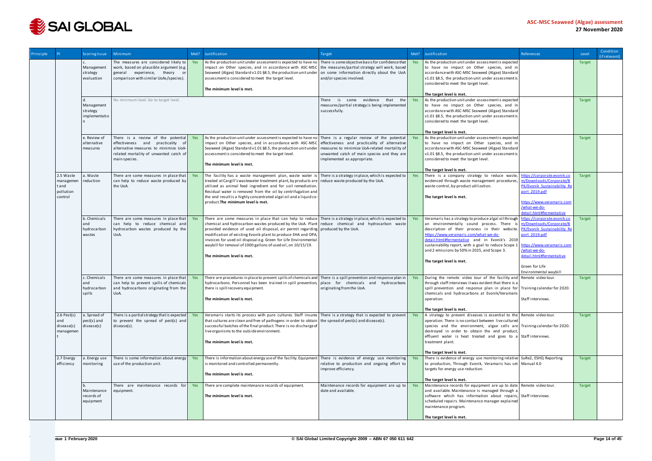

| Principle |                                                        | Scoring Issue                                | Minimum                                                                                                                                                                     | Met? | Justification                                                                                                                                                                                                                                                                                                                                                                                                                                                                                                                           | Target                                                                                                                                                                       |     | Met? Justification                                                                                                                                                                                                                                                                                                                                                                                                                         | References                                                                                                                                                                      | Level         | Condition<br>(if relevant) |
|-----------|--------------------------------------------------------|----------------------------------------------|-----------------------------------------------------------------------------------------------------------------------------------------------------------------------------|------|-----------------------------------------------------------------------------------------------------------------------------------------------------------------------------------------------------------------------------------------------------------------------------------------------------------------------------------------------------------------------------------------------------------------------------------------------------------------------------------------------------------------------------------------|------------------------------------------------------------------------------------------------------------------------------------------------------------------------------|-----|--------------------------------------------------------------------------------------------------------------------------------------------------------------------------------------------------------------------------------------------------------------------------------------------------------------------------------------------------------------------------------------------------------------------------------------------|---------------------------------------------------------------------------------------------------------------------------------------------------------------------------------|---------------|----------------------------|
|           |                                                        | Management<br>strategy<br>evaluation         | The measures are considered likely to<br>work, based on plausible argument (e.g.<br>experience, theory<br>general<br>or<br>comparison with similar UoAs/species).           | Yes  | As the production unit under assessment is expected to have no There is some objective basis for confidence that<br>impact on Other species, and in accordance with ASC-MSC the measures/partial strategy will work, based<br>Seaweed (Algae) Standard v1.01 §8.5, the production unit under<br>assessment is considered to meet the target level.<br>The minimum level is met.                                                                                                                                                         | on some information directly about the UoA<br>and/or species involved.                                                                                                       | Yes | As the production unit under assessment is expected<br>to have no impact on Other species, and in<br>accordance with ASC-MSC Seaweed (Algae) Standard<br>v1.01 §8.5, the production unit under assessment is<br>considered to meet the target level.                                                                                                                                                                                       |                                                                                                                                                                                 | <b>Target</b> |                            |
|           |                                                        | Management<br>strategy<br>implementatio      | No minimum level. Go to target level.                                                                                                                                       |      |                                                                                                                                                                                                                                                                                                                                                                                                                                                                                                                                         | There is some<br>evidence that the<br>measures/partial strategy is being implemented<br>successfully.                                                                        | Yes | The target level is met.<br>As the production unit under assessment is expected<br>to have no impact on Other species, and in<br>accordance with ASC-MSC Seaweed (Algae) Standard<br>v1.01 §8.5, the production unit under assessment is<br>considered to meet the target level.                                                                                                                                                           |                                                                                                                                                                                 | <b>Target</b> |                            |
|           |                                                        | e. Review of<br>alternative<br>measures      | There is a review of the potential<br>effectiveness and practicality of<br>alternative measures to minimize UoA-<br>related mortality of unwanted catch of<br>main species. | Yes  | As the production unit under assessment is expected to have no There is a regular review of the potential<br>impact on Other species, and in accordance with ASC-MSC<br>Seaweed (Algae) Standard v1.01 §8.5, the production unit under<br>assessment is considered to meet the target level.<br>The minimum level is met.                                                                                                                                                                                                               | effectiveness and practicality of alternative<br>measures to minimize UoA-related mortality of<br>unwanted catch of main species and they are<br>implemented as appropriate. | Yes | The target level is met.<br>As the production unit under assessment is expected<br>to have no impact on Other species, and in<br>accordance with ASC-MSC Seaweed (Algae) Standard<br>v1.01 §8.5, the production unit under assessment is<br>considered to meet the target level.<br>The target level is met.                                                                                                                               |                                                                                                                                                                                 | <b>Target</b> |                            |
|           | 2.5 Waste<br>managemen<br>tand<br>pollution<br>control | a. Waste<br>reduction                        | There are some measures in place that<br>can help to reduce waste produced by<br>the UoA.                                                                                   | Yes  | The facility has a waste management plan, waste water is<br>treated at Cargill's wastewater treatment plant, by products are<br>utilized as animal feed ingredient and for soil remediation.<br>Residual water is removed from the oil by centrifugation and<br>the end result is a highly concentrated algal oil and a liquid co-<br>product. The minimum level is met.                                                                                                                                                                | There is a strategy in place, which is expected to<br>reduce waste produced by the UoA.                                                                                      | Yes | There is a company strategy to reduce waste,<br>evidenced through waste management procedures<br>waste control, by-product utilization.<br>The target level is met.                                                                                                                                                                                                                                                                        | https://corporate.evonik.co<br>m/Downloads/Corporate/B<br>PK/Evonik Sustainability Re<br>port 2019.pdf<br>https://www.veramaris.com<br>/what-we-do-<br>detail.html#fermentative | <b>Target</b> |                            |
|           |                                                        | b. Chemicals<br>and<br>hydrocarbon<br>wastes | There are some measures in place that<br>can help to reduce chemical and<br>hydrocarbon wastes produced by the<br>UoA.                                                      | Yes  | There are some measures in place that can help to reduce There is a strategy in place, which is expected to<br>chemical and hydrocarbon wastes produced by the UoA. Plant reduce chemical and hydrocarbon waste<br>provided evidence of used oil disposal, air permit regarding produced by the UoA.<br>modification of existing Evonik plant to produce EHA and DPA,<br>invoices for used oil disposal e.g. Green for Life Environmental<br>waybill for removal of 1000 gallons of used oil, on 10/15/19.<br>The minimum level is met. |                                                                                                                                                                              | Yes | Veramaris has a strategy to produce algal oil through   https://corporate.evonik.co<br>an environmentally sound process. There<br>description of their process in their website. PK/Evonik Sustainability Re<br>Https://www.veramaris.com/what-we-do-<br>detail.html#fermentative and in Evonik's 2019<br>sustainability report, with a goal to reduce Scope 1<br>and 2 emissions by 50% in 2025, and Scope 3.<br>The target level is met. | m/Downloads/Corporate/B<br>port 2019.pdf<br>https://www.veramaris.com<br>/what-we-do-<br>detail.html#fermentative<br>Green for Life                                             | <b>Target</b> |                            |
|           |                                                        | . Chemicals<br>and<br>hydrocarbon<br>spills  | There are some measures in place that<br>can help to prevent spills of chemicals<br>and hydrocarbons originating from the<br>UoA.                                           | Yes  | There are procedures in place to prevent spills of chemicals and There is a spill prevention and response plan in<br>hydrocarbons. Personnel has been trained in spill prevention, place for chemicals and hydrocarbons<br>there is spill recovery equipment.<br>The minimum level is met.                                                                                                                                                                                                                                              | originating from the UoA.                                                                                                                                                    | Yes | During the remote video tour of the facility and Remote video tour.<br>through staff interviews it was evident that there is a<br>spill prevention and response plan in place for Training calendar for 2020.<br>chemicals and hydrocarbons at Evonik/Veramaris<br>operation.<br>The target level is met.                                                                                                                                  | Environmental waybill<br>Staff interviews.                                                                                                                                      | <b>Target</b> |                            |
|           | $2.6$ Pest(s)<br>and<br>disease(s)<br>managemen        | a. Spread of<br>pest(s) and<br>disease(s)    | There is a partial strategy that is expected   Yes<br>to prevent the spread of pest(s) and<br>disease(s).                                                                   |      | Veramaris starts its process with pure cultures. Staff insures There is a strategy that is expected to prevent<br>that cultures are clean and free of pathogens in order to obtain the spread of pest(s) and disease(s).<br>successful batches of the final product. There is no discharge of<br>live organisms to the outside environment.<br>The minimum level is met.                                                                                                                                                                |                                                                                                                                                                              |     | A strategy to prevent diseases is essential to the Remote video tour.<br>operation. There is no contact between live cultured<br>species and the environment, algae cells are Training calendar for 2020.<br>destroyed in order to obtain the end product,<br>effluent water is heat treated and goes to a Staffinterviews.<br>treatment plant.<br>The target level is met.                                                                |                                                                                                                                                                                 | Target        |                            |
|           | 2.7 Energy<br>efficiency                               | a. Energy use<br>monitoring                  | There is some information about energy<br>use of the production unit.                                                                                                       | Yes  | There is information about energy use of the facility. Equipment<br>is monitored and controlled permanently.<br>The minimum level is met.                                                                                                                                                                                                                                                                                                                                                                                               | There is evidence of energy use monitoring<br>relative to production and ongoing effort to<br>improve efficiency.                                                            |     | There is evidence of energy use monitoring relative   SuRe2, ESHQ Reporting<br>to production, Through Evonik, Veramaris has set   Manual 4.0<br>targets for energy use reduction.<br>The target level is met.                                                                                                                                                                                                                              |                                                                                                                                                                                 | Target        |                            |
|           |                                                        | Maintenance<br>records of<br>equipment       | There are maintenance records for<br>equipment.                                                                                                                             | Yes  | There are complete maintenance records of equipment.<br>The minimum level is met.                                                                                                                                                                                                                                                                                                                                                                                                                                                       | Maintenance records for equipment are up to<br>date and available.                                                                                                           | Yes | Maintenance records for equipment are up to date   Remote video tour.<br>and available. Maintenance is managed through a<br>software which has information about repairs, Staff interviews.<br>scheduled repairs. Maintenance manager explained<br>maintenance program.<br>The target level is met.                                                                                                                                        |                                                                                                                                                                                 | Target        |                            |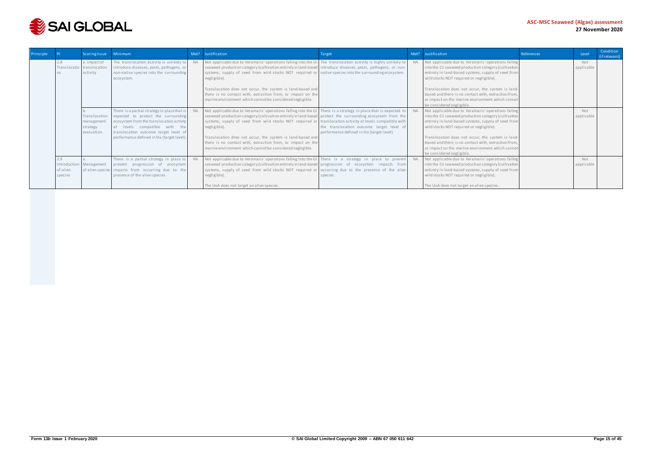

| Principle |                            | Scoring Issue                                          | Minimum                                                                                                                                                                                                                                                  | Met?      | Justification                                                                                                                                                                                                                                                                                                                                                                                                                                                                                                                                           | Target                                                                                  | Met? | Justification                                                                                                                                                                                                                                                                                                                                                                                                 | References | Level             | Condition<br>(if relevant) |
|-----------|----------------------------|--------------------------------------------------------|----------------------------------------------------------------------------------------------------------------------------------------------------------------------------------------------------------------------------------------------------------|-----------|---------------------------------------------------------------------------------------------------------------------------------------------------------------------------------------------------------------------------------------------------------------------------------------------------------------------------------------------------------------------------------------------------------------------------------------------------------------------------------------------------------------------------------------------------------|-----------------------------------------------------------------------------------------|------|---------------------------------------------------------------------------------------------------------------------------------------------------------------------------------------------------------------------------------------------------------------------------------------------------------------------------------------------------------------------------------------------------------------|------------|-------------------|----------------------------|
|           |                            | a. Impact of<br>Translocatio translocation<br>activity | The translocation activity is unlikely to<br>introduce diseases, pests, pathogens, or<br>non-native species into the surrounding<br>ecosystem.                                                                                                           | <b>NA</b> | Not applicable due to Veramaris' operations falling into the Cil The translocation activity is highly unlikely to<br>seaweed production category (cultivation entirely in land-based introduce diseases, pests, pathogens, or non-<br>systems, supply of seed from wild stocks NOT required or native species into the surrounding ecosystem.<br>negligible).<br>Translocation does not occur, the system is land-based and<br>there is no contact with, extraction from, or impact on the<br>marine environment which cannot be considered negligible. |                                                                                         |      | Not applicable due to Veramaris' operations falling<br>into the Cii seaweed production category (cultivation<br>entirely in land-based systems, supply of seed from<br>wild stocks NOT required or negligible).<br>Translocation does not occur, the system is land-<br>based and there is no contact with, extraction from,<br>or impact on the marine environment which cannot<br>be considered negligible. |            | Not<br>applicable |                            |
|           |                            | Translocation<br>management<br>strategy<br>evaluation  | There is a partial strategy in place that is<br>expected to protect the surrounding<br>ecosystem from the translocation activity<br>at levels compatible with the<br>translocation outcome target level of<br>performance defined in SIa (target level). | <b>NA</b> | Not applicable due to Veramaris' operations falling into the Cil There is a strategy in place that is expected to<br>seaweed production category (cultivation entirely in land-based protect the surrounding ecosystem from the<br>systems, supply of seed from wild stocks NOT required or translocation activity at levels compatible with<br>negligible).<br>Translocation does not occur, the system is land-based and<br>there is no contact with, extraction from, or impact on the<br>marine environment which cannot be considered negligible.  | the translocation outcome target level of<br>performance defined in SIa (target level). |      | Not applicable due to Veramaris' operations falling<br>into the Cii seaweed production category (cultivation<br>entirely in land-based systems, supply of seed from<br>wild stocks NOT required or negligible).<br>Translocation does not occur, the system is land-<br>based and there is no contact with, extraction from,<br>or impact on the marine environment which cannot<br>be considered negligible. |            | Not<br>applicable |                            |
|           | 2.9<br>of alien<br>species | Introduction Management                                | There is a partial strategy in place to<br>prevent progression of ecosystem<br>of alien species impacts from occurring due to the<br>presence of the alien species.                                                                                      |           | Not applicable due to Veramaris' operations falling into the Cil There is a strategy in place to prevent<br>seaweed production category (cultivation entirely in land-based progression of ecosystem impacts from<br>systems, supply of seed from wild stocks NOT required or occurring due to the presence of the alien<br>negligible).<br>The UoA does not target an alien species.                                                                                                                                                                   | species.                                                                                |      | Not applicable due to Veramaris' operations falling<br>into the Cii seaweed production category (cultivation<br>entirely in land-based systems, supply of seed from<br>wild stocks NOT required or negligible).<br>The UoA does not target an alien species.                                                                                                                                                  |            | Not<br>applicable |                            |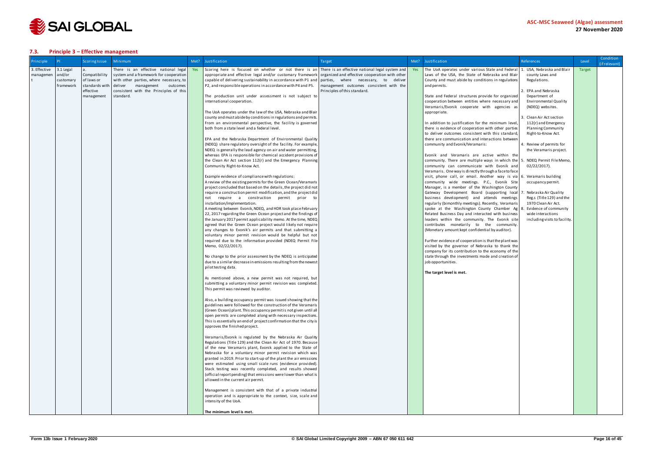

## <span id="page-15-0"></span>**7.3. Principle 3 – Effective management**

| Principle    | <b>PI</b>              | <b>Scoring Issue</b>         | Minimum                                                                | Met? | Justification                                                                                                                       | <b>Target</b>                                                                   | Met? | Justification                                                                                             | References                                        | Level  | Condition<br>(if relevant) |
|--------------|------------------------|------------------------------|------------------------------------------------------------------------|------|-------------------------------------------------------------------------------------------------------------------------------------|---------------------------------------------------------------------------------|------|-----------------------------------------------------------------------------------------------------------|---------------------------------------------------|--------|----------------------------|
| 3. Effective | 3.1 Legal              |                              | There is an effective national legal                                   | Yes  | Scoring here is focused on whether or not there is an There is an effective national legal system and                               |                                                                                 | Yes  | The UoA operates under various State and Federal 1.                                                       | USA, Nebraska and Blair                           | Target |                            |
| managemen    | and/or                 | Compatibility                | system and a framework for cooperation                                 |      | appropriate and effective legal and/or customary framework                                                                          | organized and effective cooperation with other                                  |      | Laws of the USA, the State of Nebraska and Blair                                                          | county Laws and                                   |        |                            |
|              | customary<br>framework | of laws or<br>standards with | with other parties, where necessary, to<br>deliver management outcomes |      | capable of delivering sustainability in accordance with P1 and<br>P2, and responsible operations in accordance with P4 and P5.      | parties, where necessary, to deliver<br>management outcomes consistent with the |      | County and must abide by conditions in regulations                                                        | Regulations.                                      |        |                            |
|              |                        | effective                    | consistent with the Principles of this                                 |      |                                                                                                                                     | Principles of this standard.                                                    |      | and permits.                                                                                              | EPA and Nebraska                                  |        |                            |
|              |                        | management                   | standard.                                                              |      | The production unit under assessment is not subject to                                                                              |                                                                                 |      | State and Federal structures provide for organized                                                        | Department of                                     |        |                            |
|              |                        |                              |                                                                        |      | international cooperation.                                                                                                          |                                                                                 |      | cooperation between entities where necessary and                                                          | Environmental Quality                             |        |                            |
|              |                        |                              |                                                                        |      |                                                                                                                                     |                                                                                 |      | Veramaris/Evonik cooperate with agencies as                                                               | (NDEQ) websites.                                  |        |                            |
|              |                        |                              |                                                                        |      | The UoA operates under the law of the USA, Nebraska and Blair                                                                       |                                                                                 |      | appropriate.                                                                                              |                                                   |        |                            |
|              |                        |                              |                                                                        |      | county and must abide by conditions in regulations and permits.                                                                     |                                                                                 |      |                                                                                                           | Clean Air Act section                             |        |                            |
|              |                        |                              |                                                                        |      | From an environmental perspective, the facility is governed<br>both from a state level and a federal level.                         |                                                                                 |      | In addition to justification for the minimum level<br>there is evidence of cooperation with other parties | 112(r) and Emergency<br><b>Planning Community</b> |        |                            |
|              |                        |                              |                                                                        |      |                                                                                                                                     |                                                                                 |      | to deliver outcomes consistent with this standard,                                                        | Right-to-Know Act.                                |        |                            |
|              |                        |                              |                                                                        |      | EPA and the Nebraska Department of Environmental Quality                                                                            |                                                                                 |      | there are communication and interactions between                                                          |                                                   |        |                            |
|              |                        |                              |                                                                        |      | (NDEQ) share regulatory oversight of the facility. For example,                                                                     |                                                                                 |      | community and Evonik/Veramaris:                                                                           | Review of permits for                             |        |                            |
|              |                        |                              |                                                                        |      | NDEQ is generally the lead agency on air and water permitting,                                                                      |                                                                                 |      |                                                                                                           | the Veramaris project.                            |        |                            |
|              |                        |                              |                                                                        |      | whereas EPA is responsible for chemical accident provisions of                                                                      |                                                                                 |      | Evonik and Veramaris are active within the                                                                |                                                   |        |                            |
|              |                        |                              |                                                                        |      | the Clean Air Act section 112(r) and the Emergency Planning                                                                         |                                                                                 |      | community. There are multiple ways in which the 5.                                                        | NDEQ Permit File Memo,                            |        |                            |
|              |                        |                              |                                                                        |      | Community Right-to-Know Act.                                                                                                        |                                                                                 |      | community can communicate with Evonik and<br>Veramaris. One way is directly through a face to face        | $02/22/2017$ ).                                   |        |                            |
|              |                        |                              |                                                                        |      | Example evidence of compliance with regulations:                                                                                    |                                                                                 |      | visit, phone call, or email. Another way is via 6. Veramaris building                                     |                                                   |        |                            |
|              |                        |                              |                                                                        |      | A review of the existing permits for the Green Ocean/Veramaris                                                                      |                                                                                 |      | community wide meetings. P.C., Evonik Site                                                                | occupancy permit.                                 |        |                            |
|              |                        |                              |                                                                        |      | project concluded that based on the details, the project did not                                                                    |                                                                                 |      | Manager, is a member of the Washington County                                                             |                                                   |        |                            |
|              |                        |                              |                                                                        |      | require a construction permit modification, and the project did                                                                     |                                                                                 |      | Gateway Development Board (supporting local                                                               | Nebraska Air Quality                              |        |                            |
|              |                        |                              |                                                                        |      | not require a construction permit prior to                                                                                          |                                                                                 |      | business development) and attends meetings                                                                | Reg.s (Title 129) and the                         |        |                            |
|              |                        |                              |                                                                        |      | installation/implementation.<br>A meeting between Evonik, NDEQ, and HDR took place February                                         |                                                                                 |      | regularly (bimonthly meetings). Recently, Veramaris<br>spoke at the Washington County Chamber Ag          | 1970 Clean Air Act.<br>Evidence of community      |        |                            |
|              |                        |                              |                                                                        |      | 22, 2017 regarding the Green Ocean project and the findings of                                                                      |                                                                                 |      | Related Business Day and interacted with business                                                         | wide interactions                                 |        |                            |
|              |                        |                              |                                                                        |      | the January 2017 permit applicability memo. At the time, NDEQ                                                                       |                                                                                 |      | leaders within the community. The Evonik site                                                             | including visits to facility.                     |        |                            |
|              |                        |                              |                                                                        |      | agreed that the Green Ocean project would likely not require                                                                        |                                                                                 |      | contributes monetarily to the community.                                                                  |                                                   |        |                            |
|              |                        |                              |                                                                        |      | any changes to Evonik's air permits and that submitting a                                                                           |                                                                                 |      | (Monetary amount kept confidential by auditor).                                                           |                                                   |        |                            |
|              |                        |                              |                                                                        |      | voluntary minor permit revision would be helpful but not                                                                            |                                                                                 |      |                                                                                                           |                                                   |        |                            |
|              |                        |                              |                                                                        |      | required due to the information provided (NDEQ Permit File                                                                          |                                                                                 |      | Further evidence of cooperation is that the plant was                                                     |                                                   |        |                            |
|              |                        |                              |                                                                        |      | Memo, 02/22/2017).                                                                                                                  |                                                                                 |      | visited by the governor of Nebraska to thank the<br>company for its contribution to the economy of the    |                                                   |        |                            |
|              |                        |                              |                                                                        |      | No change to the prior assessment by the NDEQ is anticipated                                                                        |                                                                                 |      | state through the investments made and creation of                                                        |                                                   |        |                            |
|              |                        |                              |                                                                        |      | due to a similar decrease in emissions resulting from the newest                                                                    |                                                                                 |      | job opportunities.                                                                                        |                                                   |        |                            |
|              |                        |                              |                                                                        |      | pilot testing data.                                                                                                                 |                                                                                 |      |                                                                                                           |                                                   |        |                            |
|              |                        |                              |                                                                        |      |                                                                                                                                     |                                                                                 |      | The target level is met.                                                                                  |                                                   |        |                            |
|              |                        |                              |                                                                        |      | As mentioned above, a new permit was not required, but<br>submitting a voluntary minor permit revision was completed.               |                                                                                 |      |                                                                                                           |                                                   |        |                            |
|              |                        |                              |                                                                        |      | This permit was reviewed by auditor.                                                                                                |                                                                                 |      |                                                                                                           |                                                   |        |                            |
|              |                        |                              |                                                                        |      |                                                                                                                                     |                                                                                 |      |                                                                                                           |                                                   |        |                            |
|              |                        |                              |                                                                        |      | Also, a building occupancy permit was issued showing that the                                                                       |                                                                                 |      |                                                                                                           |                                                   |        |                            |
|              |                        |                              |                                                                        |      | guidelines were followed for the construction of the Veramaris                                                                      |                                                                                 |      |                                                                                                           |                                                   |        |                            |
|              |                        |                              |                                                                        |      | (Green Ocean) plant. This occupancy permit is not given until all                                                                   |                                                                                 |      |                                                                                                           |                                                   |        |                            |
|              |                        |                              |                                                                        |      | open permits are completed along with necessary inspections.<br>This is essentially an end of project confirmation that the city is |                                                                                 |      |                                                                                                           |                                                   |        |                            |
|              |                        |                              |                                                                        |      | approves the finished project.                                                                                                      |                                                                                 |      |                                                                                                           |                                                   |        |                            |
|              |                        |                              |                                                                        |      |                                                                                                                                     |                                                                                 |      |                                                                                                           |                                                   |        |                            |
|              |                        |                              |                                                                        |      | Veramaris/Evonik is regulated by the Nebraska Air Quality                                                                           |                                                                                 |      |                                                                                                           |                                                   |        |                            |
|              |                        |                              |                                                                        |      | Regulations (Title 129) and the Clean Air Act of 1970. Because                                                                      |                                                                                 |      |                                                                                                           |                                                   |        |                            |
|              |                        |                              |                                                                        |      | of the new Veramaris plant, Evonik applied to the State of                                                                          |                                                                                 |      |                                                                                                           |                                                   |        |                            |
|              |                        |                              |                                                                        |      | Nebraska for a voluntary minor permit revision which was<br>granted in 2019. Prior to start-up of the plant the air emissions       |                                                                                 |      |                                                                                                           |                                                   |        |                            |
|              |                        |                              |                                                                        |      | were estimated using small scale runs (evidence provided).                                                                          |                                                                                 |      |                                                                                                           |                                                   |        |                            |
|              |                        |                              |                                                                        |      | Stack testing was recently completed, and results showed                                                                            |                                                                                 |      |                                                                                                           |                                                   |        |                            |
|              |                        |                              |                                                                        |      | (official report pending) that emissions were lower than what is                                                                    |                                                                                 |      |                                                                                                           |                                                   |        |                            |
|              |                        |                              |                                                                        |      | allowed in the current air permit.                                                                                                  |                                                                                 |      |                                                                                                           |                                                   |        |                            |
|              |                        |                              |                                                                        |      |                                                                                                                                     |                                                                                 |      |                                                                                                           |                                                   |        |                            |
|              |                        |                              |                                                                        |      | Management is consistent with that of a private industrial                                                                          |                                                                                 |      |                                                                                                           |                                                   |        |                            |
|              |                        |                              |                                                                        |      | operation and is appropriate to the context, size, scale and<br>intensity of the UoA.                                               |                                                                                 |      |                                                                                                           |                                                   |        |                            |
|              |                        |                              |                                                                        |      |                                                                                                                                     |                                                                                 |      |                                                                                                           |                                                   |        |                            |
|              |                        |                              |                                                                        |      | The minimum level is met.                                                                                                           |                                                                                 |      |                                                                                                           |                                                   |        |                            |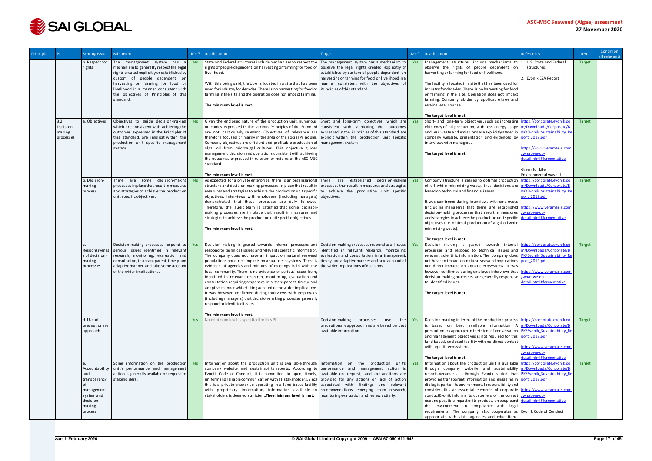

| Principle |                                         | <b>Scoring Issue</b>                                                                                | Minimum                                                                                                                                                                                                                                                                                        | Met?       | Justification                                                                                                                                                                                                                                                                                                                                                                                                                                                                                                                                                                                                                                                                                                                                                                                                                                                                      | <b>Target</b>                                                                                                                                                                                   |     | Met? Justification<br>References                                                                                                                                                                                                                                                                                                                                                                                                                                                                                                                                                                                                                                                                                                                                          | Level         | Condition<br>(if relevant) |
|-----------|-----------------------------------------|-----------------------------------------------------------------------------------------------------|------------------------------------------------------------------------------------------------------------------------------------------------------------------------------------------------------------------------------------------------------------------------------------------------|------------|------------------------------------------------------------------------------------------------------------------------------------------------------------------------------------------------------------------------------------------------------------------------------------------------------------------------------------------------------------------------------------------------------------------------------------------------------------------------------------------------------------------------------------------------------------------------------------------------------------------------------------------------------------------------------------------------------------------------------------------------------------------------------------------------------------------------------------------------------------------------------------|-------------------------------------------------------------------------------------------------------------------------------------------------------------------------------------------------|-----|---------------------------------------------------------------------------------------------------------------------------------------------------------------------------------------------------------------------------------------------------------------------------------------------------------------------------------------------------------------------------------------------------------------------------------------------------------------------------------------------------------------------------------------------------------------------------------------------------------------------------------------------------------------------------------------------------------------------------------------------------------------------------|---------------|----------------------------|
|           |                                         | b. Respect for<br>rights                                                                            | The management system has<br>a<br>mechanism to generally respect the legal<br>rights created explicitly or established by<br>custom of people dependent on<br>harvesting or farming for food or<br>livelihood in a manner consistent with<br>the objectives of Principles of this<br>standard. | Yes        | State and Federal structures include mechanism to respect the The management system has a mechanism to<br>rights of people dependent on harvesting or farming for food or<br>livelihood.<br>With this being said, the UoA is located in a site that has been<br>used for industry for decades. There is no harvesting for food or Principles of this standard.<br>farming in the site and the operation does not impact farming.<br>The minimum level is met.                                                                                                                                                                                                                                                                                                                                                                                                                      | observe the legal rights created explicitly or<br>established by custom of people dependent on<br>harvesting or farming for food or livelihood in a<br>manner consistent with the objectives of | Yes | Management structures include mechanisms to 1. U.S. State and Federal<br>observe the rights of people dependent on<br>structures.<br>harvesting or farming for food or livelihood.<br>2. Evonik ESA Report<br>The facility is located in a site that has been used for<br>industry for decades. There is no harvesting for food<br>or farming in the site. Operation does not impact<br>farming. Company abides by applicable laws and<br>retains legal counsel.<br>The target level is met.                                                                                                                                                                                                                                                                              | <b>Target</b> |                            |
|           | 3.2<br>Decision-<br>making<br>processes | a. Objectives                                                                                       | Objectives to guide decision-making<br>which are consistent with achieving the<br>outcomes expressed in the Principles of<br>this standard, are implicit within the<br>production unit specific management<br>system.                                                                          | Yes        | Given the enclosed nature of the production unit, numerous Short and long-term objectives, which are Yes<br>outcomes expressed in the various Principles of the Standard consistent with achieving the outcomes<br>are not particularly relevant. Objectives of relevance are<br>therefore focused primarily in the area of the social Principles.<br>Company objectives are efficient and profitable production of management system<br>algal oil from microalgal cultures. This objective guides<br>management decision and operations consistent with achieving<br>the outcomes expressed in relevant principles of the ASC-MSC<br>standard.                                                                                                                                                                                                                                    | expressed in the Principles of this standard, are<br>explicit within the production unit specific                                                                                               |     | Short- and long-term objectives, such as increasing   https://corporate.evonik.co<br>efficiency of oil production, with less energy usage m/Downloads/Corporate/B<br>and less waste and emissions are explicitly stated in   PK/Evonik Sustainability Re<br>company website, presentation and evidenced by port 2019.pdf<br>interviews with managers.<br>https://www.veramaris.com<br>/what-we-do-<br>The target level is met.<br>detail.html#fermentative<br>Green for Life                                                                                                                                                                                                                                                                                              | <b>Target</b> |                            |
|           |                                         | b. Decision-<br>making<br>process                                                                   | There are some decision-making<br>processes in place that result in measures<br>and strategies to achieve the production<br>unit specific objectives.                                                                                                                                          | <b>Yes</b> | The minimum level is met.<br>As expected for a private enterprise, there is an organizational There are established decision-making<br>structure and decision-making processes in place that result in processes that result in measures and strategies<br>measures and strategies to achieve the production unit specific to achieve the production unit specific<br>objectives. Interviews with employees (including managers) objectives.<br>demonstrated that these processes are duly followed.<br>Therefore, the audit team is satisfied that some decision-<br>making processes are in place that result in measures and<br>strategies to achieve the production unit specific objectives.<br>The minimum level is met.                                                                                                                                                     |                                                                                                                                                                                                 | Yes | Environmental waybill<br>Company structure is geared to optimal production   https://corporate.evonik.co<br>of oil while minimizing waste, thus decisions are m/Downloads/Corporate/B<br>PK/Evonik Sustainability Re<br>based on technical and financial issues.<br>port 2019.pdf<br>It was confirmed during interviews with employees<br>(including managers) that there are established https://www.veramaris.com<br>decision-making processes that result in measures   /what-we-do-<br>detail.html#fermentative<br>and strategies to achieve the production unit specific<br>objectives (i.e. optimal production of algal oil while<br>minimizing waste).                                                                                                             | <b>Target</b> |                            |
|           |                                         | Responsivenes<br>s of decision-<br>making<br>processes                                              | Decision-making processes respond to<br>serious issues identified in relevant<br>research, monitoring, evaluation and<br>consultation, in a transparent, timely and<br>adaptive manner and take some account<br>of the wider implications.                                                     | Yes        | Decision making is geared towards internal processes and Decision-making processes respond to all issues<br>respond to technical issues and relevant scientific information.<br>The company does not have an impact on natural seaweed<br>populations nor direct impacts on aquatic ecosystems. There is<br>evidence of agendas and minutes of meetings held with the $\vert$ the wider implications of decisions.<br>local community. There is no evidence of serious issues being<br>identified in relevant research, monitoring, evaluation and<br>consultation requiring responses in a transparent, timely and<br>adaptive manner while taking account of the wider implications.<br>It was however confirmed during interviews with employees<br>(including managers) that decision-making processes generally<br>respond to identified issues.<br>The minimum level is met. | identified in relevant research, monitoring,<br>evaluation and consultation, in a transparent,<br>timely and adaptive manner and take account of                                                | Yes | The target level is met.<br>Decision making is geared towards internal https://corporate.evonik.co<br>processes and respond to technical issues and m/Downloads/Corporate/B<br>relevant scientific information. The company does PK/Evonik Sustainability Re<br>not have an impact on natural seaweed populations port 2019.pdf<br>nor direct impacts on aquatic ecosystems. It was<br>however confirmed during employee interviews that   https://www.veramaris.com<br>decision-making processes are generally responsive /what-we-do-<br>deta <u>il.html#fermentative</u><br>to identified issues.<br>The target level is met.                                                                                                                                          | <b>Target</b> |                            |
|           |                                         | d. Use of<br>precautionary<br>approach                                                              |                                                                                                                                                                                                                                                                                                | Yes        | No minimum level is specified for this PI.                                                                                                                                                                                                                                                                                                                                                                                                                                                                                                                                                                                                                                                                                                                                                                                                                                         | Decision-making processes use the<br>precautionary approach and are based on best<br>available information.                                                                                     | Yes | Decision-making in terms of the production process https://corporate.evonik.co<br>is based on best available information. A m/Downloads/Corporate/B<br>precautionary approach in the intent of conservation   PK/Evonik Sustainability Re<br>and management objectives is not required for this port 2019.pdf<br>land based, enclosed facility with no direct contact<br>with aquatic ecosystems.<br>https://www.veramaris.com<br>/what-we-do-<br>detail.html#fermentative<br>The target level is met.                                                                                                                                                                                                                                                                    | Target        |                            |
|           |                                         | Accountability<br>and<br>transparency<br>management<br>system and<br>decision-<br>making<br>process | Some information on the production<br>unit's performance and management<br>action is generally available on request to<br>stakeholders.                                                                                                                                                        | Yes        | Information about the production unit is available through Information on the production unit's Yes<br>company website and sustainability reports. According to performance and management action is<br>Evonik Code of Conduct, it is committed to open, timely, available on request, and explanations are<br>uniformand reliable communication with all stakeholders. Since provided for any actions or lack of action<br>this is a private enterprise operating in a land-based facility, associated with findings and relevant<br>with proprietary information, information available to<br>stakeholders is deemed sufficient. The minimum level is met.                                                                                                                                                                                                                       | recommendations emerging from research,<br>monitoring evaluation and review activity.                                                                                                           |     | Information about the production unit is available https://corporate.evonik.co<br>through company website and sustainability m/Downloads/Corporate/B<br>reports. Veramaris - through Evonik stated that PK/Evonik Sustainability Re<br>providing transparent information and engaging in port 2019.pdf<br>dialog is part of its environmental responsibility and<br>considers this as essential elements of corporate https://www.veramaris.com<br>conductEvonik informs its customers of the correct /what-we-do-<br>use and possible impact of its products on peopleand detail.html#fermentative<br>the environment in compliance with legal<br>requirements. The company also cooperates as Evonik Code of Conduct<br>appropriate with state agencies and educational | Target        |                            |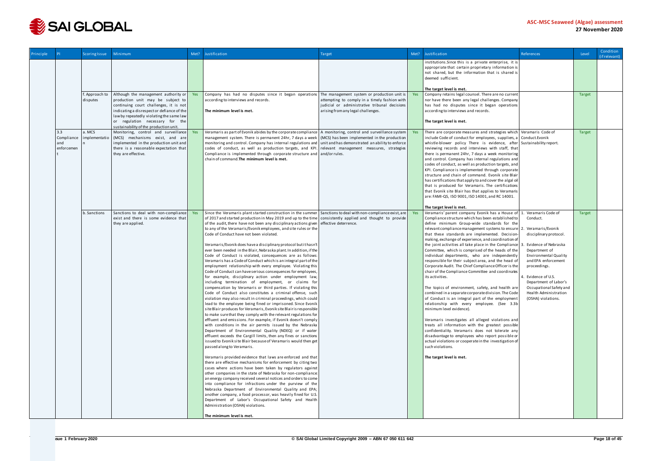

| Principle |                                 | <b>Scoring Issue</b>       | Minimum                                                                                                                                                                                                                                                         | Met? | Justification                                                                                                                                                                                                                                                                                                                                                                                                                                                                                                                                                                                                                                                                                                                                                                                                                                                                                                                                                                                                                                                                                                                                                                                                                                                                                                                                                                                                                                                                                                                                                                                                                                                                                                                                                                                                                                                                                                                                                                                                                                                                                                                                                                                                                                                                                                                                                           | Target                                                                                                                                                                                  | Met? Justification                                                                                                                                                                                                                                                                                                                                                                                                                                                                                                                                                                                                                                                                                                                                                                                                                                                                                                                                                                                                                                                                                                                                                                                                                                                       | References                                                                                                                                                                                                                                                                                     | Level         | Condition<br>(if relevant) |
|-----------|---------------------------------|----------------------------|-----------------------------------------------------------------------------------------------------------------------------------------------------------------------------------------------------------------------------------------------------------------|------|-------------------------------------------------------------------------------------------------------------------------------------------------------------------------------------------------------------------------------------------------------------------------------------------------------------------------------------------------------------------------------------------------------------------------------------------------------------------------------------------------------------------------------------------------------------------------------------------------------------------------------------------------------------------------------------------------------------------------------------------------------------------------------------------------------------------------------------------------------------------------------------------------------------------------------------------------------------------------------------------------------------------------------------------------------------------------------------------------------------------------------------------------------------------------------------------------------------------------------------------------------------------------------------------------------------------------------------------------------------------------------------------------------------------------------------------------------------------------------------------------------------------------------------------------------------------------------------------------------------------------------------------------------------------------------------------------------------------------------------------------------------------------------------------------------------------------------------------------------------------------------------------------------------------------------------------------------------------------------------------------------------------------------------------------------------------------------------------------------------------------------------------------------------------------------------------------------------------------------------------------------------------------------------------------------------------------------------------------------------------------|-----------------------------------------------------------------------------------------------------------------------------------------------------------------------------------------|--------------------------------------------------------------------------------------------------------------------------------------------------------------------------------------------------------------------------------------------------------------------------------------------------------------------------------------------------------------------------------------------------------------------------------------------------------------------------------------------------------------------------------------------------------------------------------------------------------------------------------------------------------------------------------------------------------------------------------------------------------------------------------------------------------------------------------------------------------------------------------------------------------------------------------------------------------------------------------------------------------------------------------------------------------------------------------------------------------------------------------------------------------------------------------------------------------------------------------------------------------------------------|------------------------------------------------------------------------------------------------------------------------------------------------------------------------------------------------------------------------------------------------------------------------------------------------|---------------|----------------------------|
|           |                                 |                            |                                                                                                                                                                                                                                                                 |      |                                                                                                                                                                                                                                                                                                                                                                                                                                                                                                                                                                                                                                                                                                                                                                                                                                                                                                                                                                                                                                                                                                                                                                                                                                                                                                                                                                                                                                                                                                                                                                                                                                                                                                                                                                                                                                                                                                                                                                                                                                                                                                                                                                                                                                                                                                                                                                         |                                                                                                                                                                                         | institutions. Since this is a private enterprise, it is<br>appropriate that certain proprietary information is<br>not shared, but the information that is shared is<br>deemed sufficient.                                                                                                                                                                                                                                                                                                                                                                                                                                                                                                                                                                                                                                                                                                                                                                                                                                                                                                                                                                                                                                                                                |                                                                                                                                                                                                                                                                                                |               |                            |
|           |                                 | f. Approach to<br>disputes | Although the management authority or $\sqrt{2}$ Yes<br>production unit may be subject to<br>continuing court challenges, it is not<br>indicating a disrespect or defiance of the<br>law by repeatedly violating the same law<br>or regulation necessary for the |      | Company has had no disputes since it began operations<br>according to interviews and records.<br>The minimum level is met.                                                                                                                                                                                                                                                                                                                                                                                                                                                                                                                                                                                                                                                                                                                                                                                                                                                                                                                                                                                                                                                                                                                                                                                                                                                                                                                                                                                                                                                                                                                                                                                                                                                                                                                                                                                                                                                                                                                                                                                                                                                                                                                                                                                                                                              | The management system or production unit is Yes<br>attempting to comply in a timely fashion with<br>judicial or administrative tribunal decisions<br>arising from any legal challenges. | The target level is met.<br>Company retains legal counsel. There are no current<br>nor have there been any legal challenges. Company<br>has had no disputes since it began operations<br>according to interviews and records.<br>The target level is met.                                                                                                                                                                                                                                                                                                                                                                                                                                                                                                                                                                                                                                                                                                                                                                                                                                                                                                                                                                                                                |                                                                                                                                                                                                                                                                                                | <b>Target</b> |                            |
| 3.3       | Compliance<br>and<br>enforcemen | a. MCS<br>implementatio    | sustainability of the production unit.<br>Monitoring, control and surveillance Yes<br>(MCS) mechanisms exist, and are<br>implemented in the production unit and<br>there is a reasonable expectation that<br>they are effective.                                |      | Veramaris as part of Evonik abides by the corporate compliance $\vert$ A monitoring, control and surveillance system $\vert$ Yes<br>management system. There is permanent 24hr, 7 days a week $\vert$ (MCS) has been implemented in the production<br>monitoring and control. Company has internal regulations and   unit and has demonstrated an ability to enforce<br>codes of conduct, as well as production targets, and KPI. relevant management measures, strategies<br>Compliance is implemented through corporate structure and and/or rules.<br>chain of command. The minimum level is met.                                                                                                                                                                                                                                                                                                                                                                                                                                                                                                                                                                                                                                                                                                                                                                                                                                                                                                                                                                                                                                                                                                                                                                                                                                                                                                                                                                                                                                                                                                                                                                                                                                                                                                                                                                    |                                                                                                                                                                                         | There are corporate measures and strategies which   Veramaris Code of<br>include Code of conduct for employees, suppliers, a Conduct. Evonik<br>whistle-blower policy There is evidence, after Sustainability report.<br>reviewing records and interviews with staff, that<br>there is permanent 24hr, 7 days a week monitoring<br>and control. Company has internal regulations and<br>codes of conduct, as well as production targets, and<br>KPI. Compliance is implemented through corporate<br>structure and chain of command. Evonik site Blair<br>has certifications that apply to and cover the algal oil<br>that is produced for Veramaris. The certifications<br>that Evonik site Blair has that applies to Veramaris<br>are: FAMI-QS, ISO 9001, ISO 14001, and RC 14001.<br>The target level is met.                                                                                                                                                                                                                                                                                                                                                                                                                                                          |                                                                                                                                                                                                                                                                                                | <b>Target</b> |                            |
|           |                                 | b. Sanctions               | Sanctions to deal with non-compliance Yes<br>exist and there is some evidence that<br>they are applied.                                                                                                                                                         |      | Since the Veramaris plant started construction in the summer Sanctions to deal with non-compliance exist, are $\vert$ Yes<br>of 2017 and started production in May 2019 and up to the time   consistently applied and thought to provide<br>of the audit, there have not been any disciplinary actions given<br>to any of the Veramaris/Evonik employees, and site rules or the<br>Code of Conduct have not been violated.<br>Veramaris/Evonik does have a disciplinary protocol but it hasn't<br>ever been needed in the Blair, Nebraska plant. In addition, if the<br>Code of Conduct is violated, consequences are as follows:<br>Veramaris has a Code of Conduct which is an integral part of the<br>employment relationship with every employee. Violating this<br>Code of Conduct can have serious consequences for employees,<br>for example, disciplinary action under employment law,<br>including termination of employment, or claims for<br>compensation by Veramaris or third parties. If violating this<br>Code of Conduct also constitutes a criminal offense, such<br>violation may also result in criminal proceedings, which could<br>lead to the employee being fined or imprisoned. Since Evonik<br>site Blair produces for Veramaris, Evonik site Blairis responsible<br>to make sure that they comply with the relevant regulations for<br>effluent and emissions. For example, if Evonik doesn't comply<br>with conditions in the air permits issued by the Nebraska<br>Department of Environmental Quality (NDEQ) or if water<br>effluent exceeds the Cargill limits, then any fines or sanctions<br>issued to Evonik site Blair because of Veramaris would then get<br>passed along to Veramaris.<br>Veramaris provided evidence that laws are enforced and that<br>there are effective mechanisms for enforcement by citing two<br>cases where actions have been taken by regulators against<br>other companies in the state of Nebraska for non-compliance:<br>an energy company received several notices and orders to come<br>into compliance for infractions under the purview of the<br>Nebraska Department of Environmental Quality and EPA;<br>another company, a food processor, was heavily fined for U.S.<br>Department of Labor's Occupational Safety and Health<br>Administration (OSHA) violations.<br>The minimum level is met. | effective deterrence.                                                                                                                                                                   | Veramaris' parent company Evonik has a House of 1<br>Compliance structure which has been established to<br>define minimum Group-wide standards for the<br>relevant compliance management systems to ensure   2. Veramaris/Evonik<br>that these standards are implemented. Decision-<br>making, exchange of experience, and coordination of<br>the joint activities all take place in the Compliance<br>Committee, which is comprised of the heads of the<br>individual departments, who are independently<br>responsible for their subject area, and the head of<br>Corporate Audit. The Chief Compliance Officer is the<br>chair of the Compliance Committee and coordinates<br>its activities.<br>The topics of environment, safety, and health are<br>combined in a separate corporate division. The Code<br>of Conduct is an integral part of the employment<br>relationship with every employee. (See 3.3b)<br>minimum level evidence).<br>Veramaris investigates all alleged violations and<br>treats all information with the greatest possible<br>confidentiality. Veramaris does not tolerate any<br>disadvantage to employees who report possible or<br>actual violations or cooperate in the investigation of<br>such violations.<br>The target level is met. | Veramaris Code of<br>Conduct.<br>disciplinary protocol.<br>Evidence of Nebraska<br>Department of<br><b>Environmental Quality</b><br>and EPA enforcement<br>proceedings.<br>Evidence of U.S.<br>Department of Labor's<br>Occupational Safety and<br>Health Administration<br>(OSHA) violations. | <b>Target</b> |                            |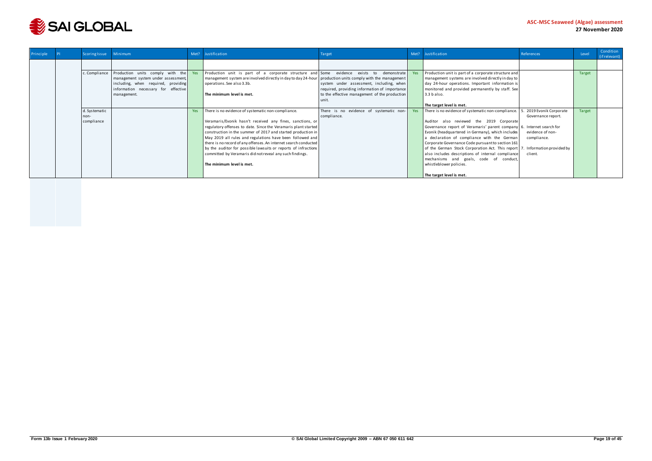

| Principle | <b>Scoring Issue</b>                | Minimum                                                                                                                                                              | Met? | Justification                                                                                                                                                                                                                                                                                                                                                                                                                                                                                                                                   | Target                                                                                                                                              |     | Met? Justification                                                                                                                                                                                                                                                                                                                                                                                                                                                                                                                              | References                                                                                                           | Level         | Condition<br>(if relevant) |
|-----------|-------------------------------------|----------------------------------------------------------------------------------------------------------------------------------------------------------------------|------|-------------------------------------------------------------------------------------------------------------------------------------------------------------------------------------------------------------------------------------------------------------------------------------------------------------------------------------------------------------------------------------------------------------------------------------------------------------------------------------------------------------------------------------------------|-----------------------------------------------------------------------------------------------------------------------------------------------------|-----|-------------------------------------------------------------------------------------------------------------------------------------------------------------------------------------------------------------------------------------------------------------------------------------------------------------------------------------------------------------------------------------------------------------------------------------------------------------------------------------------------------------------------------------------------|----------------------------------------------------------------------------------------------------------------------|---------------|----------------------------|
|           |                                     |                                                                                                                                                                      |      |                                                                                                                                                                                                                                                                                                                                                                                                                                                                                                                                                 |                                                                                                                                                     |     |                                                                                                                                                                                                                                                                                                                                                                                                                                                                                                                                                 |                                                                                                                      |               |                            |
|           | c. Compliance                       | Production units comply with the<br>management system under assessment,<br>including, when required, providing<br>information necessary for effective<br>management. | Yes  | Production unit is part of a corporate structure and Some evidence exists to demonstrate<br>management system are involved directly in day to day 24-hour production units comply with the management<br>operations. See also 3.3b.<br>The minimum level is met.                                                                                                                                                                                                                                                                                | system under assessment, including, when<br>required, providing information of importance<br>to the effective management of the production<br>unit. |     | Production unit is part of a corporate structure and<br>management systems are involved directly in day to<br>day 24-hour operations. Important information is<br>monitored and provided permanently by staff. See<br>$3.3b$ also.<br>The target level is met.                                                                                                                                                                                                                                                                                  |                                                                                                                      | <b>Target</b> |                            |
|           | d. Systematic<br>-nor<br>compliance |                                                                                                                                                                      | Yes  | There is no evidence of systematic non-compliance.<br>Veramaris/Evonik hasn't received any fines, sanctions, or<br>regulatory offenses to date. Since the Veramaris plant started<br>construction in the summer of 2017 and started production in<br>May 2019 all rules and regulations have been followed and<br>there is no record of any offenses. An internet search conducted<br>by the auditor for possible lawsuits or reports of infractions<br>committed by Veramaris did not reveal any such findings.<br>l The minimum level is met. | There is no evidence of systematic non-<br>compliance.                                                                                              | Yes | There is no evidence of systematic non-compliance.<br>Auditor also reviewed the 2019 Corporate<br>Governance report of Veramaris' parent company 6. Internet search for<br>Evonik (headquartered in Germany), which includes<br>a declaration of compliance with the German<br>Corporate Governance Code pursuant to section 161<br>of the German Stock Corporation Act. This report   7.<br>also includes descriptions of internal compliance<br>mechanisms and goals, code of conduct,<br>whistleblower policies.<br>The target level is met. | 2019 Evonik Corporate<br>Governance report.<br>evidence of non-<br>compliance.<br>Information provided by<br>client. | Target        |                            |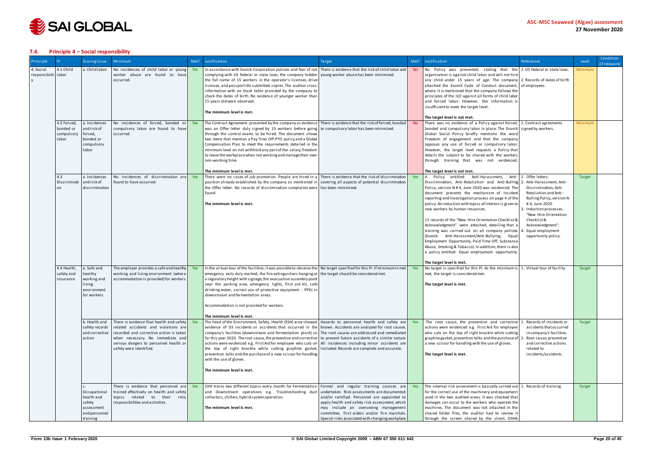

#### <span id="page-19-0"></span>**7.4. Principle 4 – Social responsibility**

| Principle                        |                                                 | <b>Scoring Issue</b>                                                            | <b>Minimum</b>                                                                                                                                                                                                                       | Met?       | Justification                                                                                                                                                                                                                                                                                                                                                                                                                                                                                                                                                                                                                                                                                                                                                                                                 | Target                                                                                                                                                                                                                                                                                     | Met?           | Justification<br>References                                                                                                                                                                                                                                                                                                                                                                                                                                                                                                                                                                                                                                                                                                                                                                       |                                                                                                                                                                                                                                                  | Level         | Condition<br>(if relevant) |
|----------------------------------|-------------------------------------------------|---------------------------------------------------------------------------------|--------------------------------------------------------------------------------------------------------------------------------------------------------------------------------------------------------------------------------------|------------|---------------------------------------------------------------------------------------------------------------------------------------------------------------------------------------------------------------------------------------------------------------------------------------------------------------------------------------------------------------------------------------------------------------------------------------------------------------------------------------------------------------------------------------------------------------------------------------------------------------------------------------------------------------------------------------------------------------------------------------------------------------------------------------------------------------|--------------------------------------------------------------------------------------------------------------------------------------------------------------------------------------------------------------------------------------------------------------------------------------------|----------------|---------------------------------------------------------------------------------------------------------------------------------------------------------------------------------------------------------------------------------------------------------------------------------------------------------------------------------------------------------------------------------------------------------------------------------------------------------------------------------------------------------------------------------------------------------------------------------------------------------------------------------------------------------------------------------------------------------------------------------------------------------------------------------------------------|--------------------------------------------------------------------------------------------------------------------------------------------------------------------------------------------------------------------------------------------------|---------------|----------------------------|
| 4. Social<br>responsibilit labor | 4.1 Child                                       | a. Child labor                                                                  | No incidences of child labor or young<br>worker abuse are found to have<br>occurred.                                                                                                                                                 | Yes        | In accordance with Evonik Corporation policies and fear of not There is evidence that the risk of child labor and<br>complying with US federal or state laws, the company hidden<br>the full name of 15 workers in the operator's licenses, drive<br>licenses, and passportIDs submitted copies. The auditor cross-<br>information with an Excel table provided by the company to<br>check the dates of birth. No evidence of younger worker than<br>15 years old were observed.<br>The minimum level is met.                                                                                                                                                                                                                                                                                                 | young worker abuse has been minimized.                                                                                                                                                                                                                                                     | No.            | No Policy was presented, stating that the $\vert$ 1. US federal or state laws.<br>organization is against child labor and will not hire<br>any child under 15 years of age. The company 2. Records of dates of birth<br>attached the Evonik Code of Conduct document, of employees.<br>where it is mentioned that the company follows the<br>principles of the ILO against all forms of child labor<br>and forced labor. However, the information is<br>insufficient to meet the target level.                                                                                                                                                                                                                                                                                                    |                                                                                                                                                                                                                                                  | Minimum       |                            |
|                                  | 4.2 Forced,<br>bonded or<br>compulsory<br>labor | a. Incidences<br>and risk of<br>forced,<br>bonded or<br>compulsory<br>labor     | No incidences of forced, bonded or<br>compulsory labor are found to have<br>occurred.                                                                                                                                                | <b>Yes</b> | The Contract Agreement presented by the company as evidence There is evidence that the risk of forced, bonded<br>was an Offer letter duly signed by 15 workers before going or compulsory labor has been minimized.<br>through the control exams to be hired. The document shows<br>two items that mention a Pay Time Off-PTO policy and a Global<br>Compensation Plan to meet the requirements detailed in the<br>minimum level on not withhold any part of the salary, freedom<br>to leave the workplace when not working and manage their own<br>non-working time.                                                                                                                                                                                                                                         |                                                                                                                                                                                                                                                                                            | N <sub>o</sub> | The target level is not met.<br>There was no evidence of a Policy against forced, 1. Contract agreements<br>bonded and compulsory labor in place. The Evonik signed by workers.<br>Global Social Policy briefly mentions the word<br>Freedom of engagement and that the company<br>opposes any use of forced or compulsory labor.<br>However, the target level requests a Policy that<br>details the subject to be shared with the workers<br>through training that was not evidenced.                                                                                                                                                                                                                                                                                                            |                                                                                                                                                                                                                                                  | Minimum       |                            |
|                                  | 4.3<br>Discriminati                             | a. Incidences<br>andriskof<br>discrimination                                    | No incidences of discrimination are<br>found to have occurred.                                                                                                                                                                       | Yes        | The minimum level is met.<br>There were no cases of job promotion. People are hired in a There is evidence that the risk of discrimination<br>position already established by the company as mentioned in<br>the Offer letter. No records of discrimination complaints were has been minimized.<br>found.<br>The minimum level is met.                                                                                                                                                                                                                                                                                                                                                                                                                                                                        | covering all aspects of potential discrimination                                                                                                                                                                                                                                           | Yes            | The target level is not met.<br>Policy entitled: Anti-Harassment, Anti-<br>Discrimination, Anti-Retaliation and Anti-Bulling 2. Anti-Harassment, Anti-<br>Policy, version N #4, June 2020 was evidenced. The<br>document presents the mechanism of Incident<br>reporting and Investigation process on page 4 of the<br>policy. An induction with topics of interest is given to<br>new workers by human resources.<br>15 records of the "New Hire Orientation Checklist &<br>Acknowledgment" were attached, detailing that a<br>training was carried out on all company policies<br>(Evonik Anti-Harassment/Anti-Bullying, Equal<br>Employment Opportunity, Paid Time Off, Substance<br>Abuse, Smoking & Tobacco). In addition, there is also<br>a policy entitled: Equal employment opportunity. | 1. Offer letters.<br>Discrimination, Anti-<br>Retaliation and Anti-<br>Bulling Policy, version N<br>#4, June 2020<br>Induction processes,<br>"New Hire Orientation<br>Checklist &<br>Acknowledgment".<br>Equal employment<br>opportunity policy. | Target        |                            |
|                                  | 4.4 Health,<br>safety and<br>insurance          | a. Safe and<br>healthy<br>working and<br>living<br>environment<br>for workers   | The employer provides a safe and healthy<br>working and living environment (where<br>accommodation is provided) for workers.                                                                                                         | Yes        | In the virtual tour of the facilities, it was possible to observe the $\vert$ No target specified for this PI. If minimum in met $\vert$<br>emergency exits duly marked, the fire extinguishers hanging at the target should be considered met.<br>a regulatory height with signage, the evacuation assembly point<br>near the parking area, emergency lights, first aid kit, safe<br>drinking water, correct use of protective equipment - PPEs in<br>downstream and fermentation areas.<br>Accommodation is not provided for workers.<br>The minimum level is met.                                                                                                                                                                                                                                          |                                                                                                                                                                                                                                                                                            | Yes            | The target level is met.<br>No target is specified for this PI. As the minimum is $\vert$ 1. Virtual tour of facility.<br>met, the target is considered met.<br>The target level is met.                                                                                                                                                                                                                                                                                                                                                                                                                                                                                                                                                                                                          |                                                                                                                                                                                                                                                  | Target        |                            |
|                                  |                                                 | b. Health and<br>safety records<br>and corrective<br>action                     | There is evidence that health and safety<br>related accidents and violations are<br>recorded and corrective action is taken<br>when necessary. No immediate and<br>serious dangers to personnel health or<br>safety were identified. |            | The head of the Environment, Safety, Health (ESH) area showed   Hazards to personnel health and safety are<br>evidence of 03 incidents or accidents that occurred in the known. Accidents are analyzed for root causes.<br>company's facilities (downstream and fermentation plant) so The root causes are addressed and remediated<br>far this year 2020. The root cause, the preventive and corrective to prevent future accidents of a similar nature.<br>actions were evidenced e.g. First Aid for employee who cuts on   All incidences including minor accidents are<br>the top of right knuckle while cutting graphite gasket, included. Records are complete and accurate.<br>prevention talks and the purchase of a new scissor for handling<br>with the use of gloves.<br>The minimum level is met. |                                                                                                                                                                                                                                                                                            |                | The root cause, the preventive and corrective 1.<br>actions were evidenced e.g. First Aid for employee<br>who cuts on the top of right knuckle while cutting<br>graphite gasket, prevention talks and the purchase of 2.<br>a new scissor for handling with the use of gloves.<br>The target level is met.                                                                                                                                                                                                                                                                                                                                                                                                                                                                                        | Records of incidents or<br>accidents that occurred<br>in company's facilities.<br>Root cause, preventive<br>and corrective actions<br>related to<br>incidents/accidents.                                                                         | Target        |                            |
|                                  |                                                 | Occupational<br>health and<br>safety<br>assessment<br>and personnel<br>training | There is evidence that personnel are<br>trained effectively on health and safety<br>topics related to their role,<br>responsibilities and activities.                                                                                | Yes        | OHS trains two different topics every month for Fermentation   Formal and regular training courses are<br>and Downstream operations e.g. Troubleshooting dust<br>collectors, chillers, hybrid system operation.<br>The minimum level is met.                                                                                                                                                                                                                                                                                                                                                                                                                                                                                                                                                                  | undertaken. Risk assessments are documented<br>and/or certified. Personnel are appointed to<br>apply health and safety risk assessment, which<br>may include an overseeing management<br>committee, first aiders and/or fire marshals.<br>Special risks associated with changing workplace | Yes            | The internal risk assessment is basically carried out 1. Records of training.<br>for the correct use of the machinery and equipment<br>used in the two audited areas. It was checked that<br>damages can occur to the workers who operate the<br>machines. The document was not attached in the<br>shared folder files, the auditor had to review it<br>through the screen shared by the client. OSHA                                                                                                                                                                                                                                                                                                                                                                                             |                                                                                                                                                                                                                                                  | <b>Target</b> |                            |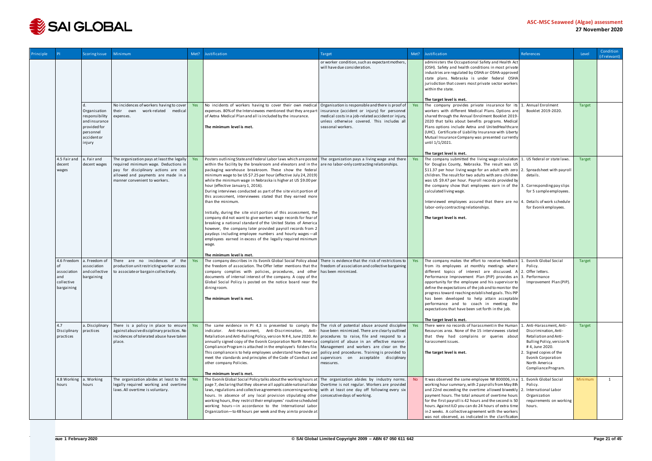

| Principle |                                                               | <b>Scoring Issue</b>                                                                                | Minimum                                                                                                                                                                                           | Met? | Justification                                                                                                                                                                                                                                                                                                                                                                                                                                                                                                                                                                                                                                                                                                                                                                                                                                                                                                                                                                                               | <b>Target</b>                                                                                                                                                          |           | Met? Justification                                                                                                                                                                                                                                                                                                                                                                                                                                                                                                                                                                              | References                                                                                                                                                                            | Level         | Condition<br>(if relevant) |
|-----------|---------------------------------------------------------------|-----------------------------------------------------------------------------------------------------|---------------------------------------------------------------------------------------------------------------------------------------------------------------------------------------------------|------|-------------------------------------------------------------------------------------------------------------------------------------------------------------------------------------------------------------------------------------------------------------------------------------------------------------------------------------------------------------------------------------------------------------------------------------------------------------------------------------------------------------------------------------------------------------------------------------------------------------------------------------------------------------------------------------------------------------------------------------------------------------------------------------------------------------------------------------------------------------------------------------------------------------------------------------------------------------------------------------------------------------|------------------------------------------------------------------------------------------------------------------------------------------------------------------------|-----------|-------------------------------------------------------------------------------------------------------------------------------------------------------------------------------------------------------------------------------------------------------------------------------------------------------------------------------------------------------------------------------------------------------------------------------------------------------------------------------------------------------------------------------------------------------------------------------------------------|---------------------------------------------------------------------------------------------------------------------------------------------------------------------------------------|---------------|----------------------------|
|           |                                                               |                                                                                                     |                                                                                                                                                                                                   |      |                                                                                                                                                                                                                                                                                                                                                                                                                                                                                                                                                                                                                                                                                                                                                                                                                                                                                                                                                                                                             | or worker condition, such as expectant mothers,<br>will have due consideration.                                                                                        |           | administers the Occupational Safety and Health Act<br>(OSH). Safety and health conditions in most private<br>industries are regulated by OSHA or OSHA-approved<br>state plans. Nebraska is under federal OSHA<br>jurisdiction that covers most private sector workers<br>within the state.                                                                                                                                                                                                                                                                                                      |                                                                                                                                                                                       |               |                            |
|           |                                                               | Organisation<br>responsibility<br>andinsurance<br>provided for<br>personnel<br>accidentor<br>injury | No incidences of workers having to cover<br>their own<br>work-related medical<br>expenses.                                                                                                        | Yes  | No incidents of workers having to cover their own medical Organisation is responsible and there is proof of Yes<br>expenses. 80% of the Interviewees mentioned that they are part<br>of Aetna Medical Plan and all is included by the insurance.<br>The minimum level is met.                                                                                                                                                                                                                                                                                                                                                                                                                                                                                                                                                                                                                                                                                                                               | insurance (accident or injury) for personnel<br>medical costs in a job-related accident or injury,<br>unless otherwise covered. This includes all<br>seasonal workers. |           | The target level is met.<br>The company provides private insurance for its $ 1$ .<br>workers with different Medical Plans. Options are<br>shared through the Annual Enrolment Booklet 2019-<br>2020 that talks about benefits programs. Medical<br>Plans options include Aetna and UnitedHealthcare<br>(UHC). Certificate of Liability Insurance with Liberty<br>Mutual Insurance Company was presented currently<br>until 1/1/2021.<br>The target level is met.                                                                                                                                | Annual Enrolment<br>Booklet 2019-2020.                                                                                                                                                | <b>Target</b> |                            |
|           | 4.5 Fair and<br>decent<br>wages                               | a. Fair and<br>decent wages                                                                         | The organization pays at least the legally<br>required minimum wage. Deductions in<br>pay for disciplinary actions are not<br>allowed and payments are made in a<br>manner convenient to workers. | Yes  | Posters outlining State and Federal Labor laws which are posted   The organization pays a living wage and there<br>within the facility by the breakroom and elevators and in the<br>packaging warehouse breakroom. These show the federal<br>minimum wage to be US \$7.25 per hour (effective July 24, 2019)<br>while the minimum wage in Nebraska is higher at US \$9.00 per<br>hour (effective January 1, 2016).<br>During interviews conducted as part of the site visit portion of<br>this assessment, interviewees stated that they earned more<br>than the minimum.<br>Initially, during the site visit portion of this assessment, the<br>company did not want to give workers wage records for fear of<br>breaking a national standard of the United States of America<br>however, the company later provided payroll records from 2<br>paydays including employee numbers and hourly wages-all<br>employees earned in excess of the legally required minimum<br>wage.<br>The minimum level is met. | are no labor-only contracting relationships.                                                                                                                           | Yes       | The company submitted the living wage calculation<br>for Douglas County, Nebraska. The result was US<br>\$11.37 per hour living wage for an adult with zero $\vert$ 2. Spreadsheet with payroll<br>children. The result for two adults with zero children<br>was US \$9.47 per hour. Payroll records provided by<br>the company show that employees earn in of the 3<br>calculated living wage.<br>Interviewed employees assured that there are no<br>labor-only contracting relationships.<br>The target level is met.                                                                         | 1. US federal or state laws.<br>details.<br>Corresponding pay slips<br>for 5 sample employees.<br>Details of work schedule<br>for Evonik employees.                                   | <b>Target</b> |                            |
|           | 4.6 Freedom<br>association<br>and<br>collective<br>bargaining | a. Freedom of<br>association<br>and collective<br>bargaining                                        | There are no incidences of the<br>production unit restricting worker access<br>to associate or bargain collectively.                                                                              | Yes  | The company describes in its Evonik Global Social Policy about There is evidence that the risk of restrictions to<br>the freedom of association. The Offer letter mentions that the freedom of association and collective bargaining<br>company complies with policies, procedures, and other<br>documents of internal interest of the company. A copy of the<br>Global Social Policy is posted on the notice board near the<br>dining room.<br>The minimum level is met.                                                                                                                                                                                                                                                                                                                                                                                                                                                                                                                                   | has been minimized.                                                                                                                                                    | Yes       | The company makes the effort to receive feedback<br>from its employees at monthly meetings where<br>different topics of interest are discussed. A $\vert$ 2. Offer letters.<br>Performance Improvement Plan (PIP) provides an 3. Performance<br>opportunity for the employee and his supervisor to<br>define the expectations of the job and to monitor the<br>progress toward reaching established goals. This PIP<br>has been developed to help attain acceptable<br>performance and to coach in meeting the<br>expectations that have been set forth in the job.<br>The target level is met. | 1. Evonik Global Social<br>Policy.<br>Improvement Plan (PIP).                                                                                                                         | <b>Target</b> |                            |
|           | 4.7<br>Disciplinary<br>practices                              | a. Disciplinary<br>practices                                                                        | There is a policy in place to ensure Yes<br>against abusive disciplinary practices. No<br>incidences of tolerated abuse have taken<br>place.                                                      |      | The same evidence in PI 4.3 is presented to comply the The risk of potential abuse around discipline<br>indicator. Anti-Harassment, Anti-Discrimination, Anti-   have been minimized. There are clearly outlined<br>Retaliation and Anti-Bulling Policy, version $N \# 4$ , June 2020. An procedures to raise, file and respond to a<br>annually signed copy of the Evonik Corporation North America complaint of abuse in an effective manner.<br>Compliance Program is attached in the employee's folders file. Management and workers are clear on the<br>This compliance is to help employees understand how they can policy and procedures. Training is provided to<br>meet the standards and principles of the Code of Conduct and supervisors on acceptable disciplinary<br>other company Policies.<br>The minimum level is met.                                                                                                                                                                     | measures.                                                                                                                                                              | Yes       | There were no records of harassment in the Human 1. Anti-Harassment, Anti-<br>Resources area. None of the 15 interviewees stated<br>that they had complains or queries about<br>harassmentissues.<br>The target level is met.                                                                                                                                                                                                                                                                                                                                                                   | Discrimination, Anti-<br>Retaliation and Anti-<br>Bulling Policy, version N<br>#4, June 2020.<br>. Signed copies of the<br>Evonik Corporation<br>North America<br>Compliance Program. | <b>Target</b> |                            |
|           | 4.8 Working a. Working<br>hours                               | hours                                                                                               | The organization abides at least to the<br>legally required working and overtime<br>laws. All overtime is voluntary.                                                                              |      | The Evonik Global Social Policy talks about the working hours at   The organization abides by industry norms.<br>page 7, declaring that they observe all applicable national labor   Overtime is not regular. Workers are provided<br>laws, regulations and collective agreements concerning working with at least one day off following every six<br>hours. In absence of any local provision stipulating other consecutive days of working.<br>working hours, they restrict their employees' routine scheduled<br>working hours-in accordance to the International Labor<br>Organization-to 48 hours per week and they aim to provide at                                                                                                                                                                                                                                                                                                                                                                  |                                                                                                                                                                        | <b>No</b> | It was observed the same employee N# 800006, in a<br>working hour summary, with 2 payrolls from May 8th<br>and 22nd exceeding the overtime allowed biweekly 2. International Labor<br>payment hours. The total amount of overtime hours<br>for the first payroll is 42 hours and the second is 50<br>hours. Against ILO you can do 24 hours of extra time<br>in 2 weeks. A collective agreement with the workers<br>was not observed, as indicated in the clarification                                                                                                                         | Evonik Global Social<br>Policy.<br>Organization<br>requirements on working<br>hours.                                                                                                  | Minimum       | 1                          |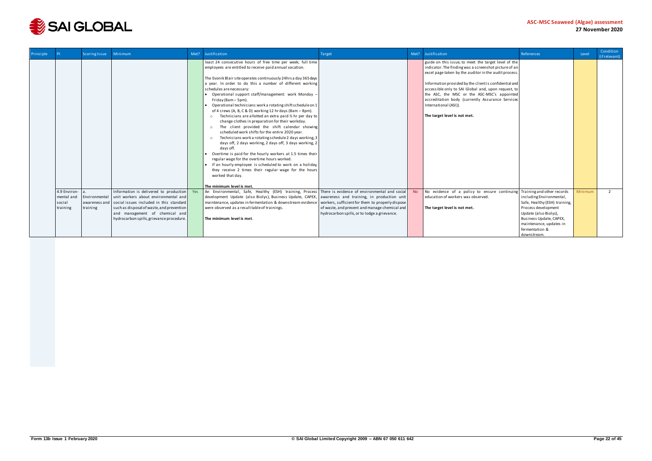

| Principle |                                                  | <b>Scoring Issue</b>                       | Minimum                                                                                                                                                                                                                                                  | Met? | Justification                                                                                                                                                                                                                                                                                                                                                                                                                                                                                                                                                                                                                                                                                                                                                                                                                                                                                                                                                                                                                                                                                                                                                                       | Target                                                                                                                                            | Met? | Justification                                                                                                                                                                                                                                                                                                                                                                                                                                       | References                                                                                                                                                                                       | Level   | Condition<br>(if relevant) |
|-----------|--------------------------------------------------|--------------------------------------------|----------------------------------------------------------------------------------------------------------------------------------------------------------------------------------------------------------------------------------------------------------|------|-------------------------------------------------------------------------------------------------------------------------------------------------------------------------------------------------------------------------------------------------------------------------------------------------------------------------------------------------------------------------------------------------------------------------------------------------------------------------------------------------------------------------------------------------------------------------------------------------------------------------------------------------------------------------------------------------------------------------------------------------------------------------------------------------------------------------------------------------------------------------------------------------------------------------------------------------------------------------------------------------------------------------------------------------------------------------------------------------------------------------------------------------------------------------------------|---------------------------------------------------------------------------------------------------------------------------------------------------|------|-----------------------------------------------------------------------------------------------------------------------------------------------------------------------------------------------------------------------------------------------------------------------------------------------------------------------------------------------------------------------------------------------------------------------------------------------------|--------------------------------------------------------------------------------------------------------------------------------------------------------------------------------------------------|---------|----------------------------|
|           |                                                  |                                            |                                                                                                                                                                                                                                                          |      | least 24 consecutive hours of free time per week; full time<br>employees are entitled to receive paid annual vacation.<br>The Evonik Blair site operates continuously 24hrs a day 365 days<br>a year. In order to do this a number of different working<br>schedules are necessary:<br>• Operational support staff/management: work Monday -<br>Friday (8am - 5pm).<br>Operational technicians: work a rotating shift schedule on 1<br>of 4 crews (A, B, C & D) working 12 hr days (8am - 8pm).<br>$\circ$ Technicians are allotted an extra paid $\frac{1}{2}$ hr per day to<br>change clothes in preparation for their workday.<br>The client provided the shift calendar showing<br>$\circ$<br>scheduled work shifts for the entire 2020 year.<br>Technicians work a rotating schedule 2 days working, 3<br>$\circ$<br>days off, 2 days working, 2 days off, 3 days working, 2<br>days off.<br>Overtime is paid for the hourly workers at 1.5 times their<br>regular wage for the overtime hours worked.<br>• If an hourly employee is scheduled to work on a holiday,<br>they receive 2 times their regular wage for the hours<br>worked that day.<br>The minimum level is met. |                                                                                                                                                   |      | guide on this issue, to meet the target level of the<br>indicator. The finding was a screenshot picture of an<br>excel page taken by the auditor in the audit process.<br>Information provided by the client is confidential and<br>accessible only to SAI Global and, upon request, to<br>the ASC, the MSC or the ASC-MSC's appointed<br>accreditation body (currently Assurance Services<br>International (ASI)).<br>The target level is not met. |                                                                                                                                                                                                  |         |                            |
|           | 4.9 Environ-<br>mental and<br>social<br>training | Environmental<br>awareness and<br>training | Information is delivered to production Yes<br>unit workers about environmental and<br>social issues included in this standard<br>such as disposal of waste, and prevention<br>and management of chemical and<br>hydrocarbon spills, grievance procedure. |      | An Environmental, Safe, Healthy (ESH) training, Process There is evidence of environmental and social<br>development Update (also Biolys), Business Update, CAPEX, awareness and training, in production unit<br>maintenance, updates in fermentation & downstream evidence<br>were observed as a result table of trainings.<br>The minimum level is met.                                                                                                                                                                                                                                                                                                                                                                                                                                                                                                                                                                                                                                                                                                                                                                                                                           | workers, sufficient for them to properly dispose<br>of waste, and prevent and manage chemical and<br>hydrocarbon spills, or to lodge a grievance. |      | No evidence of a policy to ensure continuing Training and other records<br>education of workers was observed.<br>The target level is not met.                                                                                                                                                                                                                                                                                                       | including Environmental,<br>Safe, Healthy (ESH) training,<br>Process development<br>Update (also Biolys),<br>Business Update, CAPEX,<br>maintenance, updates in<br>fermentation &<br>downstream. | Minimum | 2                          |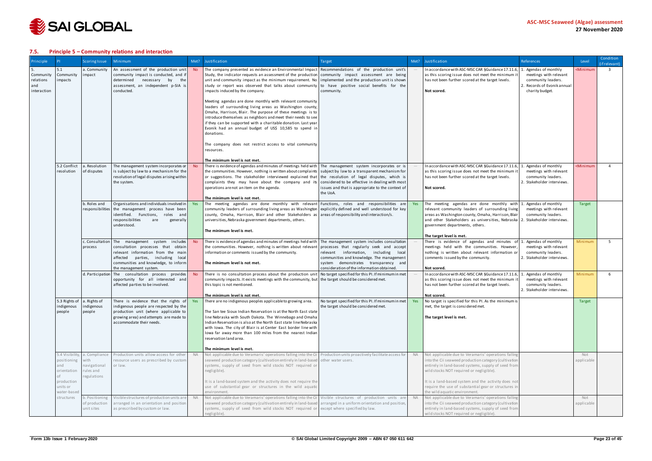

#### <span id="page-22-0"></span>**7.5. Principle 5 – Community relations and interaction**

| The company presented as evidence an Environmental Impact Recommendations of the production unit's<br>An assessment of the production unit<br>In accordance with ASC-MSC CAR §Guidance 17.11.6, 1. Agendas of monthly<br>5.1<br>a. Community<br><b>No</b><br>Community<br>Study, the indicator requests an assessment of the production community impact assessment are being<br>as this scoring issue does not meet the minimum it<br>Community<br>impact<br>community impact is conducted, and if<br>meetings with relevant<br>unit and community impact as the minimum requirement. No implemented and the production unit is shown<br>has not been further scored at the target levels.<br>community leaders.<br>relations<br>determined<br>necessary by<br>mpacts<br>the<br>assessment, an independent p-SIA is<br>study or report was observed that talks about community to have positive social benefits for the<br>and<br>charity budget.<br>interaction<br>Not scored.<br>conducted.<br>impacts induced by the company.<br>community.<br>Meeting agendas are done monthly with relevant community<br>leaders of surrounding living areas as Washington county,<br>Omaha, Harrison, Blair. The purpose of these meetings is to<br>introduce themselves as neighbors and meet their needs to see<br>if they can be supported with a charitable donation. Last year<br>Evonik had an annual budget of US\$ 10,585 to spend in<br>donations.<br>The company does not restrict access to vital community<br>resources. |                                                               | (if relevant)  |
|-----------------------------------------------------------------------------------------------------------------------------------------------------------------------------------------------------------------------------------------------------------------------------------------------------------------------------------------------------------------------------------------------------------------------------------------------------------------------------------------------------------------------------------------------------------------------------------------------------------------------------------------------------------------------------------------------------------------------------------------------------------------------------------------------------------------------------------------------------------------------------------------------------------------------------------------------------------------------------------------------------------------------------------------------------------------------------------------------------------------------------------------------------------------------------------------------------------------------------------------------------------------------------------------------------------------------------------------------------------------------------------------------------------------------------------------------------------------------------------------------------------------------------|---------------------------------------------------------------|----------------|
|                                                                                                                                                                                                                                                                                                                                                                                                                                                                                                                                                                                                                                                                                                                                                                                                                                                                                                                                                                                                                                                                                                                                                                                                                                                                                                                                                                                                                                                                                                                             | <minimum<br>Records of Evonik annual</minimum<br>             | $\overline{3}$ |
|                                                                                                                                                                                                                                                                                                                                                                                                                                                                                                                                                                                                                                                                                                                                                                                                                                                                                                                                                                                                                                                                                                                                                                                                                                                                                                                                                                                                                                                                                                                             |                                                               |                |
|                                                                                                                                                                                                                                                                                                                                                                                                                                                                                                                                                                                                                                                                                                                                                                                                                                                                                                                                                                                                                                                                                                                                                                                                                                                                                                                                                                                                                                                                                                                             |                                                               |                |
| The minimum level is not met.<br>5.2 Conflict<br>a. Resolution<br>There is evidence of agendas and minutes of meetings held with<br>In accordance with ASC-MSC CAR §Guidance 17.11.6,<br>Agendas of monthly<br>The management system incorporates or<br>The management system incorporates or is<br>is subject by law to a mechanism for the<br>subject by law to a transparent mechanism for<br>resolution<br>of disputes<br>the communities. However, nothing is written about complaints<br>as this scoring issue does not meet the minimum it<br>meetings with relevant<br>resolution of legal disputes arising within<br>or suggestions. The stakeholder interviewed explained that the resolution of legal disputes, which is<br>community leaders.<br>has not been further scored at the target levels.<br>2. Stakeholder interviews.<br>the system.<br>complaints they may have about the company and its<br>considered to be effective in dealing with most<br>operations are not an item on the agenda.<br>issues and that is appropriate to the context of<br>Not scored.<br>the UoA.                                                                                                                                                                                                                                                                                                                                                                                                                            | <minimum< td=""><td><math>\overline{4}</math></td></minimum<> | $\overline{4}$ |
| The minimum level is not met.                                                                                                                                                                                                                                                                                                                                                                                                                                                                                                                                                                                                                                                                                                                                                                                                                                                                                                                                                                                                                                                                                                                                                                                                                                                                                                                                                                                                                                                                                               |                                                               |                |
| Organisations and individuals involved in<br>The meeting agendas are done monthly with relevant Functions, roles and responsibilities are<br>b. Roles and<br>The meeting agendas are done monthly with<br>Agendas of monthly<br>Yes<br>Yes<br>responsibilities the management process have been<br>community leaders of surrounding living areas as Washington<br>explicitly defined and well understood for key<br>relevant community leaders of surrounding living<br>meetings with relevant<br>identified. Functions,<br>county, Omaha, Harrison, Blair and other Stakeholders as<br>areas of responsibility and interaction/s.<br>areas as Washington county, Omaha, Harrison, Blair<br>community leaders.<br>roles and<br>responsibilities<br>and other Stakeholders as universities, Nebraska 2. Stakeholder interviews.<br>universities, Nebraska government departments, others.<br>are<br>generally<br>understood.<br>government departments, others.<br>The minimum level is met.                                                                                                                                                                                                                                                                                                                                                                                                                                                                                                                                 | Target                                                        |                |
| The target level is met.<br>. Agendas of monthly<br>c. Consultation The management system includes<br>There is evidence of agendas and minutes of meetings held with<br>The management system includes consultation<br>There is evidence of agendas and minutes of<br><b>No</b>                                                                                                                                                                                                                                                                                                                                                                                                                                                                                                                                                                                                                                                                                                                                                                                                                                                                                                                                                                                                                                                                                                                                                                                                                                             | Minimum                                                       | 5              |
| consultation processes that obtain<br>the communities. However, nothing is written about relevant<br>processes that regularly seek and accept<br>meetings held with the communities. However,<br>meetings with relevant<br>process<br>relevant information from the main<br>relevant information, including local<br>nothing is written about relevant information or<br>information or comments issued by the community.<br>community leaders.<br>communities and knowledge. The management<br>. Stakeholder interviews.<br>affected<br>parties, including local<br>comments issued by the community.<br>communities and knowledge, to inform<br>The minimum level is not met.<br>system demonstrates transparency and<br>consideration of the information obtained.<br>the management system.<br>Not scored.                                                                                                                                                                                                                                                                                                                                                                                                                                                                                                                                                                                                                                                                                                              |                                                               |                |
| In accordance with ASC-MSC CAR §Guidance 17.11.6,<br>d. Participation The consultation process provides<br>There is no consultation process about the production unit No target specified for this PI. If minimum in met<br>Agendas of monthly<br>opportunity for all interested and<br>community impacts. It exists meetings with the community, but the target should be considered met.<br>as this scoring issue does not meet the minimum it<br>meetings with relevant<br>affected parties to be involved.<br>this topic is not mentioned.<br>has not been further scored at the target levels.<br>community leaders.<br>2. Stakeholder interviews.<br>Not scored.                                                                                                                                                                                                                                                                                                                                                                                                                                                                                                                                                                                                                                                                                                                                                                                                                                                      | Minimum                                                       | 6              |
| The minimum level is not met.<br>5.3 Rights of   a. Rights of<br>There is evidence that the rights of<br>Yes<br>There are no indigenous peoples applicable to growing area.<br>No target specified for this PI. If minimum in met<br>Yes<br>No target is specified for this PI. As the minimum is                                                                                                                                                                                                                                                                                                                                                                                                                                                                                                                                                                                                                                                                                                                                                                                                                                                                                                                                                                                                                                                                                                                                                                                                                           | Target                                                        |                |
| indigenous<br>indigenous people are respected by the<br>the target should be considered met.<br>met, the target is considered met.<br>indigenous<br>production unit (where applicable to<br>people<br>people<br>The San tee Sioux Indian Reservation is at the North East state<br>growing area) and attempts are made to<br>line Nebraska with South Dakota. The Winnebago and Omaha<br>The target level is met.                                                                                                                                                                                                                                                                                                                                                                                                                                                                                                                                                                                                                                                                                                                                                                                                                                                                                                                                                                                                                                                                                                           |                                                               |                |
| accommodate their needs.<br>Indian Reservation is also at the North East state line Nebraska<br>with Iowa. The city of Blair is at Center East border line with<br>lowa far away more than 100 miles from the nearest Indian<br>reservation land area.                                                                                                                                                                                                                                                                                                                                                                                                                                                                                                                                                                                                                                                                                                                                                                                                                                                                                                                                                                                                                                                                                                                                                                                                                                                                      |                                                               |                |
| The minimum level is met.                                                                                                                                                                                                                                                                                                                                                                                                                                                                                                                                                                                                                                                                                                                                                                                                                                                                                                                                                                                                                                                                                                                                                                                                                                                                                                                                                                                                                                                                                                   |                                                               |                |
| 5.4 Visibility, a. Compliance<br>Production units allow access for other<br>Not applicable due to Veramaris' operations falling into the Cil Production units proactively facilitate access for<br>Not applicable due to Veramaris' operations falling<br><b>NA</b><br><b>NA</b><br>with<br>resource users as prescribed by custom<br>seaweed production category (cultivation entirely in land-based<br>into the Cii seaweed production category (cultivation<br>positioning<br>other water users.<br>navigational<br>or law.<br>systems, supply of seed from wild stocks NOT required or<br>entirely in land-based systems, supply of seed from<br>and<br>rules and<br>wild stocks NOT required or negligible).<br>orientation<br>negligible).<br>regulations                                                                                                                                                                                                                                                                                                                                                                                                                                                                                                                                                                                                                                                                                                                                                             | Not<br>applicable                                             |                |
| It is a land-based system and the activity does not<br>production<br>It is a land-based system and the activity does not require the<br>use of substantial gear or structures in the wild aquatic<br>require the use of substantial gear or structures in<br>units or<br>the wild aquatic environment.<br>water-based<br>environment.                                                                                                                                                                                                                                                                                                                                                                                                                                                                                                                                                                                                                                                                                                                                                                                                                                                                                                                                                                                                                                                                                                                                                                                       |                                                               |                |
| Not applicable due to Veramaris' operations falling into the Cii<br>Visible structures of production units are<br>Not applicable due to Veramaris' operations falling<br>b. Positioning<br>Visible structures of production units are<br><b>NA</b><br><b>NA</b><br>structures<br>arranged in an orientation and position<br>seaweed production category (cultivation entirely in land-based<br>arranged in a uniform orientation and position,<br>into the Cii seaweed production category (cultivation<br>of production<br>entirely in land-based systems, supply of seed from<br>unit sites<br>as prescribed by custom or law.<br>systems, supply of seed from wild stocks NOT required or<br>except where specified by law.<br>negligible).<br>wild stocks NOT required or negligible).                                                                                                                                                                                                                                                                                                                                                                                                                                                                                                                                                                                                                                                                                                                                  | Not<br>applicable                                             |                |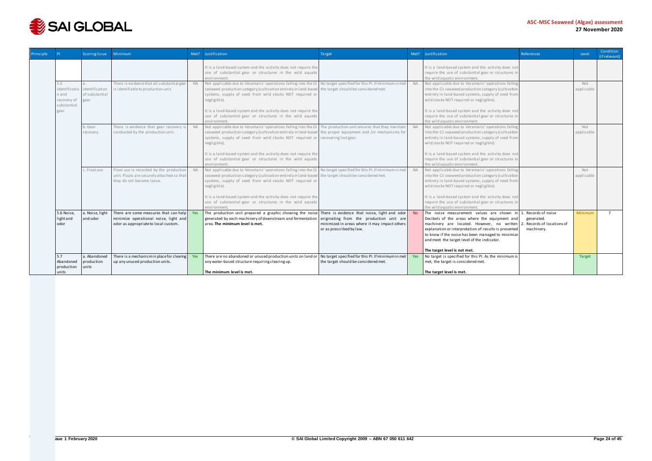

| Principle |                                                             | <b>Scoring Issue</b>                     | Minimum                                                                                                                      | Met?      | Justification                                                                                                                                                                                                                                                      | Target                                                                                                                                                                |           | Met? Justification                                                                                                                                                                                                                                                                                       | References                                                              | Level             | Condition<br>(if relevant) |
|-----------|-------------------------------------------------------------|------------------------------------------|------------------------------------------------------------------------------------------------------------------------------|-----------|--------------------------------------------------------------------------------------------------------------------------------------------------------------------------------------------------------------------------------------------------------------------|-----------------------------------------------------------------------------------------------------------------------------------------------------------------------|-----------|----------------------------------------------------------------------------------------------------------------------------------------------------------------------------------------------------------------------------------------------------------------------------------------------------------|-------------------------------------------------------------------------|-------------------|----------------------------|
|           |                                                             |                                          |                                                                                                                              |           | It is a land-based system and the activity does not require the<br>use of substantial gear or structures in the wild aquatic<br>environment.                                                                                                                       |                                                                                                                                                                       |           | It is a land-based system and the activity does not<br>require the use of substantial gear or structures in<br>the wild aquatic environment.                                                                                                                                                             |                                                                         |                   |                            |
|           | 5.5<br>Identificatio<br>n and<br>recovery of<br>substantial | Identification<br>of substantial<br>gear | There is evidence that all substantial gear<br>is identifiable to production unit.                                           | <b>NA</b> | Not applicable due to Veramaris' operations falling into the Cil No target specified for this PI. If minimum in met<br>seaweed production category (cultivation entirely in land-based<br>systems, supply of seed from wild stocks NOT required or<br>negligible). | the target should be considered met.                                                                                                                                  | <b>NA</b> | Not applicable due to Veramaris' operations falling<br>into the Cii seaweed production category (cultivation<br>entirely in land-based systems, supply of seed from<br>wild stocks NOT required or negligible).                                                                                          |                                                                         | Not<br>applicable |                            |
|           | gear                                                        |                                          |                                                                                                                              |           | It is a land-based system and the activity does not require the<br>use of substantial gear or structures in the wild aquatic<br>environment.                                                                                                                       |                                                                                                                                                                       |           | It is a land-based system and the activity does not<br>require the use of substantial gear or structures in<br>the wild aquatic environment.                                                                                                                                                             |                                                                         |                   |                            |
|           |                                                             | b. Gear<br>recovery                      | There is evidence that gear recovery i<br>conducted by the production unit.                                                  | <b>NA</b> | Not applicable due to Veramaris' operations falling into the Cii The production unit ensures that they maintain<br>seaweed production category (cultivation entirely in land-based<br>systems, supply of seed from wild stocks NOT required or<br>negligible).     | the proper equipment and /or mechanisms for<br>recovering lost gear.                                                                                                  | <b>NA</b> | Not applicable due to Veramaris' operations falling<br>into the Cii seaweed production category (cultivation<br>entirely in land-based systems, supply of seed from<br>wild stocks NOT required or negligible).                                                                                          |                                                                         | Not<br>applicable |                            |
|           |                                                             |                                          |                                                                                                                              |           | It is a land-based system and the activity does not require the<br>use of substantial gear or structures in the wild aquatic<br>environment                                                                                                                        |                                                                                                                                                                       |           | It is a land-based system and the activity does not<br>require the use of substantial gear or structures in<br>the wild aquatic environment                                                                                                                                                              |                                                                         |                   |                            |
|           |                                                             | c. Floatuse                              | Float use is recorded by the production<br>unit. Floats are securely attached so that<br>they do not become loose.           | <b>NA</b> | Not applicable due to Veramaris' operations falling into the Cii<br>seaweed production category (cultivation entirely in land-based<br>systems, supply of seed from wild stocks NOT required or<br>negligible).                                                    | No target specified for this PI. If minimum in met<br>the target should be considered met.                                                                            | <b>NA</b> | Not applicable due to Veramaris' operations falling<br>into the Cii seaweed production category (cultivation<br>entirely in land-based systems, supply of seed from<br>wild stocks NOT required or negligible).                                                                                          |                                                                         | Not<br>applicable |                            |
|           |                                                             |                                          |                                                                                                                              |           | It is a land-based system and the activity does not require the<br>use of substantial gear or structures in the wild aquatic<br>environment                                                                                                                        |                                                                                                                                                                       |           | It is a land-based system and the activity does not<br>require the use of substantial gear or structures in<br>the wild aquatic environment.                                                                                                                                                             |                                                                         |                   |                            |
|           | 5.6 Noise,<br>light and<br>odor                             | a. Noise, light<br>and odor              | There are some measures that can help   Yes<br>minimize operational noise, light and<br>odor as appropriate to local custom. |           | The production unit prepared a graphic showing the noise<br>generated by each machinery of downstream and fermentation<br>area. The minimum level is met.                                                                                                          | There is evidence that noise, light and odor<br>originating from the production unit are<br>minimized in areas where it may impact others<br>or as prescribed by law. |           | The noise measurement values are shown in<br>Decibels of the areas where the equipment and<br>machinery are located. However, no written 2.<br>explanation or interpretation of results is presented<br>to know if the noise has been managed to minimize<br>and meet the target level of the indicator. | Records of noise<br>generated.<br>Records of locations of<br>machinery. | Minimum           | $\overline{7}$             |
|           | 5.7<br>Abandoned                                            | a. Abandoned<br>production               | There is a mechanism in place for clearing<br>up any unused production units.                                                | Yes       | There are no abandoned or unused production units on land or<br>any water-based structure requiring clearing up.                                                                                                                                                   | No target specified for this PI. If minimum in met   Yes<br>the target should be considered met.                                                                      |           | The target level is not met.<br>No target is specified for this PI. As the minimum is<br>met, the target is considered met.                                                                                                                                                                              |                                                                         | <b>Target</b>     |                            |
|           | production<br>units                                         | units                                    |                                                                                                                              |           | The minimum level is met.                                                                                                                                                                                                                                          |                                                                                                                                                                       |           | The target level is met.                                                                                                                                                                                                                                                                                 |                                                                         |                   |                            |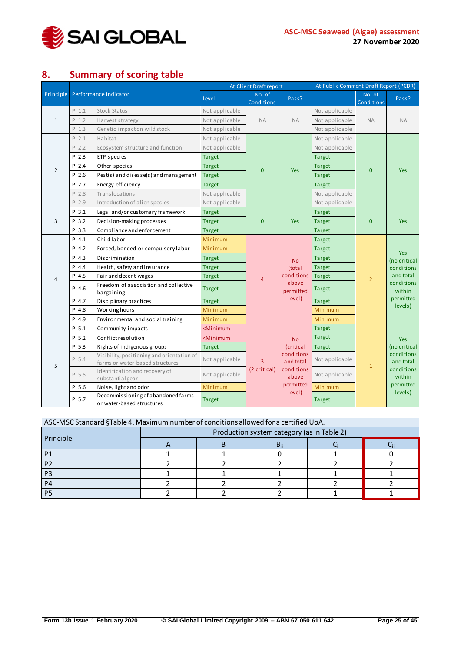

## <span id="page-24-0"></span>**8. Summary of scoring table**

|                |          |                                                                               |                                                                                                          | At Client Draft report      |                                  | At Public Comment Draft Report (PCDR) |                      |                                                                 |  |
|----------------|----------|-------------------------------------------------------------------------------|----------------------------------------------------------------------------------------------------------|-----------------------------|----------------------------------|---------------------------------------|----------------------|-----------------------------------------------------------------|--|
| Principle      |          | Performance Indicator                                                         | Level                                                                                                    | No. of<br><b>Conditions</b> | Pass?                            |                                       | No. of<br>Conditions | Pass?                                                           |  |
|                | $PI$ 1.1 | <b>Stock Status</b>                                                           | Not applicable                                                                                           |                             |                                  | Not applicable                        |                      |                                                                 |  |
| $\mathbf{1}$   | PI 1.2   | Harvest strategy                                                              | Not applicable                                                                                           | <b>NA</b>                   | <b>NA</b>                        | Not applicable                        | <b>NA</b>            | <b>NA</b>                                                       |  |
|                | PI 1.3   | Genetic impact on wild stock                                                  | Not applicable                                                                                           |                             |                                  | Not applicable                        |                      |                                                                 |  |
|                | PI 2.1   | Habitat                                                                       | Not applicable                                                                                           |                             |                                  | Not applicable                        |                      |                                                                 |  |
|                | PI 2.2   | Ecosystem structure and function                                              | Not applicable                                                                                           |                             |                                  | Not applicable                        |                      |                                                                 |  |
|                | PI 2.3   | ETP species                                                                   |                                                                                                          |                             |                                  | <b>Target</b>                         |                      |                                                                 |  |
| $\overline{2}$ | PI 2.4   | Other species                                                                 | <b>Target</b>                                                                                            | $\mathbf{0}$                | <b>Yes</b>                       | <b>Target</b>                         | $\mathbf{0}$         | <b>Yes</b>                                                      |  |
|                | PI 2.6   | Pest(s) and disease(s) and management                                         | <b>Target</b>                                                                                            |                             |                                  | <b>Target</b>                         |                      |                                                                 |  |
|                | PI 2.7   | Energy efficiency                                                             | <b>Target</b>                                                                                            |                             |                                  | <b>Target</b>                         |                      |                                                                 |  |
|                | PI 2.8   | Translocations                                                                | Not applicable                                                                                           |                             |                                  | Not applicable                        |                      |                                                                 |  |
|                | PI 2.9   | Introduction of alien species                                                 | Not applicable                                                                                           |                             |                                  | Not applicable                        |                      |                                                                 |  |
|                | PI 3.1   | Legal and/or customary framework                                              | <b>Target</b>                                                                                            |                             |                                  | <b>Target</b>                         |                      |                                                                 |  |
| 3              | PI 3.2   | Decision-making processes                                                     | <b>Target</b>                                                                                            | $\mathbf{0}$                | <b>Yes</b>                       | <b>Target</b>                         | $\mathbf{0}$         | <b>Yes</b>                                                      |  |
|                | PI 3.3   | Compliance and enforcement                                                    | <b>Target</b>                                                                                            |                             |                                  | <b>Target</b>                         |                      |                                                                 |  |
|                | PI 4.1   | Childlabor                                                                    | Minimum                                                                                                  |                             |                                  | <b>Target</b>                         |                      |                                                                 |  |
|                | PI 4.2   | Forced, bonded or compulsory labor                                            | Minimum                                                                                                  |                             |                                  | <b>Target</b>                         |                      | <b>Yes</b>                                                      |  |
|                | PI 4.3   | Discrimination                                                                | <b>Target</b>                                                                                            |                             | <b>No</b>                        | <b>Target</b>                         |                      | (no critical<br>conditions<br>and total<br>conditions<br>within |  |
|                | PI 4.4   | Health, safety and insurance                                                  | <b>Target</b>                                                                                            |                             | (total                           | <b>Target</b>                         | $\overline{2}$       |                                                                 |  |
| 4              | PI 4.5   | Fair and decent wages                                                         | <b>Target</b>                                                                                            | $\overline{4}$              | conditions<br>above<br>permitted | <b>Target</b>                         |                      |                                                                 |  |
|                | PI 4.6   | Freedom of association and collective<br>bargaining                           | <b>Target</b>                                                                                            |                             |                                  | <b>Target</b>                         |                      |                                                                 |  |
|                | PI 4.7   | Disciplinary practices                                                        | <b>Target</b>                                                                                            |                             | level)                           | <b>Target</b>                         |                      | permitted                                                       |  |
|                | PI 4.8   | Working hours                                                                 | Minimum                                                                                                  |                             |                                  | Minimum                               |                      | levels)                                                         |  |
|                | PI 4.9   | Environmental and social training                                             | Minimum                                                                                                  |                             |                                  | Minimum                               |                      |                                                                 |  |
|                | PI 5.1   | Community impacts                                                             | <minimum< td=""><td></td><td></td><td><b>Target</b></td><td></td><td></td></minimum<>                    |                             |                                  | <b>Target</b>                         |                      |                                                                 |  |
|                | PI 5.2   | Conflict resolution                                                           | <minimum< td=""><td></td><td><b>No</b></td><td><b>Target</b></td><td></td><td><b>Yes</b></td></minimum<> |                             | <b>No</b>                        | <b>Target</b>                         |                      | <b>Yes</b>                                                      |  |
|                | PI 5.3   | Rights of indigenous groups                                                   | <b>Target</b>                                                                                            |                             | (critical                        | <b>Target</b>                         |                      | (no critical                                                    |  |
| 5              | PI 5.4   | Visibility, positioning and orientation of<br>farms or water-based structures | Not applicable                                                                                           | 3                           | conditions<br>and total          | Not applicable                        | $\mathbf{1}$         | conditions<br>and total                                         |  |
|                | PI 5.5   | Identification and recovery of<br>substantialgear                             | Not applicable                                                                                           | (2 critical)                | conditions<br>above              | Not applicable                        |                      | conditions<br>within<br>permitted<br>levels)                    |  |
|                | PI 5.6   | Noise, light and odor                                                         | Minimum                                                                                                  |                             | permitted                        | Minimum                               |                      |                                                                 |  |
|                | PI 5.7   | Decommissioning of abandoned farms<br>or water-based structures               | <b>Target</b>                                                                                            |                             | level)                           | <b>Target</b>                         |                      |                                                                 |  |

| ASC-MSC Standard §Table 4. Maximum number of conditions allowed for a certified UoA. |                                            |    |          |  |  |  |  |  |  |  |  |  |
|--------------------------------------------------------------------------------------|--------------------------------------------|----|----------|--|--|--|--|--|--|--|--|--|
|                                                                                      | Production system category (as in Table 2) |    |          |  |  |  |  |  |  |  |  |  |
| Principle                                                                            |                                            | Di | $B_{ii}$ |  |  |  |  |  |  |  |  |  |
| D <sub>1</sub>                                                                       |                                            |    |          |  |  |  |  |  |  |  |  |  |
| D)                                                                                   |                                            |    |          |  |  |  |  |  |  |  |  |  |
| PЗ                                                                                   |                                            |    |          |  |  |  |  |  |  |  |  |  |
| P4                                                                                   |                                            |    |          |  |  |  |  |  |  |  |  |  |
| <b>DE</b>                                                                            |                                            |    |          |  |  |  |  |  |  |  |  |  |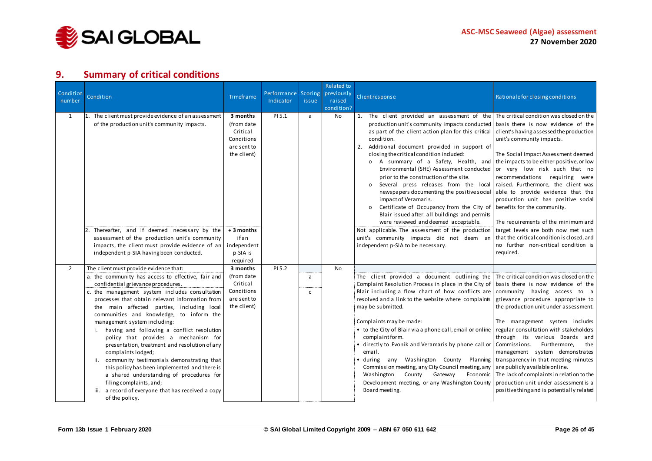

# **9. Summary of critical conditions**

<span id="page-25-0"></span>

| Condition<br>number | Condition                                                                                                                                                                                                                                                                                                                                                                                                                                                                                                                                                                                                                                                                                                                                | Timeframe                                                                                                                       | Performance Scoring<br>Indicator | issue             | <b>Related to</b><br>previously<br>raised<br>condition? | Clientresponse                                                                                                                                                                                                                                                                                                                                                                                                                                                                                                                                                                                                                                                                                                                                                                                                                                 | Rationale for closing conditions                                                                                                                                                                                                                                                                                                                                                                                                                                                                                                                                                                     |
|---------------------|------------------------------------------------------------------------------------------------------------------------------------------------------------------------------------------------------------------------------------------------------------------------------------------------------------------------------------------------------------------------------------------------------------------------------------------------------------------------------------------------------------------------------------------------------------------------------------------------------------------------------------------------------------------------------------------------------------------------------------------|---------------------------------------------------------------------------------------------------------------------------------|----------------------------------|-------------------|---------------------------------------------------------|------------------------------------------------------------------------------------------------------------------------------------------------------------------------------------------------------------------------------------------------------------------------------------------------------------------------------------------------------------------------------------------------------------------------------------------------------------------------------------------------------------------------------------------------------------------------------------------------------------------------------------------------------------------------------------------------------------------------------------------------------------------------------------------------------------------------------------------------|------------------------------------------------------------------------------------------------------------------------------------------------------------------------------------------------------------------------------------------------------------------------------------------------------------------------------------------------------------------------------------------------------------------------------------------------------------------------------------------------------------------------------------------------------------------------------------------------------|
| 1                   | 1. The client must provide evidence of an assessment<br>of the production unit's community impacts.<br>Thereafter, and if deemed necessary by the<br>assessment of the production unit's community<br>impacts, the client must provide evidence of an<br>independent p-SIA having been conducted.                                                                                                                                                                                                                                                                                                                                                                                                                                        | 3 months<br>(from date<br>Critical<br>Conditions<br>are sent to<br>the client)<br>+ 3 months<br>ifan<br>independent<br>p-SIA is | PI 5.1                           | a                 | No                                                      | 1. The client provided an assessment of the The critical condition was closed on the<br>production unit's community impacts conducted<br>as part of the client action plan for this critical<br>condition.<br>Additional document provided in support of<br>2.<br>closing the critical condition included:<br>o A summary of a Safety, Health, and<br>Environmental (SHE) Assessment conducted<br>prior to the construction of the site.<br>Several press releases from the local<br>$\Omega$<br>newspapers documenting the positive social<br>impact of Veramaris.<br>Certificate of Occupancy from the City of<br>Blair issued after all buildings and permits<br>were reviewed and deemed acceptable.<br>Not applicable. The assessment of the production<br>unit's community impacts did not deem an<br>independent p-SIA to be necessary. | basis there is now evidence of the<br>client's having assessed the production<br>unit's community impacts.<br>The Social Impact Assessment deemed<br>the impacts to be either positive, or low<br>or very low risk such that no<br>recommendations requiring were<br>raised. Furthermore, the client was<br>able to provide evidence that the<br>production unit has positive social<br>benefits for the community.<br>The requirements of the minimum and<br>target levels are both now met such<br>that the critical condition is closed, and<br>no further non-critical condition is<br>required. |
| $\overline{2}$      | The client must provide evidence that:                                                                                                                                                                                                                                                                                                                                                                                                                                                                                                                                                                                                                                                                                                   | required<br>3 months                                                                                                            | PI 5.2                           |                   | <b>No</b>                                               |                                                                                                                                                                                                                                                                                                                                                                                                                                                                                                                                                                                                                                                                                                                                                                                                                                                |                                                                                                                                                                                                                                                                                                                                                                                                                                                                                                                                                                                                      |
|                     | a. the community has access to effective, fair and<br>confidential grievance procedures.<br>c. the management system includes consultation<br>processes that obtain relevant information from<br>the main affected parties, including local<br>communities and knowledge, to inform the<br>management system including:<br>having and following a conflict resolution<br>policy that provides a mechanism for<br>presentation, treatment and resolution of any<br>complaints lodged;<br>community testimonials demonstrating that<br>ii.<br>this policy has been implemented and there is<br>a shared understanding of procedures for<br>filing complaints, and;<br>iii. a record of everyone that has received a copy<br>of the policy. | (from date)<br>Critical<br>Conditions<br>are sent to<br>the client)                                                             |                                  | a<br>$\mathsf{C}$ |                                                         | The client provided a document outlining the<br>Complaint Resolution Process in place in the City of<br>Blair including a flow chart of how conflicts are<br>resolved and a link to the website where complaints<br>may be submitted.<br>Complaints may be made:<br>• to the City of Blair via a phone call, email or online<br>complaint form.<br>• directly to Evonik and Veramaris by phone call or<br>email.<br>• during<br>any Washington County Planning<br>Commission meeting, any City Council meeting, any<br>Gateway<br>Washington<br>County<br>Economic<br>Development meeting, or any Washington County<br>Board meeting.                                                                                                                                                                                                          | The critical condition was closed on the<br>basis there is now evidence of the<br>community having access to a<br>grievance procedure appropriate to<br>the production unit under assessment.<br>The management system includes<br>regular consultation with stakeholders<br>through its various Boards and<br>Commissions.<br>Furthermore,<br>the<br>management system demonstrates<br>transparency in that meeting minutes<br>are publicly available online.<br>The lack of complaints in relation to the<br>production unit under assessment is a<br>positive thing and is potentially related    |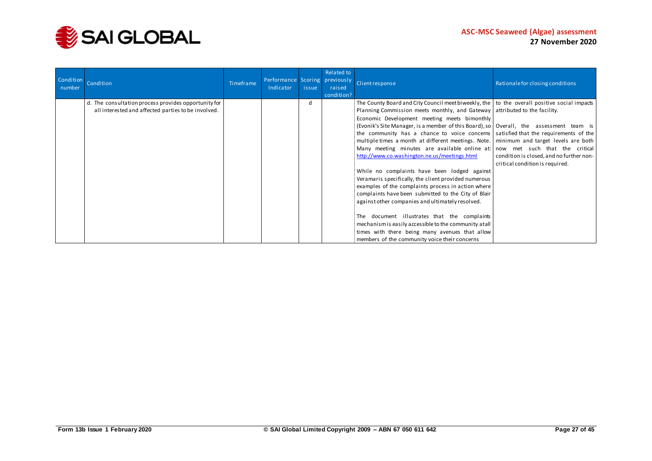

| Condition<br>number | Condition                                                                                                   | Timeframe | Performance Scoring previously<br>Indicator | issue | Related to<br>raised<br>condition? | Client response                                                                                                                                                                                                                                                                                                                                                                                                                                                                                                                                                                                                                                                                                                                                                                                                                                                                                                                                                                                                                                                                                                                        | Rationale for closing conditions                                            |
|---------------------|-------------------------------------------------------------------------------------------------------------|-----------|---------------------------------------------|-------|------------------------------------|----------------------------------------------------------------------------------------------------------------------------------------------------------------------------------------------------------------------------------------------------------------------------------------------------------------------------------------------------------------------------------------------------------------------------------------------------------------------------------------------------------------------------------------------------------------------------------------------------------------------------------------------------------------------------------------------------------------------------------------------------------------------------------------------------------------------------------------------------------------------------------------------------------------------------------------------------------------------------------------------------------------------------------------------------------------------------------------------------------------------------------------|-----------------------------------------------------------------------------|
|                     | d. The consultation process provides opportunity for<br>all interested and affected parties to be involved. |           |                                             | d     |                                    | The County Board and City Council meet biweekly, the $\vert$ to the overall positive social impacts<br>Planning Commission meets monthly, and Gateway attributed to the facility.<br>Economic Development meeting meets bimonthly<br>(Evonik's Site Manager, is a member of this Board), so   Overall, the assessment team is<br>the community has a chance to voice concerns   satisfied that the requirements of the<br>multiple times a month at different meetings. Note. minimum and target levels are both<br>Many meeting minutes are available online at: now met such that the critical<br>http://www.co.washington.ne.us/meetings.html<br>While no complaints have been lodged against<br>Veramaris specifically, the client provided numerous<br>examples of the complaints process in action where<br>complaints have been submitted to the City of Blair<br>against other companies and ultimately resolved.<br>The document illustrates that the complaints<br>mechanism is easily accessible to the community at all<br>times with there being many avenues that allow<br>members of the community voice their concerns | condition is closed, and no further non-<br>critical condition is required. |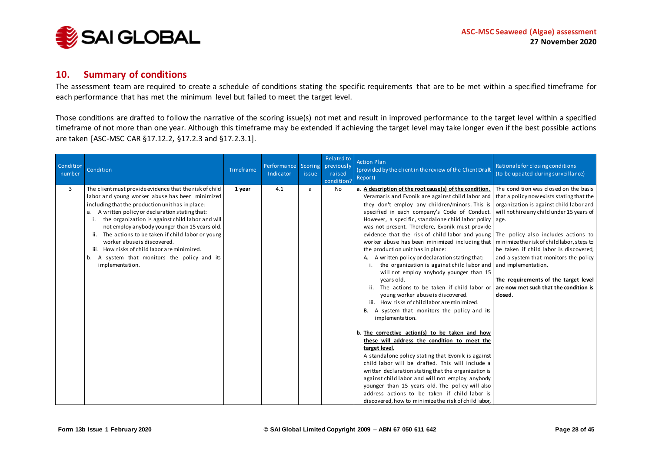

### **10. Summary of conditions**

The assessment team are required to create a schedule of conditions stating the specific requirements that are to be met within a specified timeframe for each performance that has met the minimum level but failed to meet the target level.

Those conditions are drafted to follow the narrative of the scoring issue(s) not met and result in improved performance to the target level within a specified timeframe of not more than one year. Although this timeframe may be extended if achieving the target level may take longer even if the best possible actions are taken [ASC-MSC CAR §17.12.2, §17.2.3 and §17.2.3.1].

<span id="page-27-0"></span>

| Condition<br>number | Condition                                                                                                                                                                                                                                                                                                                                                                                                                                                                                                                           | Timeframe | Performance Scoring<br>Indicator | issue | Related to<br>previously<br>raised<br>condition? | <b>Action Plan</b><br>(provided by the client in the review of the Client Draft<br>Report)                                                                                                                                                                                                                                                                                                                                                                                                                                                                                                                                                                                                                                                                                                                                                                                                                                                                                                                                                                                                                                                                                                                                                                                                                                                                                                                                    | Rationale for closing conditions<br>(to be updated during surveillance)                                                                                                                                                                                                                                                                                                            |
|---------------------|-------------------------------------------------------------------------------------------------------------------------------------------------------------------------------------------------------------------------------------------------------------------------------------------------------------------------------------------------------------------------------------------------------------------------------------------------------------------------------------------------------------------------------------|-----------|----------------------------------|-------|--------------------------------------------------|-------------------------------------------------------------------------------------------------------------------------------------------------------------------------------------------------------------------------------------------------------------------------------------------------------------------------------------------------------------------------------------------------------------------------------------------------------------------------------------------------------------------------------------------------------------------------------------------------------------------------------------------------------------------------------------------------------------------------------------------------------------------------------------------------------------------------------------------------------------------------------------------------------------------------------------------------------------------------------------------------------------------------------------------------------------------------------------------------------------------------------------------------------------------------------------------------------------------------------------------------------------------------------------------------------------------------------------------------------------------------------------------------------------------------------|------------------------------------------------------------------------------------------------------------------------------------------------------------------------------------------------------------------------------------------------------------------------------------------------------------------------------------------------------------------------------------|
| 3                   | The client must provide evidence that the risk of child<br>labor and young worker abuse has been minimized<br>including that the production unit has in place:<br>a. A written policy or declaration stating that:<br>the organization is against child labor and will<br>not employ anybody younger than 15 years old.<br>ii. The actions to be taken if child labor or young<br>worker abuse is discovered.<br>iii. How risks of child labor are minimized.<br>A system that monitors the policy and its<br>b.<br>implementation. | 1 year    | 4.1                              | a     | <b>No</b>                                        | a. A description of the root cause(s) of the condition.<br>Veramaris and Evonik are against child labor and   that a policy now exists stating that the<br>they don't employ any children/minors. This is<br>specified in each company's Code of Conduct.<br>However, a specific, standalone child labor policy age.<br>was not present. Therefore, Evonik must provide<br>evidence that the risk of child labor and young   The policy also includes actions to<br>worker abuse has been minimized including that<br>the production unit has in place:<br>A. A written policy or declaration stating that:<br>the organization is against child labor and<br>will not employ anybody younger than 15<br>years old.<br>The actions to be taken if child labor or<br>young worker abuse is discovered.<br>iii. How risks of child labor are minimized.<br>B. A system that monitors the policy and its<br>implementation.<br>b. The corrective action(s) to be taken and how<br>these will address the condition to meet the<br>target level.<br>A standalone policy stating that Evonik is against<br>child labor will be drafted. This will include a<br>written declaration stating that the organization is<br>against child labor and will not employ anybody<br>younger than 15 years old. The policy will also<br>address actions to be taken if child labor is<br>discovered, how to minimize the risk of child labor. | The condition was closed on the basis<br>organization is against child labor and<br>will not hire any child under 15 years of<br>minimize the risk of child labor, steps to<br>be taken if child labor is discovered,<br>and a system that monitors the policy<br>and implementation.<br>The requirements of the target level<br>are now met such that the condition is<br>closed. |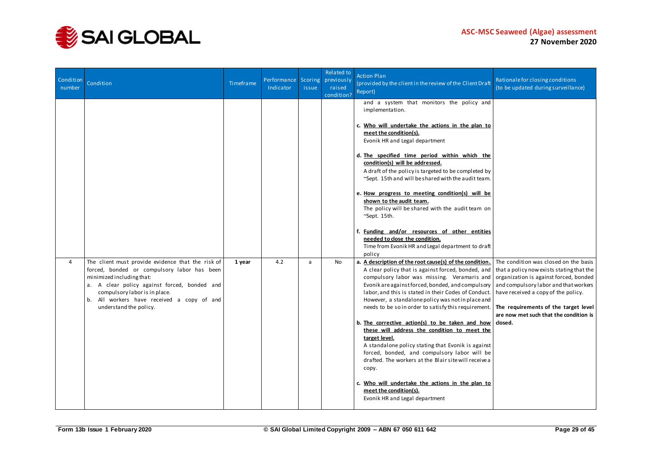

| Condition<br>number | Condition                                                                                                                                                                                                                                                                              | Timeframe | Performance Scoring<br>Indicator | issue | Related to<br>previously<br>raised<br>condition? | <b>Action Plan</b><br>(provided by the client in the review of the Client Draft<br>Report)                                                                                                                                                                                                                                                                                                                                                                                                                                                                                                                                                                                                                                                                                                         | Rationale for closing conditions<br>(to be updated during surveillance)                                                                                                                                                                                                                                     |
|---------------------|----------------------------------------------------------------------------------------------------------------------------------------------------------------------------------------------------------------------------------------------------------------------------------------|-----------|----------------------------------|-------|--------------------------------------------------|----------------------------------------------------------------------------------------------------------------------------------------------------------------------------------------------------------------------------------------------------------------------------------------------------------------------------------------------------------------------------------------------------------------------------------------------------------------------------------------------------------------------------------------------------------------------------------------------------------------------------------------------------------------------------------------------------------------------------------------------------------------------------------------------------|-------------------------------------------------------------------------------------------------------------------------------------------------------------------------------------------------------------------------------------------------------------------------------------------------------------|
|                     |                                                                                                                                                                                                                                                                                        |           |                                  |       |                                                  | and a system that monitors the policy and<br>implementation.<br>c. Who will undertake the actions in the plan to<br>meet the condition(s).<br>Evonik HR and Legal department<br>d. The specified time period within which the<br>condition(s) will be addressed.<br>A draft of the policy is targeted to be completed by<br>~Sept. 15th and will be shared with the audit team.<br>e. How progress to meeting condition(s) will be<br>shown to the audit team.<br>The policy will be shared with the audit team on<br>~Sept. 15th.<br>f. Funding and/or resources of other entities<br>needed to close the condition.<br>Time from Evonik HR and Legal department to draft<br>policy                                                                                                               |                                                                                                                                                                                                                                                                                                             |
| $\overline{4}$      | The client must provide evidence that the risk of<br>forced, bonded or compulsory labor has been<br>minimized including that:<br>a. A clear policy against forced, bonded and<br>compulsory labor is in place.<br>b. All workers have received a copy of and<br>understand the policy. | 1 year    | 4.2                              | a     | <b>No</b>                                        | a. A description of the root cause(s) of the condition.<br>A clear policy that is against forced, bonded, and<br>compulsory labor was missing. Veramaris and<br>Evonik are against forced, bonded, and compulsory<br>labor, and this is stated in their Codes of Conduct.<br>However, a standalone policy was not in place and<br>needs to be so in order to satisfy this requirement.<br>b. The corrective action(s) to be taken and how<br>these will address the condition to meet the<br>target level.<br>A standalone policy stating that Evonik is against<br>forced, bonded, and compulsory labor will be<br>drafted. The workers at the Blair site will receive a<br>copy.<br>c. Who will undertake the actions in the plan to<br>meet the condition(s).<br>Evonik HR and Legal department | The condition was closed on the basis<br>that a policy now exists stating that the<br>organization is against forced, bonded<br>and compuls or y labor and that workers<br>have received a copy of the policy.<br>The requirements of the target level<br>are now met such that the condition is<br>closed. |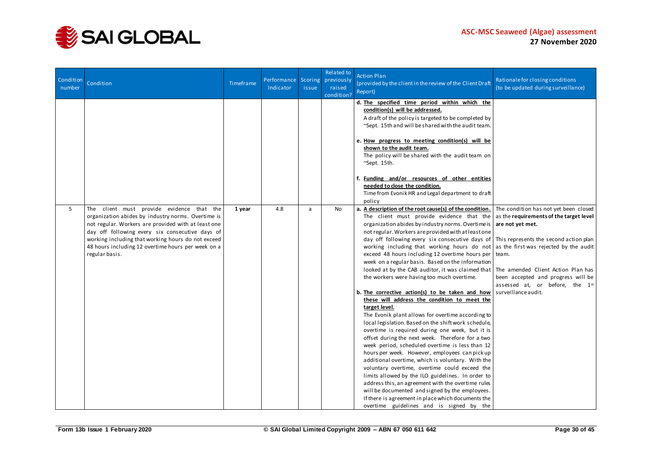

| Condition<br>number | Condition                                                                                                                                                                                                                                                                                                                               | Timeframe | Performance Scoring<br>Indicator | issue | Related to<br>previously<br>raised<br>condition? | <b>Action Plan</b><br>(provided by the client in the review of the Client Draft<br>Report)                                                                                                                                                                                                                                                                                                                                                                                                                                                                                                                                                                                                                                                                                                                                                                                                                                                                                                                                                                                                                                                                                                                                                                                                                                                        | Rationale for closing conditions<br>(to be updated during surveillance)                                                                                                                                                                                                                                                                 |
|---------------------|-----------------------------------------------------------------------------------------------------------------------------------------------------------------------------------------------------------------------------------------------------------------------------------------------------------------------------------------|-----------|----------------------------------|-------|--------------------------------------------------|---------------------------------------------------------------------------------------------------------------------------------------------------------------------------------------------------------------------------------------------------------------------------------------------------------------------------------------------------------------------------------------------------------------------------------------------------------------------------------------------------------------------------------------------------------------------------------------------------------------------------------------------------------------------------------------------------------------------------------------------------------------------------------------------------------------------------------------------------------------------------------------------------------------------------------------------------------------------------------------------------------------------------------------------------------------------------------------------------------------------------------------------------------------------------------------------------------------------------------------------------------------------------------------------------------------------------------------------------|-----------------------------------------------------------------------------------------------------------------------------------------------------------------------------------------------------------------------------------------------------------------------------------------------------------------------------------------|
|                     |                                                                                                                                                                                                                                                                                                                                         |           |                                  |       |                                                  | d. The specified time period within which the<br>condition(s) will be addressed.<br>A draft of the policy is targeted to be completed by<br>~Sept. 15th and will be shared with the audit team.<br>e. How progress to meeting condition(s) will be<br>shown to the audit team.<br>The policy will be shared with the audit team on<br>~Sept. 15th.<br>f. Funding and/or resources of other entities<br>needed to close the condition.<br>Time from Evonik HR and Legal department to draft<br>policy                                                                                                                                                                                                                                                                                                                                                                                                                                                                                                                                                                                                                                                                                                                                                                                                                                              |                                                                                                                                                                                                                                                                                                                                         |
| 5                   | The client must provide evidence that the<br>organization abides by industry norms. Overtime is<br>not regular. Workers are provided with at least one<br>day off following every six consecutive days of<br>working including that working hours do not exceed<br>48 hours including 12 overtime hours per week on a<br>regular basis. | 1 year    | 4.8                              | a     | <b>No</b>                                        | a. A description of the root cause(s) of the condition.<br>The client must provide evidence that the<br>organization abides by industry norms. Overtime is<br>not regular. Workers are provided with at least one<br>day off following every six consecutive days of<br>working including that working hours do not<br>exceed 48 hours including 12 overtime hours per<br>week on a regular basis. Based on the information<br>looked at by the CAB auditor, it was claimed that<br>the workers were having too much overtime.<br>b. The corrective action(s) to be taken and how<br>these will address the condition to meet the<br>target level.<br>The Evonik plant allows for overtime according to<br>local legislation. Based on the shift work schedule,<br>overtime is required during one week, but it is<br>offset during the next week. Therefore for a two<br>week period, scheduled overtime is less than 12<br>hours per week. However, employees can pick up<br>additional overtime, which is voluntary. With the<br>voluntary overtime, overtime could exceed the<br>limits allowed by the ILO guidelines. In order to<br>address this, an agreement with the overtime rules<br>will be documented and signed by the employees.<br>If there is agreement in place which documents the<br>overtime guidelines and is signed by the | The condition has not yet been closed<br>as the requirements of the target level<br>are not yet met.<br>This represents the second action plan<br>as the first was rejected by the audit<br>team.<br>The amended Client Action Plan has<br>been accepted and progress will be<br>assessed at, or before, the 1st<br>surveillance audit. |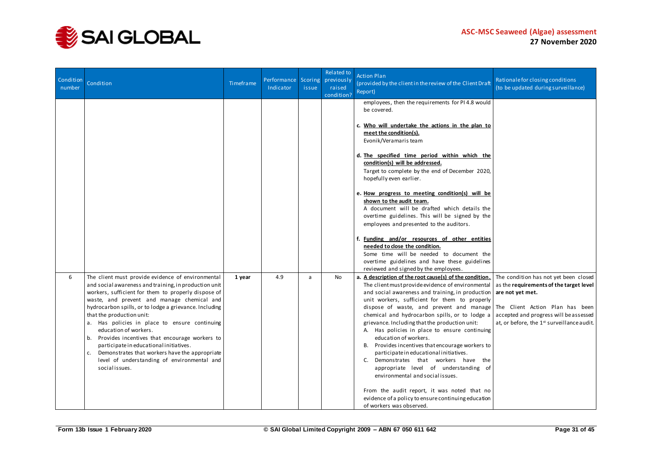

| Condition<br>number | Condition                                                                                                                                                                                                                                                                                                                                                                                                                                                                                                                                                                                                  | Timeframe | Performance Scoring<br>Indicator | issue | Related to<br>previously<br>raised<br>condition? | <b>Action Plan</b><br>(provided by the client in the review of the Client Draft<br>Report)                                                                                                                                                                                                                                                                                                                                                                                                                                                                                                                                                                                                                                                                                                         | Rationale for closing conditions<br>(to be updated during surveillance)                                                                                                                                                         |
|---------------------|------------------------------------------------------------------------------------------------------------------------------------------------------------------------------------------------------------------------------------------------------------------------------------------------------------------------------------------------------------------------------------------------------------------------------------------------------------------------------------------------------------------------------------------------------------------------------------------------------------|-----------|----------------------------------|-------|--------------------------------------------------|----------------------------------------------------------------------------------------------------------------------------------------------------------------------------------------------------------------------------------------------------------------------------------------------------------------------------------------------------------------------------------------------------------------------------------------------------------------------------------------------------------------------------------------------------------------------------------------------------------------------------------------------------------------------------------------------------------------------------------------------------------------------------------------------------|---------------------------------------------------------------------------------------------------------------------------------------------------------------------------------------------------------------------------------|
|                     |                                                                                                                                                                                                                                                                                                                                                                                                                                                                                                                                                                                                            |           |                                  |       |                                                  | employees, then the requirements for PI 4.8 would<br>be covered.<br>c. Who will undertake the actions in the plan to<br>meet the condition(s).<br>Evonik/Veramaris team<br>d. The specified time period within which the<br>condition(s) will be addressed.<br>Target to complete by the end of December 2020,<br>hopefully even earlier.<br>e. How progress to meeting condition(s) will be<br>shown to the audit team.<br>A document will be drafted which details the<br>overtime guidelines. This will be signed by the<br>employees and presented to the auditors.<br>f. Funding and/or resources of other entities<br>needed to close the condition.<br>Some time will be needed to document the<br>overtime guidelines and have these guidelines<br>reviewed and signed by the employees.   |                                                                                                                                                                                                                                 |
| 6                   | The client must provide evidence of environmental<br>and social awareness and training, in production unit<br>workers, sufficient for them to properly dispose of<br>waste, and prevent and manage chemical and<br>hydrocarbon spills, or to lodge a grievance. Including<br>that the production unit:<br>a. Has policies in place to ensure continuing<br>education of workers.<br>Provides incentives that encourage workers to<br>b.<br>participate in educational initiatives.<br>Demonstrates that workers have the appropriate<br>c.<br>level of understanding of environmental and<br>socialissues. | 1 year    | 4.9                              | a     | <b>No</b>                                        | a. A description of the root cause(s) of the condition.<br>The client must provide evidence of environmental<br>and social awareness and training, in production<br>unit workers, sufficient for them to properly<br>dispose of waste, and prevent and manage<br>chemical and hydrocarbon spills, or to lodge a<br>grievance. Including that the production unit:<br>A. Has policies in place to ensure continuing<br>education of workers.<br>B. Provides incentives that encourage workers to<br>participate in educational initiatives.<br>C. Demonstrates that workers have the<br>appropriate level of understanding of<br>environmental and social issues.<br>From the audit report, it was noted that no<br>evidence of a policy to ensure continuing education<br>of workers was observed. | The condition has not yet been closed<br>as the requirements of the target level<br>are not yet met.<br>The Client Action Plan has been<br>accepted and progress will be assessed<br>at, or before, the 1st surveillance audit. |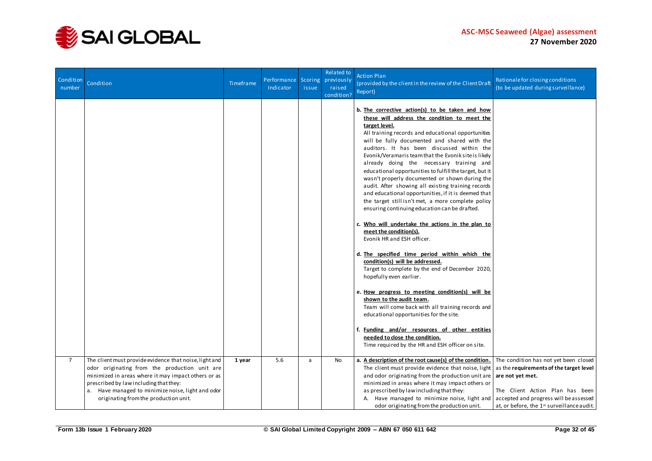

| Condition<br>number | Condition                                                                                                                                                                                                                                                                                              | Timeframe | Performance<br>Indicator | Scoring<br>issue | <b>Related</b> to<br>previously<br>raised<br>condition? | <b>Action Plan</b><br>(provided by the client in the review of the Client Draft<br>Report)                                                                                                                                                                                                                                                                                                                                                                                                                                                                                                                                                                                                                                                                                                                                                                                                                                                                                                                                                                                                                                                                                                                                                                                                                    | Rationale for closing conditions<br>(to be updated during surveillance)                                                                                                                                                         |
|---------------------|--------------------------------------------------------------------------------------------------------------------------------------------------------------------------------------------------------------------------------------------------------------------------------------------------------|-----------|--------------------------|------------------|---------------------------------------------------------|---------------------------------------------------------------------------------------------------------------------------------------------------------------------------------------------------------------------------------------------------------------------------------------------------------------------------------------------------------------------------------------------------------------------------------------------------------------------------------------------------------------------------------------------------------------------------------------------------------------------------------------------------------------------------------------------------------------------------------------------------------------------------------------------------------------------------------------------------------------------------------------------------------------------------------------------------------------------------------------------------------------------------------------------------------------------------------------------------------------------------------------------------------------------------------------------------------------------------------------------------------------------------------------------------------------|---------------------------------------------------------------------------------------------------------------------------------------------------------------------------------------------------------------------------------|
|                     |                                                                                                                                                                                                                                                                                                        |           |                          |                  |                                                         | b. The corrective action(s) to be taken and how<br>these will address the condition to meet the<br>target level.<br>All training records and educational opportunities<br>will be fully documented and shared with the<br>auditors. It has been discussed within the<br>Evonik/Veramaris team that the Evonik site is likely<br>already doing the necessary training and<br>educational opportunities to fulfill the target, but it<br>wasn't properly documented or shown during the<br>audit. After showing all existing training records<br>and educational opportunities, if it is deemed that<br>the target still isn't met, a more complete policy<br>ensuring continuing education can be drafted.<br>c. Who will undertake the actions in the plan to<br>meet the condition(s).<br>Evonik HR and ESH officer.<br>d. The specified time period within which the<br>condition(s) will be addressed.<br>Target to complete by the end of December 2020,<br>hopefully even earlier.<br>e. How progress to meeting condition(s) will be<br>shown to the audit team.<br>Team will come back with all training records and<br>educational opportunities for the site.<br>f. Funding and/or resources of other entities<br>needed to close the condition.<br>Time required by the HR and ESH officer on site. |                                                                                                                                                                                                                                 |
| $\overline{7}$      | The client must provide evidence that noise, light and<br>odor originating from the production unit are<br>minimized in areas where it may impact others or as<br>prescribed by law including that they:<br>a. Have managed to minimize noise, light and odor<br>originating from the production unit. | 1 year    | 5.6                      | a                | No                                                      | a. A description of the root cause(s) of the condition.<br>The client must provide evidence that noise, light<br>and odor originating from the production unit are<br>minimized in areas where it may impact others or<br>as prescribed by law including that they:<br>A. Have managed to minimize noise, light and<br>odor originating from the production unit.                                                                                                                                                                                                                                                                                                                                                                                                                                                                                                                                                                                                                                                                                                                                                                                                                                                                                                                                             | The condition has not yet been closed<br>as the requirements of the target level<br>are not yet met.<br>The Client Action Plan has been<br>accepted and progress will be assessed<br>at, or before, the 1st surveillance audit. |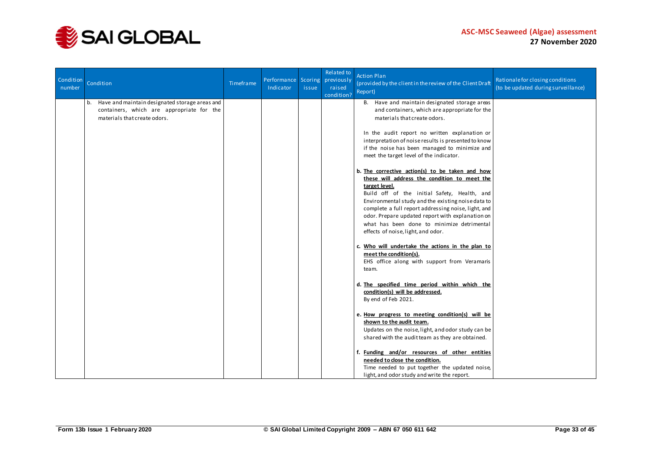

| Condition<br>number | Condition                                                                                                                         | Timeframe | Performance Scoring<br>Indicator | issue | Related to<br>previously<br>raised<br>condition? | <b>Action Plan</b><br>(provided by the client in the review of the Client Draft<br>Report)                                                                                                                                                                                                                                        | Rationale for closing conditions<br>(to be updated during surveillance) |
|---------------------|-----------------------------------------------------------------------------------------------------------------------------------|-----------|----------------------------------|-------|--------------------------------------------------|-----------------------------------------------------------------------------------------------------------------------------------------------------------------------------------------------------------------------------------------------------------------------------------------------------------------------------------|-------------------------------------------------------------------------|
|                     | Have and maintain designated storage areas and<br>b.<br>containers, which are appropriate for the<br>materials that create odors. |           |                                  |       |                                                  | B. Have and maintain designated storage areas<br>and containers, which are appropriate for the<br>materials that create odors.                                                                                                                                                                                                    |                                                                         |
|                     |                                                                                                                                   |           |                                  |       |                                                  | In the audit report no written explanation or<br>interpretation of noise results is presented to know<br>if the noise has been managed to minimize and<br>meet the target level of the indicator.                                                                                                                                 |                                                                         |
|                     |                                                                                                                                   |           |                                  |       |                                                  | b. The corrective action(s) to be taken and how<br>these will address the condition to meet the<br>target level.<br>Build off of the initial Safety, Health, and<br>Environmental study and the existing noise data to<br>complete a full report addressing noise, light, and<br>odor. Prepare updated report with explanation on |                                                                         |
|                     |                                                                                                                                   |           |                                  |       |                                                  | what has been done to minimize detrimental<br>effects of noise, light, and odor.                                                                                                                                                                                                                                                  |                                                                         |
|                     |                                                                                                                                   |           |                                  |       |                                                  | c. Who will undertake the actions in the plan to<br>meet the condition(s).<br>EHS office along with support from Veramaris<br>team.                                                                                                                                                                                               |                                                                         |
|                     |                                                                                                                                   |           |                                  |       |                                                  | d. The specified time period within which the<br>condition(s) will be addressed.<br>By end of Feb 2021.                                                                                                                                                                                                                           |                                                                         |
|                     |                                                                                                                                   |           |                                  |       |                                                  | e. How progress to meeting condition(s) will be<br>shown to the audit team.<br>Updates on the noise, light, and odor study can be<br>shared with the audit team as they are obtained.                                                                                                                                             |                                                                         |
|                     |                                                                                                                                   |           |                                  |       |                                                  | f. Funding and/or resources of other entities<br>needed to close the condition.<br>Time needed to put together the updated noise,<br>light, and odor study and write the report.                                                                                                                                                  |                                                                         |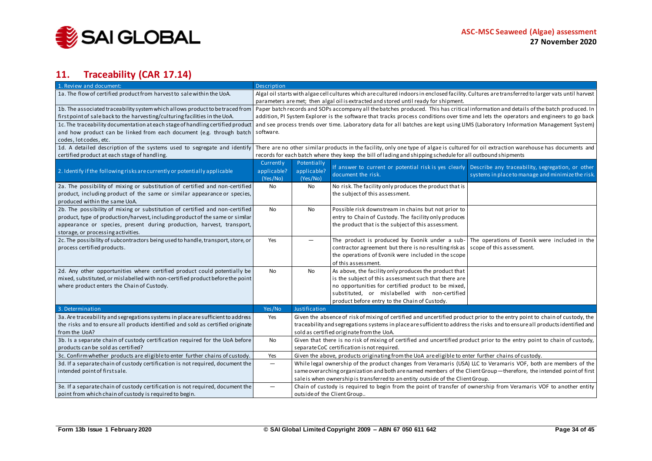

## **11. Traceability (CAR 17.14)**

<span id="page-33-0"></span>

| 1. Review and document:                                                                                                                                                                                              | Description                                         |               |                                                                                                                                                  |                                                   |  |  |
|----------------------------------------------------------------------------------------------------------------------------------------------------------------------------------------------------------------------|-----------------------------------------------------|---------------|--------------------------------------------------------------------------------------------------------------------------------------------------|---------------------------------------------------|--|--|
| 1a. The flow of certified product from harvest to sale within the UoA.                                                                                                                                               |                                                     |               | Algal oil starts with algae cell cultures which are cultured indoors in enclosed facility. Cultures are transferred to larger vats until harvest |                                                   |  |  |
|                                                                                                                                                                                                                      |                                                     |               | parameters are met; then algal oil is extracted and stored until ready for shipment.                                                             |                                                   |  |  |
| 1b. The associated traceability system which allows product to be traced from   Paper batch records and SOPs accompany all the batches produced. This has critical information and details of the batch produced. In |                                                     |               |                                                                                                                                                  |                                                   |  |  |
| first point of sale back to the harvesting/culturing facilities in the UoA.                                                                                                                                          |                                                     |               | addition, PI System Explorer is the software that tracks process conditions over time and lets the operators and engineers to go back            |                                                   |  |  |
| 1c. The traceability documentation at each stage of handling certified product                                                                                                                                       |                                                     |               | and see process trends over time. Laboratory data for all batches are kept using LIMS (Laboratory Information Management System)                 |                                                   |  |  |
| and how product can be linked from each document (e.g. through batch                                                                                                                                                 | software.                                           |               |                                                                                                                                                  |                                                   |  |  |
| codes, lot codes, etc.                                                                                                                                                                                               |                                                     |               |                                                                                                                                                  |                                                   |  |  |
| 1d. A detailed description of the systems used to segregate and identify                                                                                                                                             |                                                     |               | There are no other similar products in the facility, only one type of algae is cultured for oil extraction warehouse has documents and           |                                                   |  |  |
| certified product at each stage of handling.                                                                                                                                                                         |                                                     |               | records for each batch where they keep the bill of lading and shipping schedule for all outbound shipments                                       |                                                   |  |  |
|                                                                                                                                                                                                                      | Currently                                           | Potentially   |                                                                                                                                                  |                                                   |  |  |
| 2. Identify if the following risks are currently or potentially applicable                                                                                                                                           | applicable?                                         | applicable?   | If answer to current or potential risk is yes clearly                                                                                            | Describe any traceability, segregation, or other  |  |  |
|                                                                                                                                                                                                                      | (Yes/No)                                            | (Yes/No)      | document the risk.                                                                                                                               | systems in place to manage and minimize the risk. |  |  |
| 2a. The possibility of mixing or substitution of certified and non-certified                                                                                                                                         | No                                                  | No            | No risk. The facility only produces the product that is                                                                                          |                                                   |  |  |
| product, including product of the same or similar appearance or species,                                                                                                                                             |                                                     |               | the subject of this assessment.                                                                                                                  |                                                   |  |  |
| produced within the same UoA.                                                                                                                                                                                        |                                                     |               |                                                                                                                                                  |                                                   |  |  |
| 2b. The possibility of mixing or substitution of certified and non-certified                                                                                                                                         | No                                                  | No            | Possible risk downstream in chains but not prior to                                                                                              |                                                   |  |  |
| product, type of production/harvest, including product of the same or similar                                                                                                                                        |                                                     |               | entry to Chain of Custody. The facility only produces                                                                                            |                                                   |  |  |
| appearance or species, present during production, harvest, transport,                                                                                                                                                |                                                     |               |                                                                                                                                                  |                                                   |  |  |
|                                                                                                                                                                                                                      | the product that is the subject of this assessment. |               |                                                                                                                                                  |                                                   |  |  |
| storage, or processing activities.                                                                                                                                                                                   |                                                     | ▃             |                                                                                                                                                  |                                                   |  |  |
| 2c. The possibility of subcontractors being used to handle, transport, store, or                                                                                                                                     | Yes                                                 |               | The product is produced by Evonik under a sub-                                                                                                   | The operations of Evonik were included in the     |  |  |
| process certified products.                                                                                                                                                                                          |                                                     |               | contractor agreement but there is no resulting risk as                                                                                           | scope of this assessment.                         |  |  |
|                                                                                                                                                                                                                      |                                                     |               | the operations of Evonik were included in the scope                                                                                              |                                                   |  |  |
|                                                                                                                                                                                                                      |                                                     |               | of this assessment.                                                                                                                              |                                                   |  |  |
| 2d. Any other opportunities where certified product could potentially be                                                                                                                                             | No                                                  | <b>No</b>     | As above, the facility only produces the product that                                                                                            |                                                   |  |  |
| mixed, substituted, or mislabelled with non-certified product before the point                                                                                                                                       |                                                     |               | is the subject of this assessment such that there are                                                                                            |                                                   |  |  |
| where product enters the Chain of Custody.                                                                                                                                                                           |                                                     |               | no opportunities for certified product to be mixed,                                                                                              |                                                   |  |  |
|                                                                                                                                                                                                                      |                                                     |               | substituted, or mislabelled with non-certified                                                                                                   |                                                   |  |  |
|                                                                                                                                                                                                                      |                                                     |               | product before entry to the Chain of Custody.                                                                                                    |                                                   |  |  |
| 3. Determination                                                                                                                                                                                                     | Yes/No                                              | Justification |                                                                                                                                                  |                                                   |  |  |
| 3a. Are traceability and segregations systems in place are sufficient to address                                                                                                                                     | Yes                                                 |               | Given the absence of risk of mixing of certified and uncertified product prior to the entry point to chain of custody, the                       |                                                   |  |  |
| the risks and to ensure all products identified and sold as certified originate                                                                                                                                      |                                                     |               | traceability and segregations systems in place are sufficient to address the risks and to ensure all products identified and                     |                                                   |  |  |
| from the UoA?                                                                                                                                                                                                        | sold as certified originate from the UoA.           |               |                                                                                                                                                  |                                                   |  |  |
| 3b. Is a separate chain of custody certification required for the UoA before                                                                                                                                         | No                                                  |               | Given that there is no risk of mixing of certified and uncertified product prior to the entry point to chain of custody,                         |                                                   |  |  |
| products can be sold as certified?                                                                                                                                                                                   |                                                     |               | separate CoC certification is not required.                                                                                                      |                                                   |  |  |
| 3c. Confirm whether products are eligible to enter further chains of custody.                                                                                                                                        | Yes                                                 |               | Given the above, products originating from the UoA are eligible to enter further chains of custody.                                              |                                                   |  |  |
| 3d. If a separate chain of custody certification is not required, document the                                                                                                                                       | $\overline{\phantom{0}}$                            |               | While legal ownership of the product changes from Veramaris (USA) LLC to Veramaris VOF, both are members of the                                  |                                                   |  |  |
| intended point of first sale.                                                                                                                                                                                        |                                                     |               | same overarching organization and both are named members of the Client Group-therefore, the intended point of first                              |                                                   |  |  |
|                                                                                                                                                                                                                      |                                                     |               | sale is when ownership is transferred to an entity outside of the Client Group.                                                                  |                                                   |  |  |
| 3e. If a separate chain of custody certification is not required, document the                                                                                                                                       | —                                                   |               | Chain of custody is required to begin from the point of transfer of ownership from Veramaris VOF to another entity                               |                                                   |  |  |
| point from which chain of custody is required to begin.                                                                                                                                                              | outside of the Client Group                         |               |                                                                                                                                                  |                                                   |  |  |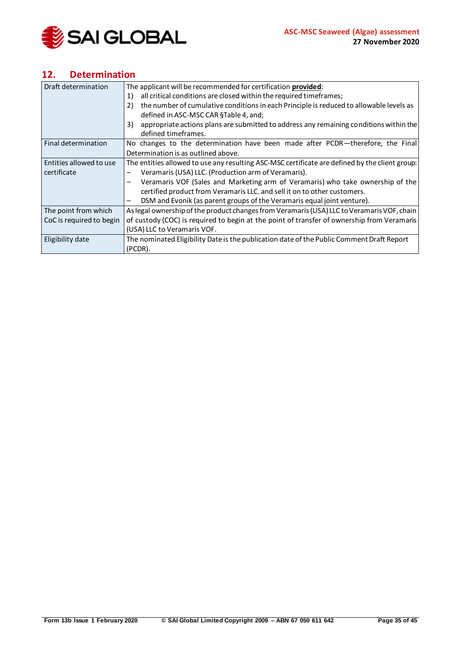

## <span id="page-34-0"></span>**12. Determination**

| Draft determination      | The applicant will be recommended for certification provided:                                  |
|--------------------------|------------------------------------------------------------------------------------------------|
|                          | all critical conditions are closed within the required timeframes;<br>1)                       |
|                          | the number of cumulative conditions in each Principle is reduced to allowable levels as<br>2)  |
|                          | defined in ASC-MSC CAR §Table 4, and;                                                          |
|                          | appropriate actions plans are submitted to address any remaining conditions within the<br>3)   |
|                          | defined timeframes.                                                                            |
| Final determination      | No changes to the determination have been made after PCDR-therefore, the Final                 |
|                          | Determination is as outlined above.                                                            |
| Entities allowed to use  | The entities allowed to use any resulting ASC-MSC certificate are defined by the client group: |
| certificate              | Veramaris (USA) LLC. (Production arm of Veramaris).                                            |
|                          | Veramaris VOF (Sales and Marketing arm of Veramaris) who take ownership of the                 |
|                          | certified product from Veramaris LLC. and sell it on to other customers.                       |
|                          | DSM and Evonik (as parent groups of the Veramaris equal joint venture).<br>-                   |
| The point from which     | As legal ownership of the product changes from Veramaris (USA) LLC to Veramaris VOF, chain     |
| CoC is required to begin | of custody (COC) is required to begin at the point of transfer of ownership from Veramaris     |
|                          | (USA) LLC to Veramaris VOF.                                                                    |
| Eligibility date         | The nominated Eligibility Date is the publication date of the Public Comment Draft Report      |
|                          | (PCDR).                                                                                        |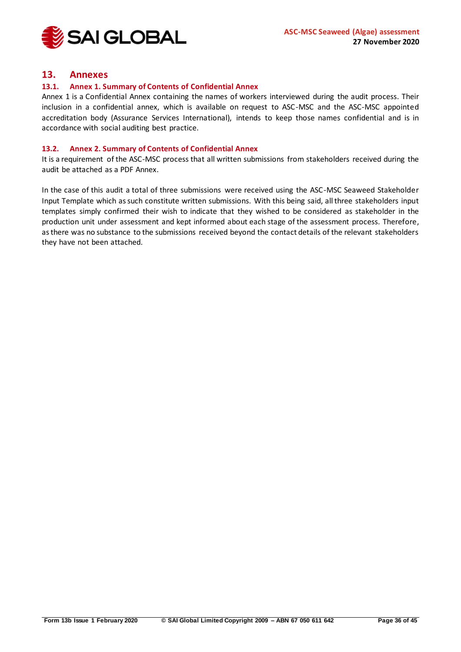

## <span id="page-35-0"></span>**13. Annexes**

#### <span id="page-35-1"></span>**13.1. Annex 1. Summary of Contents of Confidential Annex**

Annex 1 is a Confidential Annex containing the names of workers interviewed during the audit process. Their inclusion in a confidential annex, which is available on request to ASC-MSC and the ASC-MSC appointed accreditation body (Assurance Services International), intends to keep those names confidential and is in accordance with social auditing best practice.

#### <span id="page-35-2"></span>**13.2. Annex 2. Summary of Contents of Confidential Annex**

It is a requirement of the ASC-MSC process that all written submissions from stakeholders received during the audit be attached as a PDF Annex.

In the case of this audit a total of three submissions were received using the ASC-MSC Seaweed Stakeholder Input Template which as such constitute written submissions. With this being said, all three stakeholders input templates simply confirmed their wish to indicate that they wished to be considered as stakeholder in the production unit under assessment and kept informed about each stage of the assessment process. Therefore, as there was no substance to the submissions received beyond the contact details of the relevant stakeholders they have not been attached.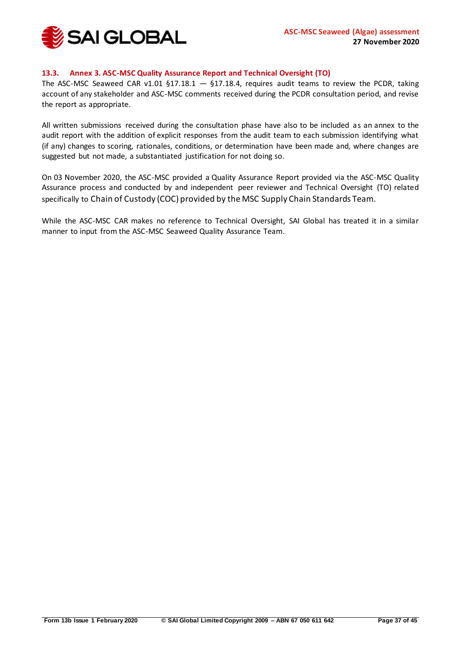

#### <span id="page-36-0"></span>**13.3. Annex 3. ASC-MSC Quality Assurance Report and Technical Oversight (TO)**

The ASC-MSC Seaweed CAR v1.01 §17.18.1  $-$  §17.18.4, requires audit teams to review the PCDR, taking account of any stakeholder and ASC-MSC comments received during the PCDR consultation period, and revise the report as appropriate.

All written submissions received during the consultation phase have also to be included as an annex to the audit report with the addition of explicit responses from the audit team to each submission identifying what (if any) changes to scoring, rationales, conditions, or determination have been made and, where changes are suggested but not made, a substantiated justification for not doing so.

On 03 November 2020, the ASC-MSC provided a Quality Assurance Report provided via the ASC-MSC Quality Assurance process and conducted by and independent peer reviewer and Technical Oversight (TO) related specifically to Chain of Custody (COC) provided by the MSC Supply Chain Standards Team.

While the ASC-MSC CAR makes no reference to Technical Oversight, SAI Global has treated it in a similar manner to input from the ASC-MSC Seaweed Quality Assurance Team.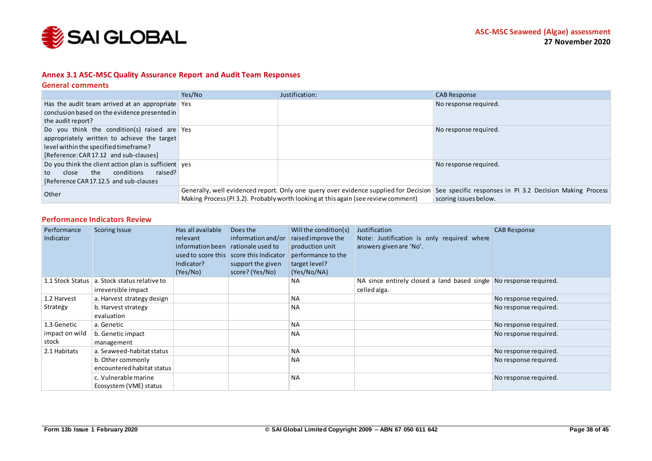

#### **Annex 3.1 ASC-MSC Quality Assurance Report and Audit Team Responses**

#### **General comments**

|                                                             | Yes/No | Justification:                                                                       | <b>CAB Response</b>                                      |
|-------------------------------------------------------------|--------|--------------------------------------------------------------------------------------|----------------------------------------------------------|
| Has the audit team arrived at an appropriate $\sqrt{2}$ Yes |        |                                                                                      | No response required.                                    |
| conclusion based on the evidence presented in               |        |                                                                                      |                                                          |
| the audit report?                                           |        |                                                                                      |                                                          |
| Do you think the condition(s) raised are Yes                |        |                                                                                      | No response required.                                    |
| appropriately written to achieve the target                 |        |                                                                                      |                                                          |
| level within the specified timeframe?                       |        |                                                                                      |                                                          |
| [Reference: CAR 17.12 and sub-clauses]                      |        |                                                                                      |                                                          |
| Do you think the client action plan is sufficient ves       |        |                                                                                      | No response required.                                    |
| conditions<br>raised?<br>the<br>close<br>to                 |        |                                                                                      |                                                          |
| [Reference CAR 17.12.5 and sub-clauses]                     |        |                                                                                      |                                                          |
| Other                                                       |        | Generally, well evidenced report. Only one query over evidence supplied for Decision | See specific responses in PI 3.2 Decision Making Process |
|                                                             |        | Making Process (PI 3.2). Probably worth looking at this again (see review comment)   | scoring issues below.                                    |

#### **Performance Indicators Review**

<span id="page-37-0"></span>

| Performance<br>Indicator | <b>Scoring Issue</b>                               | Has all available<br>relevant<br>information been<br>used to score this<br>Indicator?<br>(Yes/No) | Does the<br>information and/or<br>rationale used to<br>score this Indicator<br>support the given<br>score? (Yes/No) | Will the condition(s)<br>raised improve the<br>production unit<br>performance to the<br>target level?<br>(Yes/No/NA) | Justification<br>Note: Justification is only required where<br>answers given are 'No'. | <b>CAB Response</b>   |
|--------------------------|----------------------------------------------------|---------------------------------------------------------------------------------------------------|---------------------------------------------------------------------------------------------------------------------|----------------------------------------------------------------------------------------------------------------------|----------------------------------------------------------------------------------------|-----------------------|
| 1.1 Stock Status         | a. Stock status relative to<br>irreversible impact |                                                                                                   |                                                                                                                     | NA                                                                                                                   | NA since entirely closed a land based single No response required.<br>celled alga.     |                       |
| 1.2 Harvest              | a. Harvest strategy design                         |                                                                                                   |                                                                                                                     | <b>NA</b>                                                                                                            |                                                                                        | No response required. |
| Strategy                 | b. Harvest strategy<br>evaluation                  |                                                                                                   |                                                                                                                     | <b>NA</b>                                                                                                            |                                                                                        | No response required. |
| 1.3 Genetic              | a. Genetic                                         |                                                                                                   |                                                                                                                     | <b>NA</b>                                                                                                            |                                                                                        | No response required. |
| impact on wild<br>stock  | b. Genetic impact<br>management                    |                                                                                                   |                                                                                                                     | <b>NA</b>                                                                                                            |                                                                                        | No response required. |
| 2.1 Habitats             | a. Seaweed-habitat status                          |                                                                                                   |                                                                                                                     | <b>NA</b>                                                                                                            |                                                                                        | No response required. |
|                          | b. Other commonly<br>encountered habitat status    |                                                                                                   |                                                                                                                     | <b>NA</b>                                                                                                            |                                                                                        | No response required. |
|                          | c. Vulnerable marine<br>Ecosystem (VME) status     |                                                                                                   |                                                                                                                     | <b>NA</b>                                                                                                            |                                                                                        | No response required. |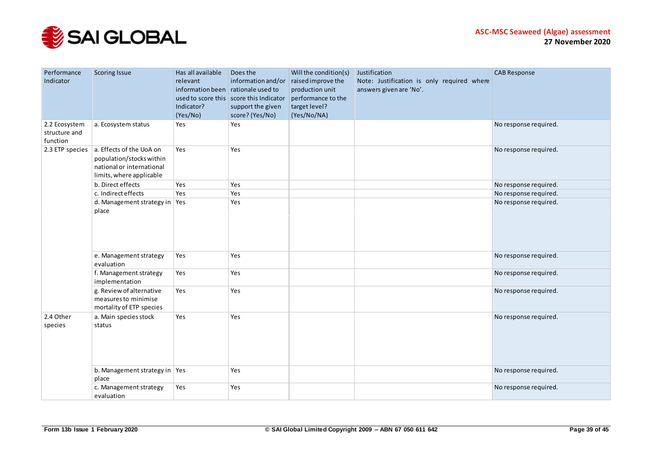

| Performance<br>Indicator                   | <b>Scoring Issue</b>                                                                                          | Has all available<br>relevant<br>information been rationale used to<br>Indicator?<br>(Yes/No) | Does the<br>information and/or<br>used to score this score this Indicator<br>support the given<br>score? (Yes/No) | Will the condition(s)<br>raised improve the<br>production unit<br>performance to the<br>target level?<br>(Yes/No/NA) | Justification<br>Note: Justification is only required where<br>answers given are 'No'. | <b>CAB Response</b>   |
|--------------------------------------------|---------------------------------------------------------------------------------------------------------------|-----------------------------------------------------------------------------------------------|-------------------------------------------------------------------------------------------------------------------|----------------------------------------------------------------------------------------------------------------------|----------------------------------------------------------------------------------------|-----------------------|
| 2.2 Ecosystem<br>structure and<br>function | a. Ecosystem status                                                                                           | Yes                                                                                           | Yes                                                                                                               |                                                                                                                      |                                                                                        | No response required. |
| 2.3 ETP species                            | a. Effects of the UoA on<br>population/stocks within<br>national or international<br>limits, where applicable | Yes                                                                                           | Yes                                                                                                               |                                                                                                                      |                                                                                        | No response required. |
|                                            | b. Direct effects                                                                                             | Yes                                                                                           | Yes                                                                                                               |                                                                                                                      |                                                                                        | No response required. |
|                                            | c. Indirect effects                                                                                           | Yes                                                                                           | Yes                                                                                                               |                                                                                                                      |                                                                                        | No response required. |
|                                            | d. Management strategy in $\sqrt{$ Yes<br>place                                                               |                                                                                               | Yes                                                                                                               |                                                                                                                      |                                                                                        | No response required. |
|                                            | e. Management strategy<br>evaluation                                                                          | Yes                                                                                           | Yes                                                                                                               |                                                                                                                      |                                                                                        | No response required. |
|                                            | f. Management strategy<br>implementation                                                                      | Yes                                                                                           | Yes                                                                                                               |                                                                                                                      |                                                                                        | No response required. |
|                                            | g. Review of alternative<br>measures to minimise<br>mortality of ETP species                                  | Yes                                                                                           | Yes                                                                                                               |                                                                                                                      |                                                                                        | No response required. |
| 2.4 Other<br>species                       | a. Main species stock<br>status                                                                               | Yes                                                                                           | Yes                                                                                                               |                                                                                                                      |                                                                                        | No response required. |
|                                            | b. Management strategy in $ Yes$<br>place                                                                     |                                                                                               | Yes                                                                                                               |                                                                                                                      |                                                                                        | No response required. |
|                                            | c. Management strategy<br>evaluation                                                                          | Yes                                                                                           | Yes                                                                                                               |                                                                                                                      |                                                                                        | No response required. |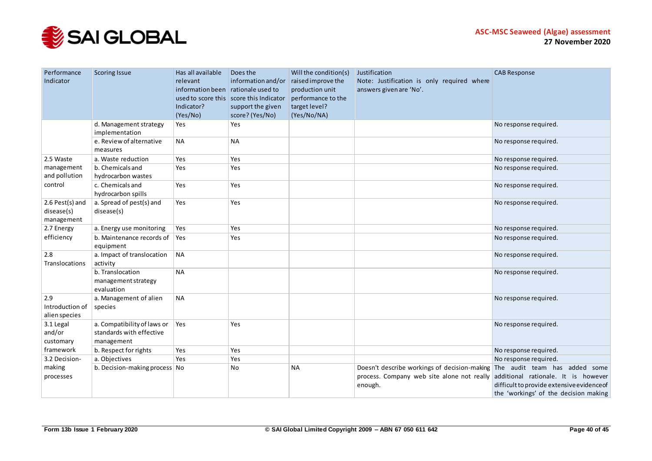

| Performance<br>Indicator                    | <b>Scoring Issue</b>                                                  | Has all available<br>relevant<br>information been rationale used to<br>Indicator?<br>(Yes/No) | Does the<br>information and/or<br>used to score this score this Indicator<br>support the given<br>score? (Yes/No) | Will the condition(s)<br>raised improve the<br>production unit<br>performance to the<br>target level?<br>(Yes/No/NA) | Justification<br>Note: Justification is only required where<br>answers given are 'No'.                | <b>CAB Response</b>                                                                                                                                         |
|---------------------------------------------|-----------------------------------------------------------------------|-----------------------------------------------------------------------------------------------|-------------------------------------------------------------------------------------------------------------------|----------------------------------------------------------------------------------------------------------------------|-------------------------------------------------------------------------------------------------------|-------------------------------------------------------------------------------------------------------------------------------------------------------------|
|                                             | d. Management strategy<br>implementation                              | Yes                                                                                           | <b>Yes</b>                                                                                                        |                                                                                                                      |                                                                                                       | No response required.                                                                                                                                       |
|                                             | e. Review of alternative<br>measures                                  | <b>NA</b>                                                                                     | <b>NA</b>                                                                                                         |                                                                                                                      |                                                                                                       | No response required.                                                                                                                                       |
| 2.5 Waste                                   | a. Waste reduction                                                    | Yes                                                                                           | Yes                                                                                                               |                                                                                                                      |                                                                                                       | No response required.                                                                                                                                       |
| management<br>and pollution                 | b. Chemicals and<br>hydrocarbon wastes                                | Yes                                                                                           | <b>Yes</b>                                                                                                        |                                                                                                                      |                                                                                                       | No response required.                                                                                                                                       |
| control                                     | c. Chemicals and<br>hydrocarbon spills                                | Yes                                                                                           | Yes                                                                                                               |                                                                                                                      |                                                                                                       | No response required.                                                                                                                                       |
| 2.6 Pest(s) and<br>disease(s)<br>management | a. Spread of pest(s) and<br>disease(s)                                | Yes                                                                                           | Yes                                                                                                               |                                                                                                                      |                                                                                                       | No response required.                                                                                                                                       |
| 2.7 Energy                                  | a. Energy use monitoring                                              | Yes                                                                                           | Yes                                                                                                               |                                                                                                                      |                                                                                                       | No response required.                                                                                                                                       |
| efficiency                                  | b. Maintenance records of<br>equipment                                | Yes                                                                                           | Yes                                                                                                               |                                                                                                                      |                                                                                                       | No response required.                                                                                                                                       |
| 2.8<br>Translocations                       | a. Impact of translocation<br>activity                                | <b>NA</b>                                                                                     |                                                                                                                   |                                                                                                                      |                                                                                                       | No response required.                                                                                                                                       |
|                                             | b. Translocation<br>management strategy<br>evaluation                 | <b>NA</b>                                                                                     |                                                                                                                   |                                                                                                                      |                                                                                                       | No response required.                                                                                                                                       |
| 2.9<br>Introduction of<br>alien species     | a. Management of alien<br>species                                     | <b>NA</b>                                                                                     |                                                                                                                   |                                                                                                                      |                                                                                                       | No response required.                                                                                                                                       |
| 3.1 Legal<br>and/or<br>customary            | a. Compatibility of laws or<br>standards with effective<br>management | Yes                                                                                           | Yes                                                                                                               |                                                                                                                      |                                                                                                       | No response required.                                                                                                                                       |
| framework                                   | b. Respect for rights                                                 | Yes                                                                                           | Yes                                                                                                               |                                                                                                                      |                                                                                                       | No response required.                                                                                                                                       |
| 3.2 Decision-                               | a. Objectives                                                         | Yes                                                                                           | Yes                                                                                                               |                                                                                                                      |                                                                                                       | No response required.                                                                                                                                       |
| making<br>processes                         | b. Decision-making process No                                         |                                                                                               | No                                                                                                                | <b>NA</b>                                                                                                            | Doesn't describe workings of decision-making<br>process. Company web site alone not really<br>enough. | The audit team has added some<br>additional rationale. It is however<br>difficult to provide extensive evidence of<br>the 'workings' of the decision making |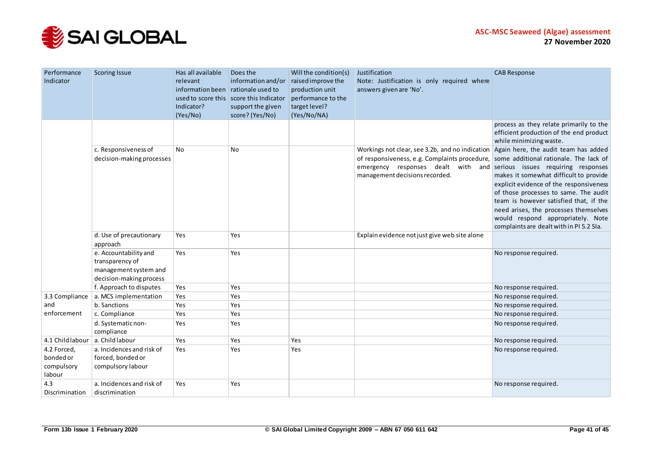

| Performance<br>Indicator                         | <b>Scoring Issue</b>                                                                         | Has all available<br>relevant      | Does the<br>information and/or          | Will the condition(s)<br>raised improve the | Justification<br>Note: Justification is only required where                                                                                                                                     | <b>CAB Response</b>                                                                                                    |
|--------------------------------------------------|----------------------------------------------------------------------------------------------|------------------------------------|-----------------------------------------|---------------------------------------------|-------------------------------------------------------------------------------------------------------------------------------------------------------------------------------------------------|------------------------------------------------------------------------------------------------------------------------|
|                                                  |                                                                                              | information been rationale used to |                                         | production unit                             | answers given are 'No'.                                                                                                                                                                         |                                                                                                                        |
|                                                  |                                                                                              |                                    | used to score this score this Indicator | performance to the                          |                                                                                                                                                                                                 |                                                                                                                        |
|                                                  |                                                                                              | Indicator?                         | support the given                       | target level?                               |                                                                                                                                                                                                 |                                                                                                                        |
|                                                  |                                                                                              | (Yes/No)                           | score? (Yes/No)                         | (Yes/No/NA)                                 |                                                                                                                                                                                                 |                                                                                                                        |
|                                                  |                                                                                              |                                    |                                         |                                             |                                                                                                                                                                                                 | process as they relate primarily to the<br>efficient production of the end product<br>while minimizing waste.          |
|                                                  | c. Responsiveness of                                                                         | No                                 | No                                      |                                             | Workings not clear, see 3.2b, and no indication Again here, the audit team has added                                                                                                            |                                                                                                                        |
|                                                  | decision-making processes                                                                    |                                    |                                         |                                             | of responsiveness, e.g. Complaints procedure, some additional rationale. The lack of<br>emergency responses dealt with and serious issues requiring responses<br>management decisions recorded. | makes it somewhat difficult to provide<br>explicit evidence of the responsiveness                                      |
|                                                  |                                                                                              |                                    |                                         |                                             |                                                                                                                                                                                                 | of those processes to same. The audit<br>team is however satisfied that, if the                                        |
|                                                  |                                                                                              |                                    |                                         |                                             |                                                                                                                                                                                                 | need arises, the processes themselves<br>would respond appropriately. Note<br>complaints are dealt with in PI 5.2 SIa. |
|                                                  | d. Use of precautionary<br>approach                                                          | Yes                                | Yes                                     |                                             | Explain evidence not just give web site alone                                                                                                                                                   |                                                                                                                        |
|                                                  | e. Accountability and<br>transparency of<br>management system and<br>decision-making process | Yes                                | Yes                                     |                                             |                                                                                                                                                                                                 | No response required.                                                                                                  |
|                                                  | f. Approach to disputes                                                                      | Yes                                | Yes                                     |                                             |                                                                                                                                                                                                 | No response required.                                                                                                  |
| 3.3 Compliance                                   | a. MCS implementation                                                                        | Yes                                | Yes                                     |                                             |                                                                                                                                                                                                 | No response required.                                                                                                  |
| and                                              | b. Sanctions                                                                                 | Yes                                | Yes                                     |                                             |                                                                                                                                                                                                 | No response required.                                                                                                  |
| enforcement                                      | c. Compliance                                                                                | Yes                                | Yes                                     |                                             |                                                                                                                                                                                                 | No response required.                                                                                                  |
|                                                  | d. Systematic non-<br>compliance                                                             | Yes                                | Yes                                     |                                             |                                                                                                                                                                                                 | No response required.                                                                                                  |
| 4.1 Child labour                                 | a. Child labour                                                                              | Yes                                | Yes                                     | Yes                                         |                                                                                                                                                                                                 | No response required.                                                                                                  |
| 4.2 Forced,<br>bonded or<br>compulsory<br>labour | a. Incidences and risk of<br>forced, bonded or<br>compulsory labour                          | Yes                                | Yes                                     | Yes                                         |                                                                                                                                                                                                 | No response required.                                                                                                  |
| 4.3<br>Discrimination                            | a. Incidences and risk of<br>discrimination                                                  | Yes                                | Yes                                     |                                             |                                                                                                                                                                                                 | No response required.                                                                                                  |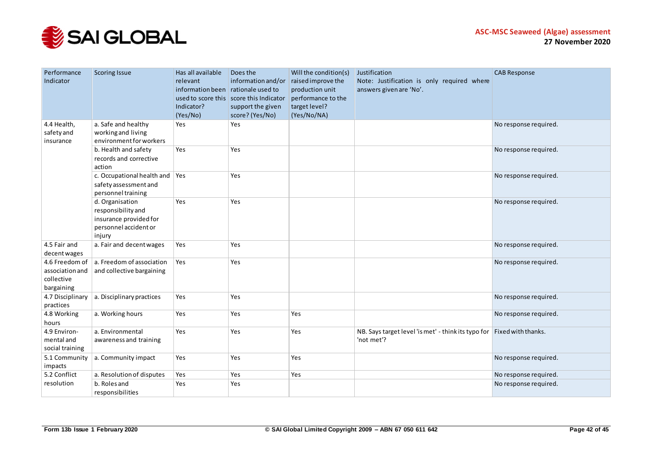

| Performance      | <b>Scoring Issue</b>           | Has all available                  | Does the                                | Will the condition(s) | Justification                                                          | <b>CAB Response</b>   |
|------------------|--------------------------------|------------------------------------|-----------------------------------------|-----------------------|------------------------------------------------------------------------|-----------------------|
| Indicator        |                                | relevant                           | information and/or                      | raised improve the    | Note: Justification is only required where                             |                       |
|                  |                                | information been rationale used to |                                         | production unit       | answers given are 'No'.                                                |                       |
|                  |                                |                                    | used to score this score this Indicator | performance to the    |                                                                        |                       |
|                  |                                | Indicator?                         | support the given                       | target level?         |                                                                        |                       |
|                  |                                | (Yes/No)                           | score? (Yes/No)                         | (Yes/No/NA)           |                                                                        |                       |
| 4.4 Health,      | a. Safe and healthy            | Yes                                | Yes                                     |                       |                                                                        | No response required. |
| safety and       | working and living             |                                    |                                         |                       |                                                                        |                       |
| insurance        | environment for workers        |                                    |                                         |                       |                                                                        |                       |
|                  | b. Health and safety           | Yes                                | Yes                                     |                       |                                                                        | No response required. |
|                  | records and corrective         |                                    |                                         |                       |                                                                        |                       |
|                  | action                         |                                    |                                         |                       |                                                                        |                       |
|                  | c. Occupational health and Yes |                                    | Yes                                     |                       |                                                                        | No response required. |
|                  | safety assessment and          |                                    |                                         |                       |                                                                        |                       |
|                  | personnel training             |                                    |                                         |                       |                                                                        |                       |
|                  | d. Organisation                | Yes                                | Yes                                     |                       |                                                                        | No response required. |
|                  | responsibility and             |                                    |                                         |                       |                                                                        |                       |
|                  | insurance provided for         |                                    |                                         |                       |                                                                        |                       |
|                  | personnel accident or          |                                    |                                         |                       |                                                                        |                       |
|                  | injury                         |                                    |                                         |                       |                                                                        |                       |
| 4.5 Fair and     | a. Fair and decent wages       | Yes                                | Yes                                     |                       |                                                                        | No response required. |
| decent wages     |                                |                                    |                                         |                       |                                                                        |                       |
| 4.6 Freedom of   | a. Freedom of association      | Yes                                | Yes                                     |                       |                                                                        | No response required. |
| association and  | and collective bargaining      |                                    |                                         |                       |                                                                        |                       |
| collective       |                                |                                    |                                         |                       |                                                                        |                       |
| bargaining       |                                |                                    |                                         |                       |                                                                        |                       |
| 4.7 Disciplinary | a. Disciplinary practices      | Yes                                | Yes                                     |                       |                                                                        | No response required. |
| practices        |                                |                                    |                                         |                       |                                                                        |                       |
| 4.8 Working      | a. Working hours               | Yes                                | Yes                                     | <b>Yes</b>            |                                                                        | No response required. |
| hours            |                                |                                    |                                         |                       |                                                                        |                       |
| 4.9 Environ-     | a. Environmental               | Yes                                | Yes                                     | Yes                   | NB. Says target level 'is met' - think its typo for Fixed with thanks. |                       |
| mental and       | awareness and training         |                                    |                                         |                       | 'not met'?                                                             |                       |
| social training  |                                |                                    |                                         |                       |                                                                        |                       |
| 5.1 Community    | a. Community impact            | Yes                                | Yes                                     | Yes                   |                                                                        | No response required. |
| impacts          |                                |                                    |                                         |                       |                                                                        |                       |
| 5.2 Conflict     | a. Resolution of disputes      | Yes                                | Yes                                     | Yes                   |                                                                        | No response required. |
| resolution       | b. Roles and                   | Yes                                | Yes                                     |                       |                                                                        | No response required. |
|                  | responsibilities               |                                    |                                         |                       |                                                                        |                       |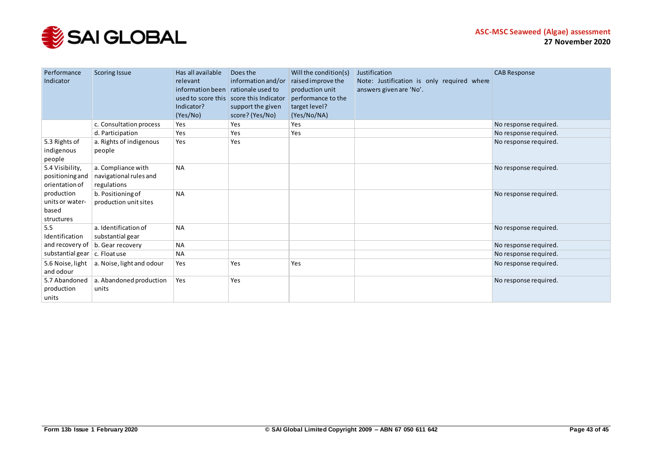

| Performance<br>Indicator                             | <b>Scoring Issue</b>                                        | Has all available<br>relevant<br>information been rationale used to<br>Indicator?<br>(Yes/No) | Does the<br>information and/or<br>used to score this score this Indicator<br>support the given<br>score? (Yes/No) | Will the condition(s)<br>raised improve the<br>production unit<br>performance to the<br>target level?<br>(Yes/No/NA) | Justification<br>Note: Justification is only required where<br>answers given are 'No'. | <b>CAB Response</b>   |
|------------------------------------------------------|-------------------------------------------------------------|-----------------------------------------------------------------------------------------------|-------------------------------------------------------------------------------------------------------------------|----------------------------------------------------------------------------------------------------------------------|----------------------------------------------------------------------------------------|-----------------------|
|                                                      | c. Consultation process                                     | Yes                                                                                           | Yes                                                                                                               | Yes                                                                                                                  |                                                                                        | No response required. |
|                                                      | d. Participation                                            | Yes                                                                                           | Yes                                                                                                               | Yes                                                                                                                  |                                                                                        | No response required. |
| 5.3 Rights of<br>indigenous<br>people                | a. Rights of indigenous<br>people                           | Yes                                                                                           | Yes                                                                                                               |                                                                                                                      |                                                                                        | No response required. |
| 5.4 Visibility,<br>positioning and<br>orientation of | a. Compliance with<br>navigational rules and<br>regulations | <b>NA</b>                                                                                     |                                                                                                                   |                                                                                                                      |                                                                                        | No response required. |
| production<br>units or water-<br>based<br>structures | b. Positioning of<br>production unit sites                  | <b>NA</b>                                                                                     |                                                                                                                   |                                                                                                                      |                                                                                        | No response required. |
| 5.5<br>Identification                                | a. Identification of<br>substantial gear                    | <b>NA</b>                                                                                     |                                                                                                                   |                                                                                                                      |                                                                                        | No response required. |
| and recovery of                                      | b. Gear recovery                                            | <b>NA</b>                                                                                     |                                                                                                                   |                                                                                                                      |                                                                                        | No response required. |
| substantial gear                                     | c. Float use                                                | <b>NA</b>                                                                                     |                                                                                                                   |                                                                                                                      |                                                                                        | No response required. |
| 5.6 Noise, light<br>and odour                        | a. Noise, light and odour                                   | Yes                                                                                           | Yes                                                                                                               | Yes                                                                                                                  |                                                                                        | No response required. |
| 5.7 Abandoned<br>production<br>units                 | a. Abandoned production<br>units                            | Yes                                                                                           | Yes                                                                                                               |                                                                                                                      |                                                                                        | No response required. |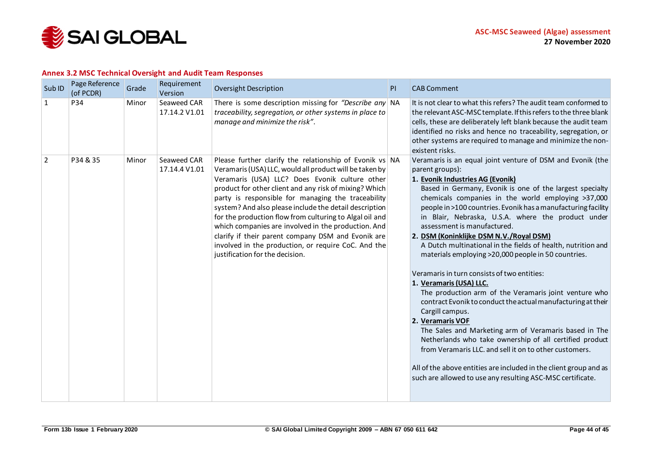

#### **Annex 3.2 MSC Technical Oversight and Audit Team Responses**

<span id="page-43-0"></span>

| Sub <sub>ID</sub> | Page Reference<br>(of PCDR) | Grade | Requirement<br>Version       | <b>Oversight Description</b>                                                                                                                                                                                                                                                                                                                                                                                                                                                                                                                                                                                     | PI | <b>CAB Comment</b>                                                                                                                                                                                                                                                                                                                                                                                                                                                                                                                                                                                                                                                                                                                                                                                                                                                                                                                                                                                                                                                                                                     |
|-------------------|-----------------------------|-------|------------------------------|------------------------------------------------------------------------------------------------------------------------------------------------------------------------------------------------------------------------------------------------------------------------------------------------------------------------------------------------------------------------------------------------------------------------------------------------------------------------------------------------------------------------------------------------------------------------------------------------------------------|----|------------------------------------------------------------------------------------------------------------------------------------------------------------------------------------------------------------------------------------------------------------------------------------------------------------------------------------------------------------------------------------------------------------------------------------------------------------------------------------------------------------------------------------------------------------------------------------------------------------------------------------------------------------------------------------------------------------------------------------------------------------------------------------------------------------------------------------------------------------------------------------------------------------------------------------------------------------------------------------------------------------------------------------------------------------------------------------------------------------------------|
| 1                 | P34                         | Minor | Seaweed CAR<br>17.14.2 V1.01 | There is some description missing for "Describe any $\vert$ NA<br>traceability, segregation, or other systems in place to<br>manage and minimize the risk".                                                                                                                                                                                                                                                                                                                                                                                                                                                      |    | It is not clear to what this refers? The audit team conformed to<br>the relevant ASC-MSC template. If this refers to the three blank<br>cells, these are deliberately left blank because the audit team<br>identified no risks and hence no traceability, segregation, or<br>other systems are required to manage and minimize the non-<br>existent risks.                                                                                                                                                                                                                                                                                                                                                                                                                                                                                                                                                                                                                                                                                                                                                             |
| $\overline{2}$    | P34 & 35                    | Minor | Seaweed CAR<br>17.14.4 V1.01 | Please further clarify the relationship of Evonik vs NA<br>Veramaris (USA) LLC, would all product will be taken by<br>Veramaris (USA) LLC? Does Evonik culture other<br>product for other client and any risk of mixing? Which<br>party is responsible for managing the traceability<br>system? And also please include the detail description<br>for the production flow from culturing to Algal oil and<br>which companies are involved in the production. And<br>clarify if their parent company DSM and Evonik are<br>involved in the production, or require CoC. And the<br>justification for the decision. |    | Veramaris is an equal joint venture of DSM and Evonik (the<br>parent groups):<br>1. Evonik Industries AG (Evonik)<br>Based in Germany, Evonik is one of the largest specialty<br>chemicals companies in the world employing >37,000<br>people in >100 countries. Evonik has a manufacturing facility<br>in Blair, Nebraska, U.S.A. where the product under<br>assessment is manufactured.<br>2. DSM (Koninklijke DSM N.V./Royal DSM)<br>A Dutch multinational in the fields of health, nutrition and<br>materials employing >20,000 people in 50 countries.<br>Veramaris in turn consists of two entities:<br>1. Veramaris (USA) LLC.<br>The production arm of the Veramaris joint venture who<br>contract Evonik to conduct the actual manufacturing at their<br>Cargill campus.<br>2. Veramaris VOF<br>The Sales and Marketing arm of Veramaris based in The<br>Netherlands who take ownership of all certified product<br>from Veramaris LLC. and sell it on to other customers.<br>All of the above entities are included in the client group and as<br>such are allowed to use any resulting ASC-MSC certificate. |